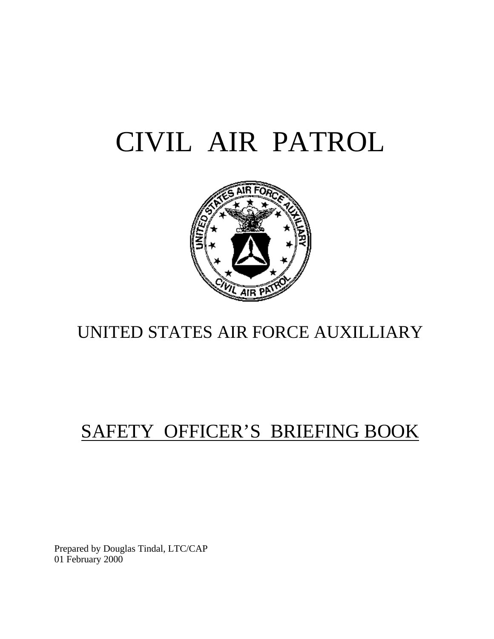# CIVIL AIR PATROL



# UNITED STATES AIR FORCE AUXILLIARY

# SAFETY OFFICER'S BRIEFING BOOK

Prepared by Douglas Tindal, LTC/CAP 01 February 2000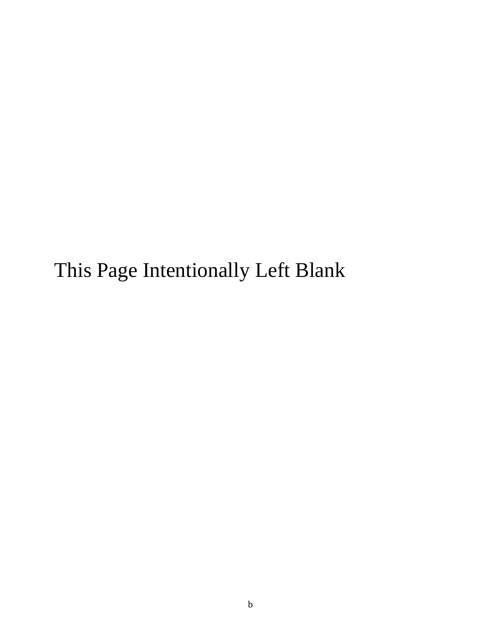This Page Intentionally Left Blank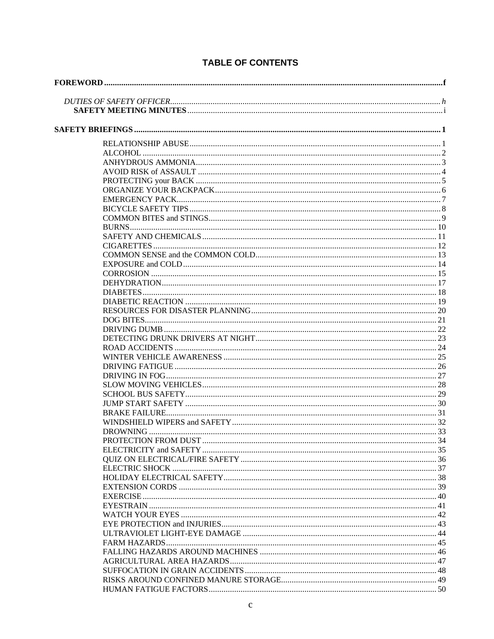| PROTECTION FROM DUST<br>34 |  |
|----------------------------|--|
|                            |  |
|                            |  |
|                            |  |
|                            |  |
|                            |  |
|                            |  |
|                            |  |
|                            |  |
|                            |  |
|                            |  |
|                            |  |
|                            |  |
|                            |  |
|                            |  |
|                            |  |
|                            |  |
|                            |  |

#### **TABLE OF CONTENTS**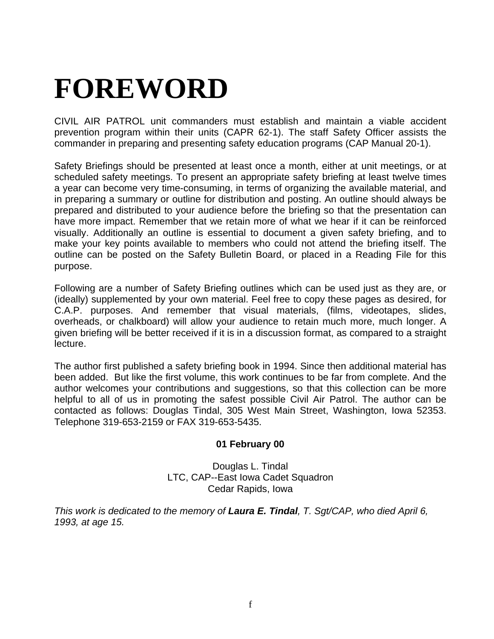# **FOREWORD**

CIVIL AIR PATROL unit commanders must establish and maintain a viable accident prevention program within their units (CAPR 62-1). The staff Safety Officer assists the commander in preparing and presenting safety education programs (CAP Manual 20-1).

Safety Briefings should be presented at least once a month, either at unit meetings, or at scheduled safety meetings. To present an appropriate safety briefing at least twelve times a year can become very time-consuming, in terms of organizing the available material, and in preparing a summary or outline for distribution and posting. An outline should always be prepared and distributed to your audience before the briefing so that the presentation can have more impact. Remember that we retain more of what we hear if it can be reinforced visually. Additionally an outline is essential to document a given safety briefing, and to make your key points available to members who could not attend the briefing itself. The outline can be posted on the Safety Bulletin Board, or placed in a Reading File for this purpose.

Following are a number of Safety Briefing outlines which can be used just as they are, or (ideally) supplemented by your own material. Feel free to copy these pages as desired, for C.A.P. purposes. And remember that visual materials, (films, videotapes, slides, overheads, or chalkboard) will allow your audience to retain much more, much longer. A given briefing will be better received if it is in a discussion format, as compared to a straight lecture.

The author first published a safety briefing book in 1994. Since then additional material has been added. But like the first volume, this work continues to be far from complete. And the author welcomes your contributions and suggestions, so that this collection can be more helpful to all of us in promoting the safest possible Civil Air Patrol. The author can be contacted as follows: Douglas Tindal, 305 West Main Street, Washington, Iowa 52353. Telephone 319-653-2159 or FAX 319-653-5435.

#### **01 February 00**

Douglas L. Tindal LTC, CAP--East Iowa Cadet Squadron Cedar Rapids, Iowa

*This work is dedicated to the memory of Laura E. Tindal, T. Sgt/CAP, who died April 6, 1993, at age 15.*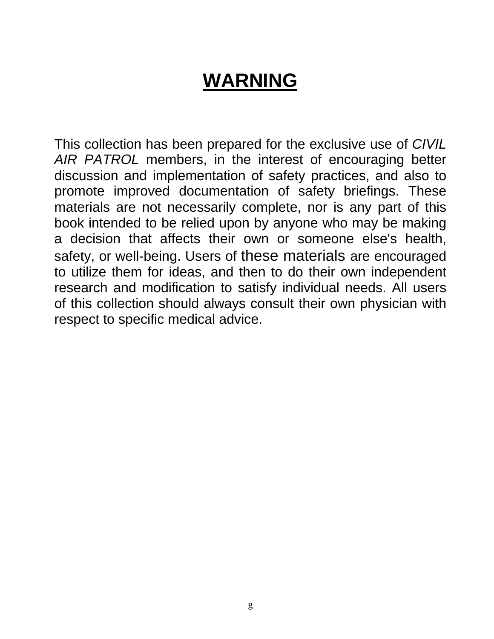# **WARNING**

This collection has been prepared for the exclusive use of *CIVIL AIR PATROL* members, in the interest of encouraging better discussion and implementation of safety practices, and also to promote improved documentation of safety briefings. These materials are not necessarily complete, nor is any part of this book intended to be relied upon by anyone who may be making a decision that affects their own or someone else's health, safety, or well-being. Users of these materials are encouraged to utilize them for ideas, and then to do their own independent research and modification to satisfy individual needs. All users of this collection should always consult their own physician with respect to specific medical advice.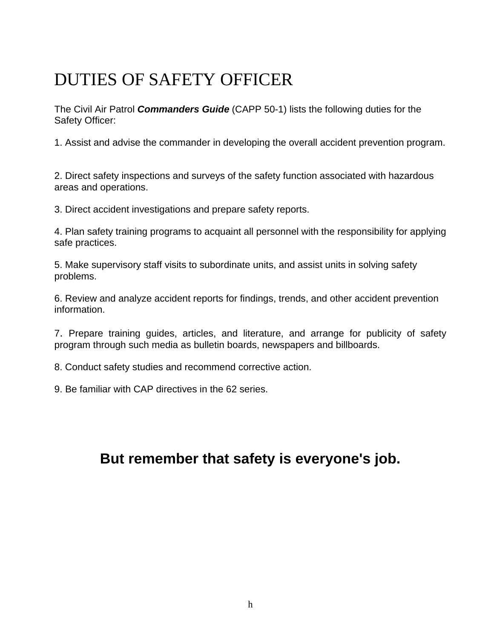# DUTIES OF SAFETY OFFICER

The Civil Air Patrol *Commanders Guide* (CAPP 50-1) lists the following duties for the Safety Officer:

1. Assist and advise the commander in developing the overall accident prevention program.

2. Direct safety inspections and surveys of the safety function associated with hazardous areas and operations.

3. Direct accident investigations and prepare safety reports.

4. Plan safety training programs to acquaint all personnel with the responsibility for applying safe practices.

5. Make supervisory staff visits to subordinate units, and assist units in solving safety problems.

6. Review and analyze accident reports for findings, trends, and other accident prevention information.

7. Prepare training guides, articles, and literature, and arrange for publicity of safety program through such media as bulletin boards, newspapers and billboards.

8. Conduct safety studies and recommend corrective action.

9. Be familiar with CAP directives in the 62 series.

#### **But remember that safety is everyone's job.**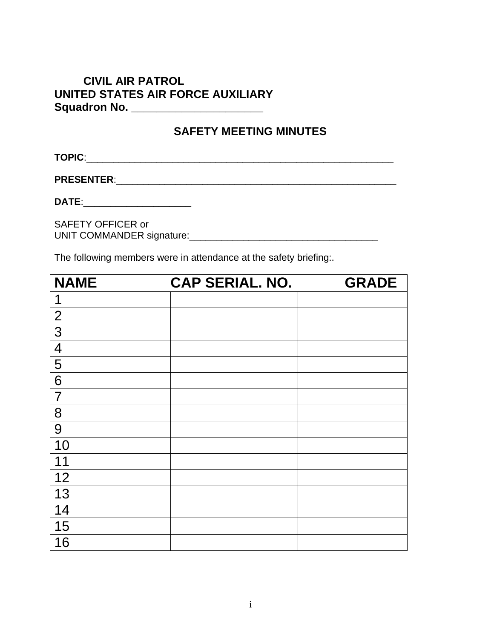#### **CIVIL AIR PATROL UNITED STATES AIR FORCE AUXILIARY Squadron No. \_\_\_\_\_\_\_\_\_\_\_\_\_\_\_\_\_\_\_\_\_**

#### **SAFETY MEETING MINUTES**

**TOPIC**:\_\_\_\_\_\_\_\_\_\_\_\_\_\_\_\_\_\_\_\_\_\_\_\_\_\_\_\_\_\_\_\_\_\_\_\_\_\_\_\_\_\_\_\_\_\_\_\_\_\_\_\_\_\_\_\_\_

**PRESENTER**:\_\_\_\_\_\_\_\_\_\_\_\_\_\_\_\_\_\_\_\_\_\_\_\_\_\_\_\_\_\_\_\_\_\_\_\_\_\_\_\_\_\_\_\_\_\_\_\_\_\_\_\_

**DATE**:\_\_\_\_\_\_\_\_\_\_\_\_\_\_\_\_\_\_\_\_

SAFETY OFFICER or UNIT COMMANDER signature:\_\_\_\_\_\_\_\_\_\_\_\_\_\_\_\_\_\_\_\_\_\_\_\_\_\_\_\_\_\_\_\_\_\_\_

The following members were in attendance at the safety briefing:.

| <b>NAME</b>              | CAP SERIAL. NO. | <b>GRADE</b> |
|--------------------------|-----------------|--------------|
| 1                        |                 |              |
| $\overline{2}$           |                 |              |
| $\overline{3}$           |                 |              |
| $\overline{\mathcal{A}}$ |                 |              |
| $\overline{5}$           |                 |              |
| 6                        |                 |              |
| $\overline{7}$           |                 |              |
| 8                        |                 |              |
| $\overline{9}$           |                 |              |
| 10                       |                 |              |
| 11                       |                 |              |
| 12                       |                 |              |
| 13                       |                 |              |
| 14                       |                 |              |
| 15                       |                 |              |
| 16                       |                 |              |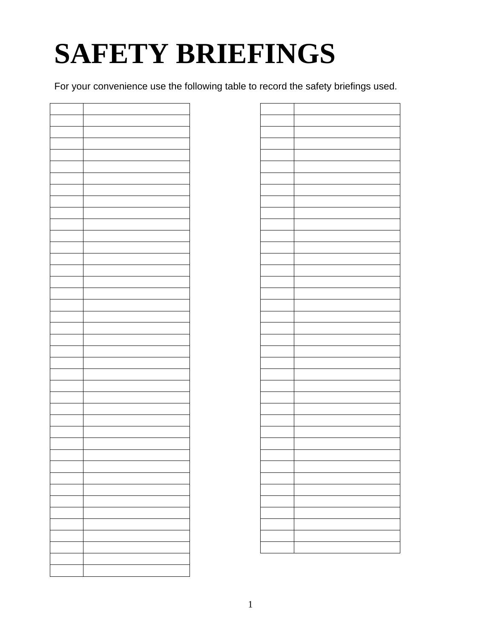For your convenience use the following table to record the safety briefings used.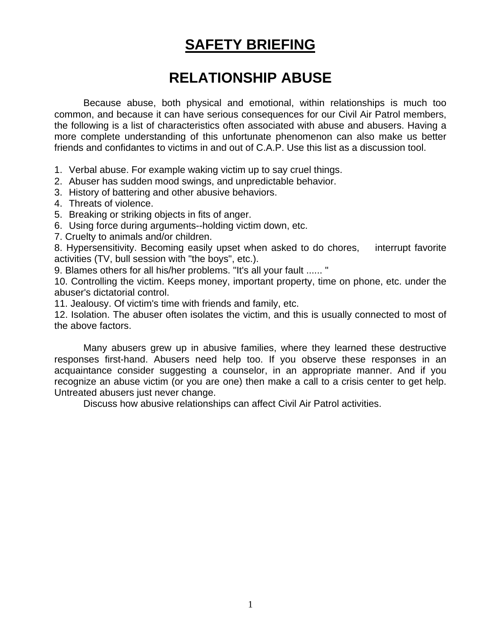## **RELATIONSHIP ABUSE**

Because abuse, both physical and emotional, within relationships is much too common, and because it can have serious consequences for our Civil Air Patrol members, the following is a list of characteristics often associated with abuse and abusers. Having a more complete understanding of this unfortunate phenomenon can also make us better friends and confidantes to victims in and out of C.A.P. Use this list as a discussion tool.

1. Verbal abuse. For example waking victim up to say cruel things.

2. Abuser has sudden mood swings, and unpredictable behavior.

- 3. History of battering and other abusive behaviors.
- 4. Threats of violence.
- 5. Breaking or striking objects in fits of anger.
- 6. Using force during arguments--holding victim down, etc.
- 7. Cruelty to animals and/or children.

8. Hypersensitivity. Becoming easily upset when asked to do chores, interrupt favorite activities (TV, bull session with "the boys", etc.).

9. Blames others for all his/her problems. "It's all your fault ...... "

10. Controlling the victim. Keeps money, important property, time on phone, etc. under the abuser's dictatorial control.

11. Jealousy. Of victim's time with friends and family, etc.

12. Isolation. The abuser often isolates the victim, and this is usually connected to most of the above factors.

Many abusers grew up in abusive families, where they learned these destructive responses first-hand. Abusers need help too. If you observe these responses in an acquaintance consider suggesting a counselor, in an appropriate manner. And if you recognize an abuse victim (or you are one) then make a call to a crisis center to get help. Untreated abusers just never change.

Discuss how abusive relationships can affect Civil Air Patrol activities.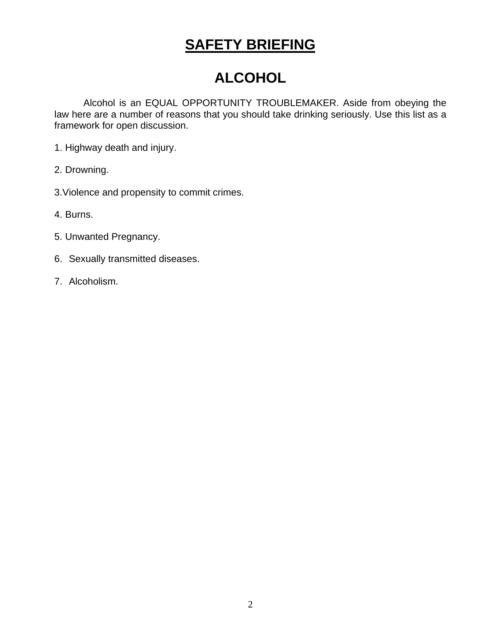# **ALCOHOL**

Alcohol is an EQUAL OPPORTUNITY TROUBLEMAKER. Aside from obeying the law here are a number of reasons that you should take drinking seriously. Use this list as a framework for open discussion.

- 1. Highway death and injury.
- 2. Drowning.
- 3.Violence and propensity to commit crimes.
- 4. Burns.
- 5. Unwanted Pregnancy.
- 6. Sexually transmitted diseases.
- 7. Alcoholism.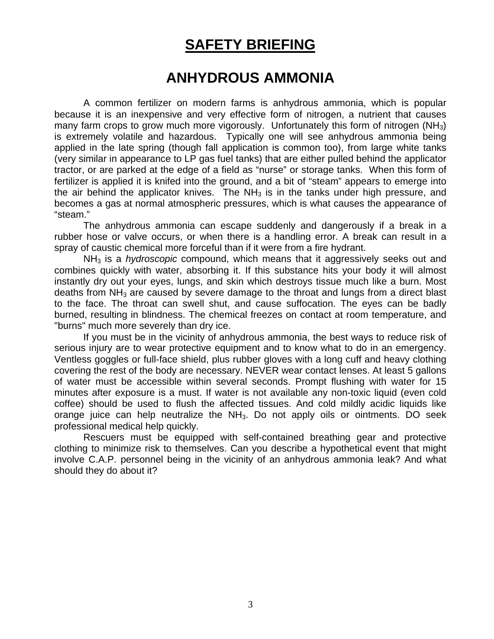#### **ANHYDROUS AMMONIA**

A common fertilizer on modern farms is anhydrous ammonia, which is popular because it is an inexpensive and very effective form of nitrogen, a nutrient that causes many farm crops to grow much more vigorously. Unfortunately this form of nitrogen (NH<sub>3</sub>) is extremely volatile and hazardous. Typically one will see anhydrous ammonia being applied in the late spring (though fall application is common too), from large white tanks (very similar in appearance to LP gas fuel tanks) that are either pulled behind the applicator tractor, or are parked at the edge of a field as "nurse" or storage tanks. When this form of fertilizer is applied it is knifed into the ground, and a bit of "steam" appears to emerge into the air behind the applicator knives. The  $NH<sub>3</sub>$  is in the tanks under high pressure, and becomes a gas at normal atmospheric pressures, which is what causes the appearance of "steam."

The anhydrous ammonia can escape suddenly and dangerously if a break in a rubber hose or valve occurs, or when there is a handling error. A break can result in a spray of caustic chemical more forceful than if it were from a fire hydrant.

NH3 is a *hydroscopic* compound, which means that it aggressively seeks out and combines quickly with water, absorbing it. If this substance hits your body it will almost instantly dry out your eyes, lungs, and skin which destroys tissue much like a burn. Most deaths from  $NH<sub>3</sub>$  are caused by severe damage to the throat and lungs from a direct blast to the face. The throat can swell shut, and cause suffocation. The eyes can be badly burned, resulting in blindness. The chemical freezes on contact at room temperature, and "burns" much more severely than dry ice.

If you must be in the vicinity of anhydrous ammonia, the best ways to reduce risk of serious injury are to wear protective equipment and to know what to do in an emergency. Ventless goggles or full-face shield, plus rubber gloves with a long cuff and heavy clothing covering the rest of the body are necessary. NEVER wear contact lenses. At least 5 gallons of water must be accessible within several seconds. Prompt flushing with water for 15 minutes after exposure is a must. If water is not available any non-toxic liquid (even cold coffee) should be used to flush the affected tissues. And cold mildly acidic liquids like orange juice can help neutralize the NH<sub>3</sub>. Do not apply oils or ointments. DO seek professional medical help quickly.

Rescuers must be equipped with self-contained breathing gear and protective clothing to minimize risk to themselves. Can you describe a hypothetical event that might involve C.A.P. personnel being in the vicinity of an anhydrous ammonia leak? And what should they do about it?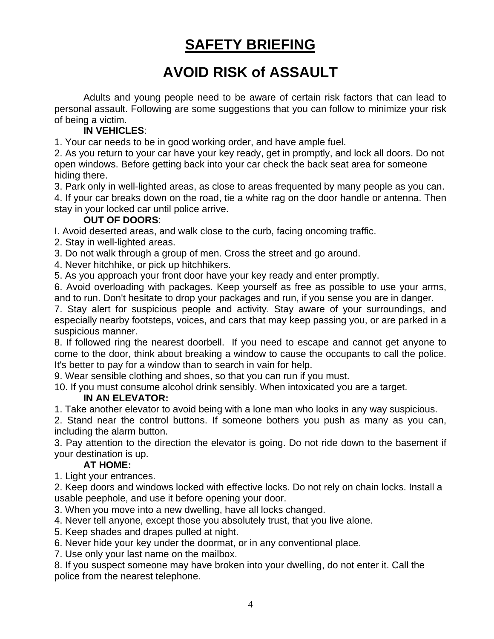#### **AVOID RISK of ASSAULT**

Adults and young people need to be aware of certain risk factors that can lead to personal assault. Following are some suggestions that you can follow to minimize your risk of being a victim.

#### **IN VEHICLES**:

1. Your car needs to be in good working order, and have ample fuel.

2. As you return to your car have your key ready, get in promptly, and lock all doors. Do not open windows. Before getting back into your car check the back seat area for someone hiding there.

3. Park only in well-lighted areas, as close to areas frequented by many people as you can. 4. If your car breaks down on the road, tie a white rag on the door handle or antenna. Then

stay in your locked car until police arrive.

#### **OUT OF DOORS**:

I. Avoid deserted areas, and walk close to the curb, facing oncoming traffic.

2. Stay in well-lighted areas.

3. Do not walk through a group of men. Cross the street and go around.

4. Never hitchhike, or pick up hitchhikers.

5. As you approach your front door have your key ready and enter promptly.

6. Avoid overloading with packages. Keep yourself as free as possible to use your arms, and to run. Don't hesitate to drop your packages and run, if you sense you are in danger.

7. Stay alert for suspicious people and activity. Stay aware of your surroundings, and especially nearby footsteps, voices, and cars that may keep passing you, or are parked in a suspicious manner.

8. If followed ring the nearest doorbell. If you need to escape and cannot get anyone to come to the door, think about breaking a window to cause the occupants to call the police. It's better to pay for a window than to search in vain for help.

9. Wear sensible clothing and shoes, so that you can run if you must.

10. If you must consume alcohol drink sensibly. When intoxicated you are a target.

#### **IN AN ELEVATOR:**

1. Take another elevator to avoid being with a lone man who looks in any way suspicious.

2. Stand near the control buttons. If someone bothers you push as many as you can, including the alarm button.

3. Pay attention to the direction the elevator is going. Do not ride down to the basement if your destination is up.

#### **AT HOME:**

1. Light your entrances.

2. Keep doors and windows locked with effective locks. Do not rely on chain locks. Install a usable peephole, and use it before opening your door.

3. When you move into a new dwelling, have all locks changed.

4. Never tell anyone, except those you absolutely trust, that you live alone.

5. Keep shades and drapes pulled at night.

6. Never hide your key under the doormat, or in any conventional place.

7. Use only your last name on the mailbox.

8. If you suspect someone may have broken into your dwelling, do not enter it. Call the police from the nearest telephone.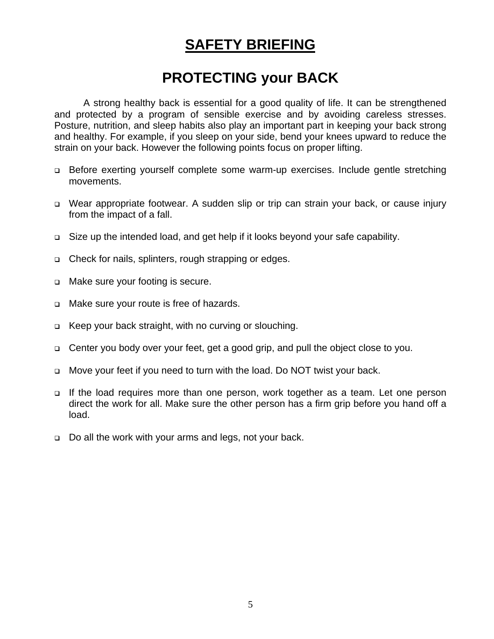## **PROTECTING your BACK**

A strong healthy back is essential for a good quality of life. It can be strengthened and protected by a program of sensible exercise and by avoiding careless stresses. Posture, nutrition, and sleep habits also play an important part in keeping your back strong and healthy. For example, if you sleep on your side, bend your knees upward to reduce the strain on your back. However the following points focus on proper lifting.

- <sup>q</sup> Before exerting yourself complete some warm-up exercises. Include gentle stretching movements.
- <sup>q</sup> Wear appropriate footwear. A sudden slip or trip can strain your back, or cause injury from the impact of a fall.
- <sup>q</sup> Size up the intended load, and get help if it looks beyond your safe capability.
- □ Check for nails, splinters, rough strapping or edges.
- □ Make sure your footing is secure.
- <sup>q</sup> Make sure your route is free of hazards.
- <sup>q</sup> Keep your back straight, with no curving or slouching.
- <sup>q</sup> Center you body over your feet, get a good grip, and pull the object close to you.
- <sup>q</sup> Move your feet if you need to turn with the load. Do NOT twist your back.
- <sup>q</sup> If the load requires more than one person, work together as a team. Let one person direct the work for all. Make sure the other person has a firm grip before you hand off a load.
- □ Do all the work with your arms and legs, not your back.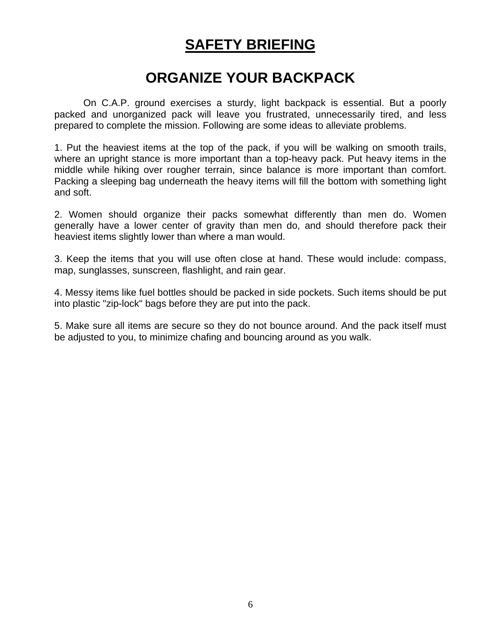#### **ORGANIZE YOUR BACKPACK**

On C.A.P. ground exercises a sturdy, light backpack is essential. But a poorly packed and unorganized pack will leave you frustrated, unnecessarily tired, and less prepared to complete the mission. Following are some ideas to alleviate problems.

1. Put the heaviest items at the top of the pack, if you will be walking on smooth trails, where an upright stance is more important than a top-heavy pack. Put heavy items in the middle while hiking over rougher terrain, since balance is more important than comfort. Packing a sleeping bag underneath the heavy items will fill the bottom with something light and soft.

2. Women should organize their packs somewhat differently than men do. Women generally have a lower center of gravity than men do, and should therefore pack their heaviest items slightly lower than where a man would.

3. Keep the items that you will use often close at hand. These would include: compass, map, sunglasses, sunscreen, flashlight, and rain gear.

4. Messy items like fuel bottles should be packed in side pockets. Such items should be put into plastic "zip-lock" bags before they are put into the pack.

5. Make sure all items are secure so they do not bounce around. And the pack itself must be adjusted to you, to minimize chafing and bouncing around as you walk.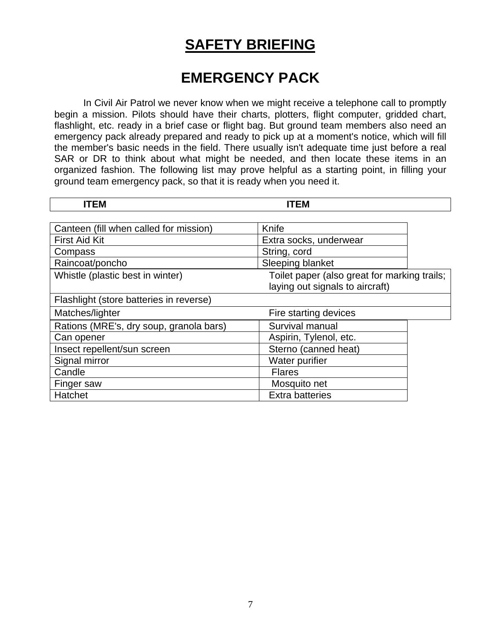## **EMERGENCY PACK**

In Civil Air Patrol we never know when we might receive a telephone call to promptly begin a mission. Pilots should have their charts, plotters, flight computer, gridded chart, flashlight, etc. ready in a brief case or flight bag. But ground team members also need an emergency pack already prepared and ready to pick up at a moment's notice, which will fill the member's basic needs in the field. There usually isn't adequate time just before a real SAR or DR to think about what might be needed, and then locate these items in an organized fashion. The following list may prove helpful as a starting point, in filling your ground team emergency pack, so that it is ready when you need it.

| <b>ITEM</b>                                                                      | <b>ITEM</b>                     |  |
|----------------------------------------------------------------------------------|---------------------------------|--|
|                                                                                  |                                 |  |
| Canteen (fill when called for mission)                                           | Knife                           |  |
| <b>First Aid Kit</b>                                                             | Extra socks, underwear          |  |
| Compass                                                                          | String, cord                    |  |
| Raincoat/poncho                                                                  | Sleeping blanket                |  |
| Whistle (plastic best in winter)<br>Toilet paper (also great for marking trails; |                                 |  |
|                                                                                  | laying out signals to aircraft) |  |
| Flashlight (store batteries in reverse)                                          |                                 |  |
| Matches/lighter<br>Fire starting devices                                         |                                 |  |
| Rations (MRE's, dry soup, granola bars)                                          | Survival manual                 |  |
| Can opener                                                                       | Aspirin, Tylenol, etc.          |  |
| Insect repellent/sun screen                                                      | Sterno (canned heat)            |  |
| Signal mirror                                                                    | Water purifier                  |  |
| Candle                                                                           | <b>Flares</b>                   |  |
| Finger saw                                                                       | Mosquito net                    |  |
| Hatchet                                                                          | <b>Extra batteries</b>          |  |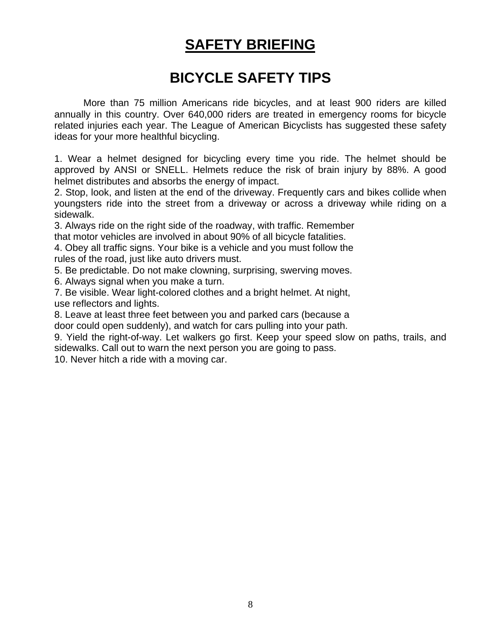## **BICYCLE SAFETY TIPS**

More than 75 million Americans ride bicycles, and at least 900 riders are killed annually in this country. Over 640,000 riders are treated in emergency rooms for bicycle related injuries each year. The League of American Bicyclists has suggested these safety ideas for your more healthful bicycling.

1. Wear a helmet designed for bicycling every time you ride. The helmet should be approved by ANSI or SNELL. Helmets reduce the risk of brain injury by 88%. A good helmet distributes and absorbs the energy of impact.

2. Stop, look, and listen at the end of the driveway. Frequently cars and bikes collide when youngsters ride into the street from a driveway or across a driveway while riding on a sidewalk.

3. Always ride on the right side of the roadway, with traffic. Remember

that motor vehicles are involved in about 90% of all bicycle fatalities.

4. Obey all traffic signs. Your bike is a vehicle and you must follow the rules of the road, just like auto drivers must.

5. Be predictable. Do not make clowning, surprising, swerving moves.

6. Always signal when you make a turn.

7. Be visible. Wear light-colored clothes and a bright helmet. At night, use reflectors and lights.

8. Leave at least three feet between you and parked cars (because a door could open suddenly), and watch for cars pulling into your path.

9. Yield the right-of-way. Let walkers go first. Keep your speed slow on paths, trails, and sidewalks. Call out to warn the next person you are going to pass.

10. Never hitch a ride with a moving car.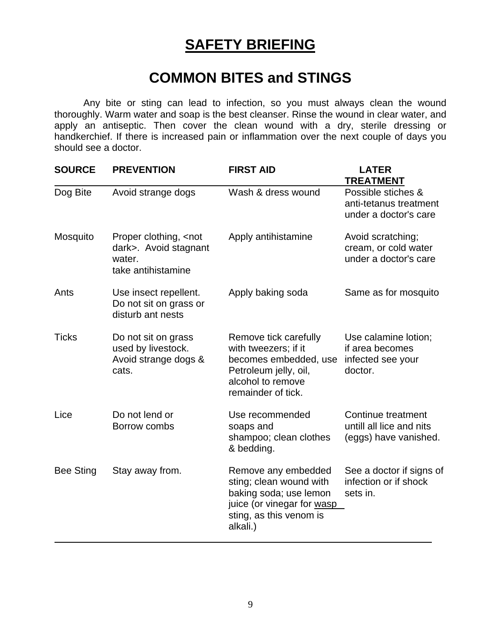#### **COMMON BITES and STINGS**

Any bite or sting can lead to infection, so you must always clean the wound thoroughly. Warm water and soap is the best cleanser. Rinse the wound in clear water, and apply an antiseptic. Then cover the clean wound with a dry, sterile dressing or handkerchief. If there is increased pain or inflammation over the next couple of days you should see a doctor.

| <b>SOURCE</b>    | <b>PREVENTION</b>                                                                            | <b>FIRST AID</b>                                                                                                                              | <b>LATER</b><br><b>TREATMENT</b>                                        |
|------------------|----------------------------------------------------------------------------------------------|-----------------------------------------------------------------------------------------------------------------------------------------------|-------------------------------------------------------------------------|
| Dog Bite         | Avoid strange dogs                                                                           | Wash & dress wound                                                                                                                            | Possible stiches &<br>anti-tetanus treatment<br>under a doctor's care   |
| Mosquito         | Proper clothing, <not<br>dark&gt;. Avoid stagnant<br/>water.<br/>take antihistamine</not<br> | Apply antihistamine                                                                                                                           | Avoid scratching;<br>cream, or cold water<br>under a doctor's care      |
| Ants             | Use insect repellent.<br>Do not sit on grass or<br>disturb ant nests                         | Apply baking soda                                                                                                                             | Same as for mosquito                                                    |
| <b>Ticks</b>     | Do not sit on grass<br>used by livestock.<br>Avoid strange dogs &<br>cats.                   | Remove tick carefully<br>with tweezers; if it<br>becomes embedded, use<br>Petroleum jelly, oil,<br>alcohol to remove<br>remainder of tick.    | Use calamine lotion;<br>if area becomes<br>infected see your<br>doctor. |
| Lice             | Do not lend or<br>Borrow combs                                                               | Use recommended<br>soaps and<br>shampoo; clean clothes<br>& bedding.                                                                          | Continue treatment<br>untill all lice and nits<br>(eggs) have vanished. |
| <b>Bee Sting</b> | Stay away from.                                                                              | Remove any embedded<br>sting; clean wound with<br>baking soda; use lemon<br>juice (or vinegar for wasp<br>sting, as this venom is<br>alkali.) | See a doctor if signs of<br>infection or if shock<br>sets in.           |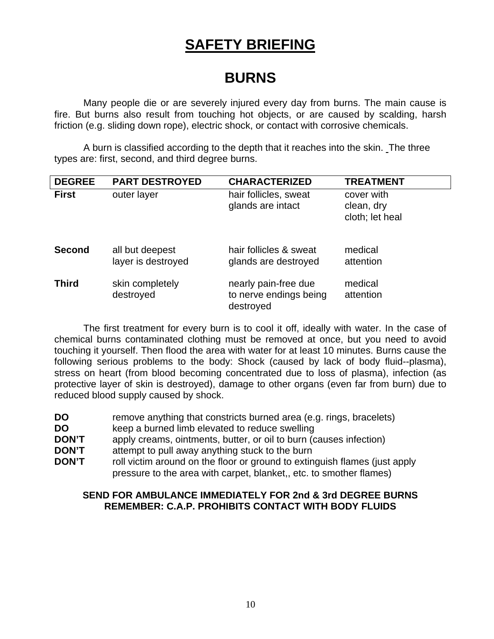#### **BURNS**

Many people die or are severely injured every day from burns. The main cause is fire. But burns also result from touching hot objects, or are caused by scalding, harsh friction (e.g. sliding down rope), electric shock, or contact with corrosive chemicals.

A burn is classified according to the depth that it reaches into the skin. The three types are: first, second, and third degree burns.

| <b>DEGREE</b> | <b>PART DESTROYED</b>                 | <b>CHARACTERIZED</b>                                        | <b>TREATMENT</b>                            |
|---------------|---------------------------------------|-------------------------------------------------------------|---------------------------------------------|
| <b>First</b>  | outer layer                           | hair follicles, sweat<br>glands are intact                  | cover with<br>clean, dry<br>cloth; let heal |
| <b>Second</b> | all but deepest<br>layer is destroyed | hair follicles & sweat<br>glands are destroyed              | medical<br>attention                        |
| <b>Third</b>  | skin completely<br>destroyed          | nearly pain-free due<br>to nerve endings being<br>destroyed | medical<br>attention                        |

The first treatment for every burn is to cool it off, ideally with water. In the case of chemical burns contaminated clothing must be removed at once, but you need to avoid touching it yourself. Then flood the area with water for at least 10 minutes. Burns cause the following serious problems to the body: Shock (caused by lack of body fluid--plasma), stress on heart (from blood becoming concentrated due to loss of plasma), infection (as protective layer of skin is destroyed), damage to other organs (even far from burn) due to reduced blood supply caused by shock.

| <b>DO</b> |  |  | remove anything that constricts burned area (e.g. rings, bracelets) |
|-----------|--|--|---------------------------------------------------------------------|
|-----------|--|--|---------------------------------------------------------------------|

- **DO** keep a burned limb elevated to reduce swelling
- **DON'T** apply creams, ointments, butter, or oil to burn (causes infection)
- **DON'T** attempt to pull away anything stuck to the burn

**DON'T** roll victim around on the floor or ground to extinguish flames (just apply pressure to the area with carpet, blanket,, etc. to smother flames)

#### **SEND FOR AMBULANCE IMMEDIATELY FOR 2nd & 3rd DEGREE BURNS REMEMBER: C.A.P. PROHIBITS CONTACT WITH BODY FLUIDS**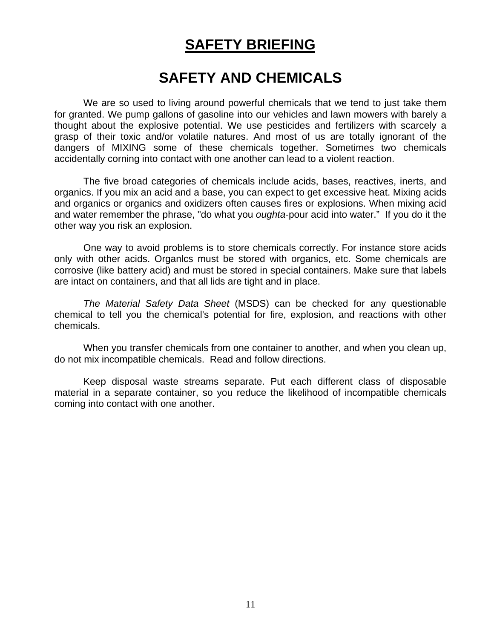#### **SAFETY AND CHEMICALS**

We are so used to living around powerful chemicals that we tend to just take them for granted. We pump gallons of gasoline into our vehicles and lawn mowers with barely a thought about the explosive potential. We use pesticides and fertilizers with scarcely a grasp of their toxic and/or volatile natures. And most of us are totally ignorant of the dangers of MIXING some of these chemicals together. Sometimes two chemicals accidentally corning into contact with one another can lead to a violent reaction.

The five broad categories of chemicals include acids, bases, reactives, inerts, and organics. If you mix an acid and a base, you can expect to get excessive heat. Mixing acids and organics or organics and oxidizers often causes fires or explosions. When mixing acid and water remember the phrase, "do what you *oughta*-pour acid into water." If you do it the other way you risk an explosion.

One way to avoid problems is to store chemicals correctly. For instance store acids only with other acids. Organlcs must be stored with organics, etc. Some chemicals are corrosive (like battery acid) and must be stored in special containers. Make sure that labels are intact on containers, and that all lids are tight and in place.

*The Material Safety Data Sheet* (MSDS) can be checked for any questionable chemical to tell you the chemical's potential for fire, explosion, and reactions with other chemicals.

When you transfer chemicals from one container to another, and when you clean up, do not mix incompatible chemicals. Read and follow directions.

Keep disposal waste streams separate. Put each different class of disposable material in a separate container, so you reduce the likelihood of incompatible chemicals coming into contact with one another.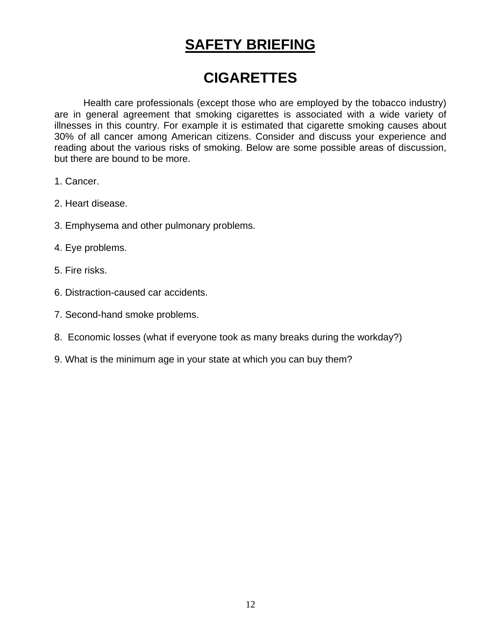## **CIGARETTES**

Health care professionals (except those who are employed by the tobacco industry) are in general agreement that smoking cigarettes is associated with a wide variety of illnesses in this country. For example it is estimated that cigarette smoking causes about 30% of all cancer among American citizens. Consider and discuss your experience and reading about the various risks of smoking. Below are some possible areas of discussion, but there are bound to be more.

- 1. Cancer.
- 2. Heart disease.
- 3. Emphysema and other pulmonary problems.
- 4. Eye problems.
- 5. Fire risks.
- 6. Distraction-caused car accidents.
- 7. Second-hand smoke problems.
- 8. Economic losses (what if everyone took as many breaks during the workday?)
- 9. What is the minimum age in your state at which you can buy them?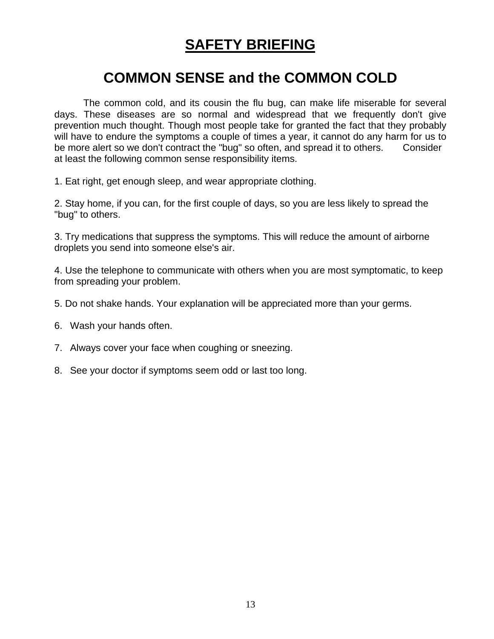#### **COMMON SENSE and the COMMON COLD**

The common cold, and its cousin the flu bug, can make life miserable for several days. These diseases are so normal and widespread that we frequently don't give prevention much thought. Though most people take for granted the fact that they probably will have to endure the symptoms a couple of times a year, it cannot do any harm for us to be more alert so we don't contract the "bug" so often, and spread it to others. Consider at least the following common sense responsibility items.

1. Eat right, get enough sleep, and wear appropriate clothing.

2. Stay home, if you can, for the first couple of days, so you are less likely to spread the "bug" to others.

3. Try medications that suppress the symptoms. This will reduce the amount of airborne droplets you send into someone else's air.

4. Use the telephone to communicate with others when you are most symptomatic, to keep from spreading your problem.

- 5. Do not shake hands. Your explanation will be appreciated more than your germs.
- 6. Wash your hands often.
- 7. Always cover your face when coughing or sneezing.
- 8. See your doctor if symptoms seem odd or last too long.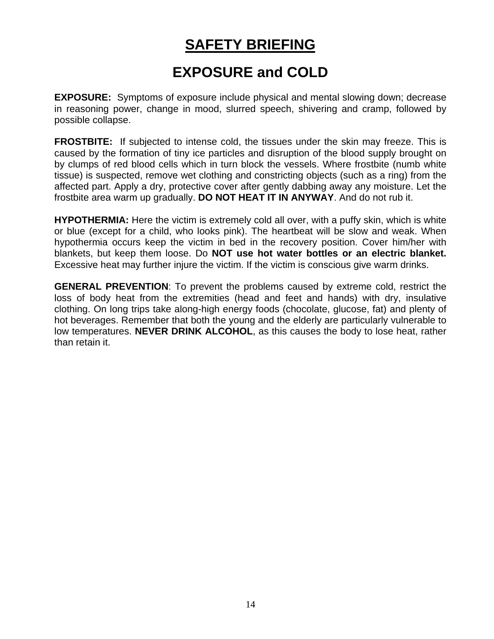#### **EXPOSURE and COLD**

**EXPOSURE:** Symptoms of exposure include physical and mental slowing down; decrease in reasoning power, change in mood, slurred speech, shivering and cramp, followed by possible collapse.

**FROSTBITE:** If subjected to intense cold, the tissues under the skin may freeze. This is caused by the formation of tiny ice particles and disruption of the blood supply brought on by clumps of red blood cells which in turn block the vessels. Where frostbite (numb white tissue) is suspected, remove wet clothing and constricting objects (such as a ring) from the affected part. Apply a dry, protective cover after gently dabbing away any moisture. Let the frostbite area warm up gradually. **DO NOT HEAT IT IN ANYWAY**. And do not rub it.

**HYPOTHERMIA:** Here the victim is extremely cold all over, with a puffy skin, which is white or blue (except for a child, who looks pink). The heartbeat will be slow and weak. When hypothermia occurs keep the victim in bed in the recovery position. Cover him/her with blankets, but keep them loose. Do **NOT use hot water bottles or an electric blanket.** Excessive heat may further injure the victim. If the victim is conscious give warm drinks.

**GENERAL PREVENTION**: To prevent the problems caused by extreme cold, restrict the loss of body heat from the extremities (head and feet and hands) with dry, insulative clothing. On long trips take along-high energy foods (chocolate, glucose, fat) and plenty of hot beverages. Remember that both the young and the elderly are particularly vulnerable to low temperatures. **NEVER DRINK ALCOHOL**, as this causes the body to lose heat, rather than retain it.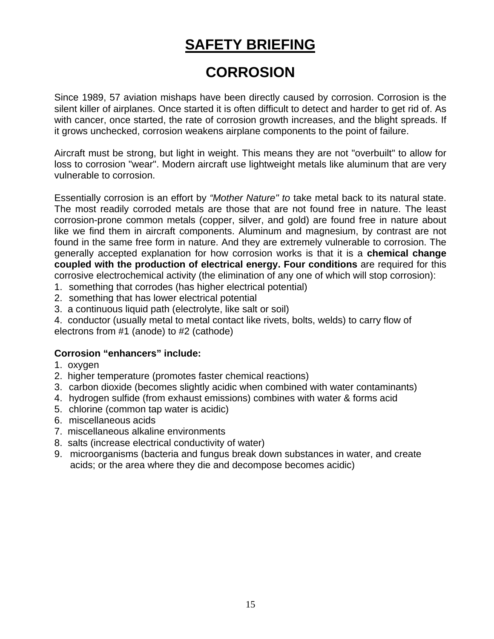#### **CORROSION**

Since 1989, 57 aviation mishaps have been directly caused by corrosion. Corrosion is the silent killer of airplanes. Once started it is often difficult to detect and harder to get rid of. As with cancer, once started, the rate of corrosion growth increases, and the blight spreads. If it grows unchecked, corrosion weakens airplane components to the point of failure.

Aircraft must be strong, but light in weight. This means they are not "overbuilt" to allow for loss to corrosion "wear". Modern aircraft use lightweight metals like aluminum that are very vulnerable to corrosion.

Essentially corrosion is an effort by *"Mother Nature" to* take metal back to its natural state. The most readily corroded metals are those that are not found free in nature. The least corrosion-prone common metals (copper, silver, and gold) are found free in nature about like we find them in aircraft components. Aluminum and magnesium, by contrast are not found in the same free form in nature. And they are extremely vulnerable to corrosion. The generally accepted explanation for how corrosion works is that it is a **chemical change coupled with the production of electrical energy. Four conditions** are required for this corrosive electrochemical activity (the elimination of any one of which will stop corrosion):

- 1. something that corrodes (has higher electrical potential)
- 2. something that has lower electrical potential
- 3. a continuous liquid path (electrolyte, like salt or soil)
- 4. conductor (usually metal to metal contact like rivets, bolts, welds) to carry flow of electrons from #1 (anode) to #2 (cathode)

#### **Corrosion "enhancers" include:**

- 1. oxygen
- 2. higher temperature (promotes faster chemical reactions)
- 3. carbon dioxide (becomes slightly acidic when combined with water contaminants)
- 4. hydrogen sulfide (from exhaust emissions) combines with water & forms acid
- 5. chlorine (common tap water is acidic)
- 6. miscellaneous acids
- 7. miscellaneous alkaline environments
- 8. salts (increase electrical conductivity of water)
- 9. microorganisms (bacteria and fungus break down substances in water, and create acids; or the area where they die and decompose becomes acidic)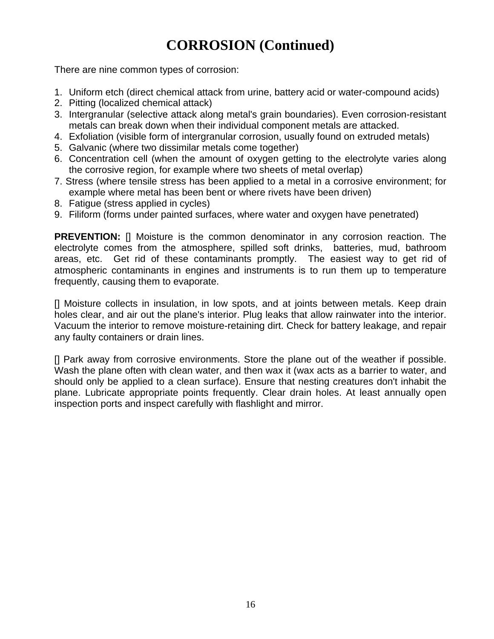#### **CORROSION (Continued)**

There are nine common types of corrosion:

- 1. Uniform etch (direct chemical attack from urine, battery acid or water-compound acids)
- 2. Pitting (localized chemical attack)
- 3. Intergranular (selective attack along metal's grain boundaries). Even corrosion-resistant metals can break down when their individual component metals are attacked.
- 4. Exfoliation (visible form of intergranular corrosion, usually found on extruded metals)
- 5. Galvanic (where two dissimilar metals come together)
- 6. Concentration cell (when the amount of oxygen getting to the electrolyte varies along the corrosive region, for example where two sheets of metal overlap)
- 7. Stress (where tensile stress has been applied to a metal in a corrosive environment; for example where metal has been bent or where rivets have been driven)
- 8. Fatigue (stress applied in cycles)
- 9. Filiform (forms under painted surfaces, where water and oxygen have penetrated)

**PREVENTION:** [] Moisture is the common denominator in any corrosion reaction. The electrolyte comes from the atmosphere, spilled soft drinks, batteries, mud, bathroom areas, etc. Get rid of these contaminants promptly. The easiest way to get rid of atmospheric contaminants in engines and instruments is to run them up to temperature frequently, causing them to evaporate.

[] Moisture collects in insulation, in low spots, and at joints between metals. Keep drain holes clear, and air out the plane's interior. Plug leaks that allow rainwater into the interior. Vacuum the interior to remove moisture-retaining dirt. Check for battery leakage, and repair any faulty containers or drain lines.

[] Park away from corrosive environments. Store the plane out of the weather if possible. Wash the plane often with clean water, and then wax it (wax acts as a barrier to water, and should only be applied to a clean surface). Ensure that nesting creatures don't inhabit the plane. Lubricate appropriate points frequently. Clear drain holes. At least annually open inspection ports and inspect carefully with flashlight and mirror.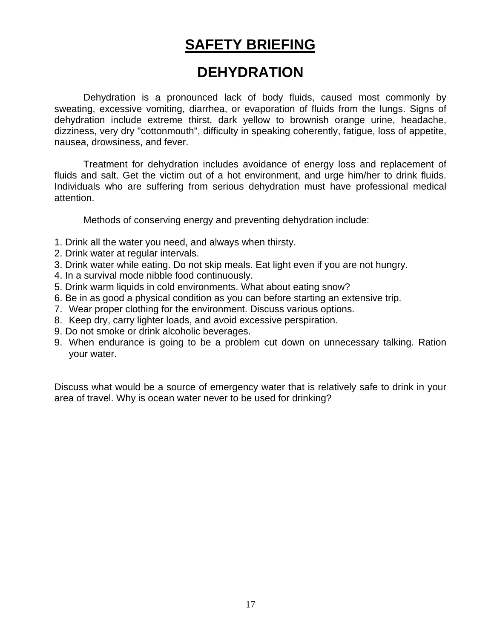#### **DEHYDRATION**

Dehydration is a pronounced lack of body fluids, caused most commonly by sweating, excessive vomiting, diarrhea, or evaporation of fluids from the lungs. Signs of dehydration include extreme thirst, dark yellow to brownish orange urine, headache, dizziness, very dry "cottonmouth", difficulty in speaking coherently, fatigue, loss of appetite, nausea, drowsiness, and fever.

Treatment for dehydration includes avoidance of energy loss and replacement of fluids and salt. Get the victim out of a hot environment, and urge him/her to drink fluids. Individuals who are suffering from serious dehydration must have professional medical attention.

Methods of conserving energy and preventing dehydration include:

- 1. Drink all the water you need, and always when thirsty.
- 2. Drink water at regular intervals.
- 3. Drink water while eating. Do not skip meals. Eat light even if you are not hungry.
- 4. In a survival mode nibble food continuously.
- 5. Drink warm liquids in cold environments. What about eating snow?
- 6. Be in as good a physical condition as you can before starting an extensive trip.
- 7. Wear proper clothing for the environment. Discuss various options.
- 8. Keep dry, carry lighter loads, and avoid excessive perspiration.
- 9. Do not smoke or drink alcoholic beverages.
- 9. When endurance is going to be a problem cut down on unnecessary talking. Ration your water.

Discuss what would be a source of emergency water that is relatively safe to drink in your area of travel. Why is ocean water never to be used for drinking?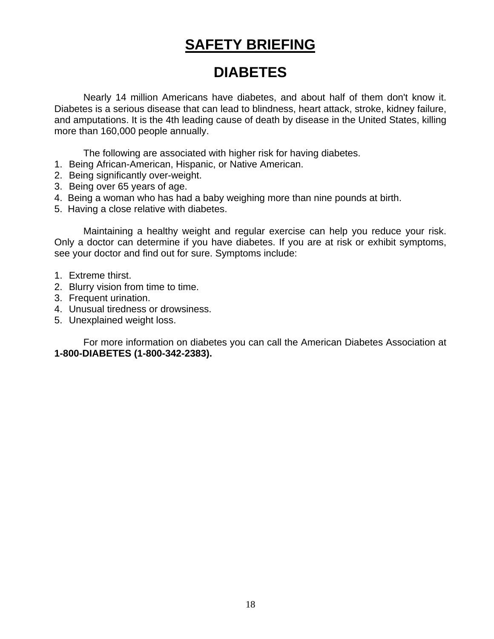#### **DIABETES**

Nearly 14 million Americans have diabetes, and about half of them don't know it. Diabetes is a serious disease that can lead to blindness, heart attack, stroke, kidney failure, and amputations. It is the 4th leading cause of death by disease in the United States, killing more than 160,000 people annually.

The following are associated with higher risk for having diabetes.

- 1. Being African-American, Hispanic, or Native American.
- 2. Being significantly over-weight.
- 3. Being over 65 years of age.
- 4. Being a woman who has had a baby weighing more than nine pounds at birth.
- 5. Having a close relative with diabetes.

Maintaining a healthy weight and regular exercise can help you reduce your risk. Only a doctor can determine if you have diabetes. If you are at risk or exhibit symptoms, see your doctor and find out for sure. Symptoms include:

- 1. Extreme thirst.
- 2. Blurry vision from time to time.
- 3. Frequent urination.
- 4. Unusual tiredness or drowsiness.
- 5. Unexplained weight loss.

For more information on diabetes you can call the American Diabetes Association at **1-800-DIABETES (1-800-342-2383).**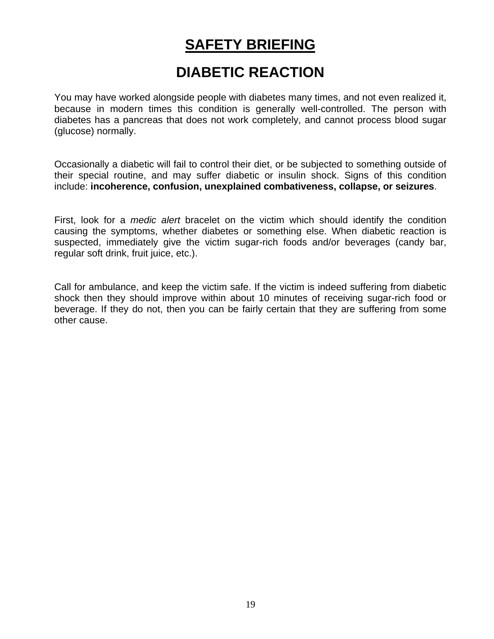#### **DIABETIC REACTION**

You may have worked alongside people with diabetes many times, and not even realized it, because in modern times this condition is generally well-controlled. The person with diabetes has a pancreas that does not work completely, and cannot process blood sugar (glucose) normally.

Occasionally a diabetic will fail to control their diet, or be subjected to something outside of their special routine, and may suffer diabetic or insulin shock. Signs of this condition include: **incoherence, confusion, unexplained combativeness, collapse, or seizures**.

First, look for a *medic alert* bracelet on the victim which should identify the condition causing the symptoms, whether diabetes or something else. When diabetic reaction is suspected, immediately give the victim sugar-rich foods and/or beverages (candy bar, regular soft drink, fruit juice, etc.).

Call for ambulance, and keep the victim safe. If the victim is indeed suffering from diabetic shock then they should improve within about 10 minutes of receiving sugar-rich food or beverage. If they do not, then you can be fairly certain that they are suffering from some other cause.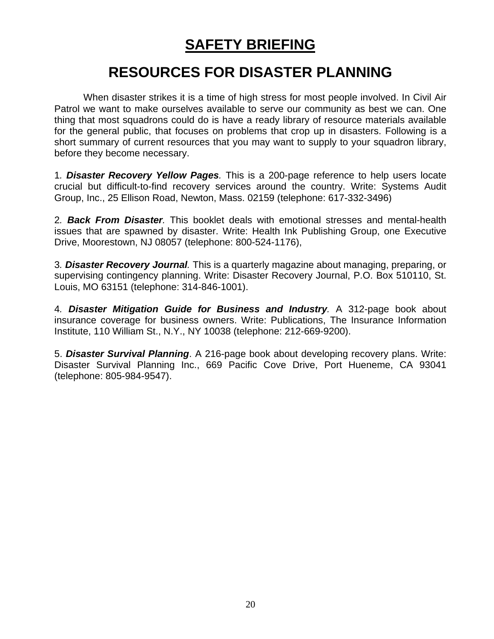#### **RESOURCES FOR DISASTER PLANNING**

When disaster strikes it is a time of high stress for most people involved. In Civil Air Patrol we want to make ourselves available to serve our community as best we can. One thing that most squadrons could do is have a ready library of resource materials available for the general public, that focuses on problems that crop up in disasters. Following is a short summary of current resources that you may want to supply to your squadron library, before they become necessary.

1*. Disaster Recovery Yellow Pages.* This is a 200-page reference to help users locate crucial but difficult-to-find recovery services around the country. Write: Systems Audit Group, Inc., 25 Ellison Road, Newton, Mass. 02159 (telephone: 617-332-3496)

2*. Back From Disaster.* This booklet deals with emotional stresses and mental-health issues that are spawned by disaster. Write: Health Ink Publishing Group, one Executive Drive, Moorestown, NJ 08057 (telephone: 800-524-1176),

3*. Disaster Recovery Journal.* This is a quarterly magazine about managing, preparing, or supervising contingency planning. Write: Disaster Recovery Journal, P.O. Box 510110, St. Louis, MO 63151 (telephone: 314-846-1001).

4*. Disaster Mitigation Guide for Business and Industry.* A 312-page book about insurance coverage for business owners. Write: Publications, The Insurance Information Institute, 110 William St., N.Y., NY 10038 (telephone: 212-669-9200).

5. *Disaster Survival Planning*. A 216-page book about developing recovery plans. Write: Disaster Survival Planning Inc., 669 Pacific Cove Drive, Port Hueneme, CA 93041 (telephone: 805-984-9547).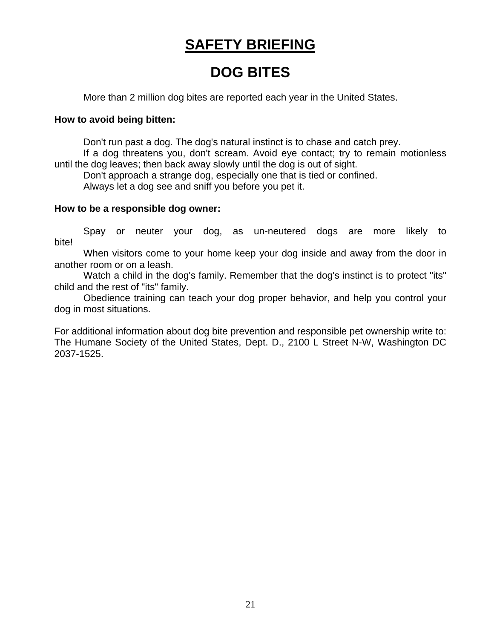#### **DOG BITES**

More than 2 million dog bites are reported each year in the United States.

#### **How to avoid being bitten:**

Don't run past a dog. The dog's natural instinct is to chase and catch prey.

If a dog threatens you, don't scream. Avoid eye contact; try to remain motionless until the dog leaves; then back away slowly until the dog is out of sight.

Don't approach a strange dog, especially one that is tied or confined.

Always let a dog see and sniff you before you pet it.

#### **How to be a responsible dog owner:**

Spay or neuter your dog, as un-neutered dogs are more likely to bite!

When visitors come to your home keep your dog inside and away from the door in another room or on a leash.

Watch a child in the dog's family. Remember that the dog's instinct is to protect "its" child and the rest of "its" family.

Obedience training can teach your dog proper behavior, and help you control your dog in most situations.

For additional information about dog bite prevention and responsible pet ownership write to: The Humane Society of the United States, Dept. D., 2100 L Street N-W, Washington DC 2037-1525.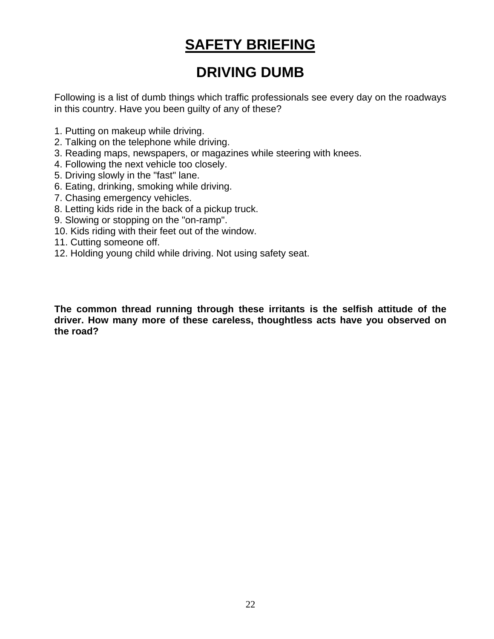#### **DRIVING DUMB**

Following is a list of dumb things which traffic professionals see every day on the roadways in this country. Have you been guilty of any of these?

- 1. Putting on makeup while driving.
- 2. Talking on the telephone while driving.
- 3. Reading maps, newspapers, or magazines while steering with knees.
- 4. Following the next vehicle too closely.
- 5. Driving slowly in the "fast" lane.
- 6. Eating, drinking, smoking while driving.
- 7. Chasing emergency vehicles.
- 8. Letting kids ride in the back of a pickup truck.
- 9. Slowing or stopping on the "on-ramp".
- 10. Kids riding with their feet out of the window.
- 11. Cutting someone off.
- 12. Holding young child while driving. Not using safety seat.

**The common thread running through these irritants is the selfish attitude of the driver. How many more of these careless, thoughtless acts have you observed on the road?**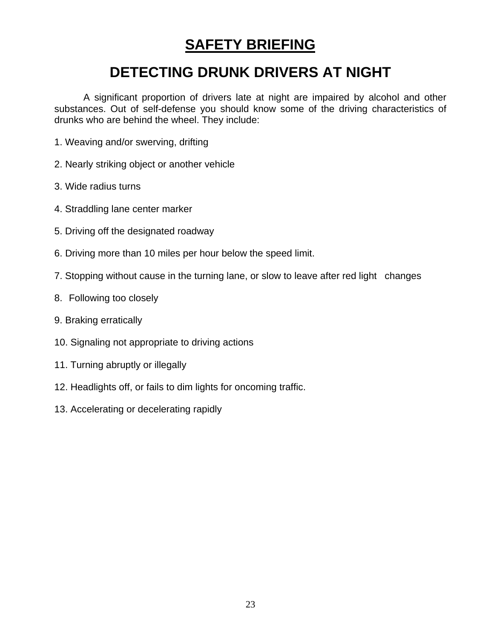#### **DETECTING DRUNK DRIVERS AT NIGHT**

A significant proportion of drivers late at night are impaired by alcohol and other substances. Out of self-defense you should know some of the driving characteristics of drunks who are behind the wheel. They include:

- 1. Weaving and/or swerving, drifting
- 2. Nearly striking object or another vehicle
- 3. Wide radius turns
- 4. Straddling lane center marker
- 5. Driving off the designated roadway
- 6. Driving more than 10 miles per hour below the speed limit.
- 7. Stopping without cause in the turning lane, or slow to leave after red light changes
- 8. Following too closely
- 9. Braking erratically
- 10. Signaling not appropriate to driving actions
- 11. Turning abruptly or illegally
- 12. Headlights off, or fails to dim lights for oncoming traffic.
- 13. Accelerating or decelerating rapidly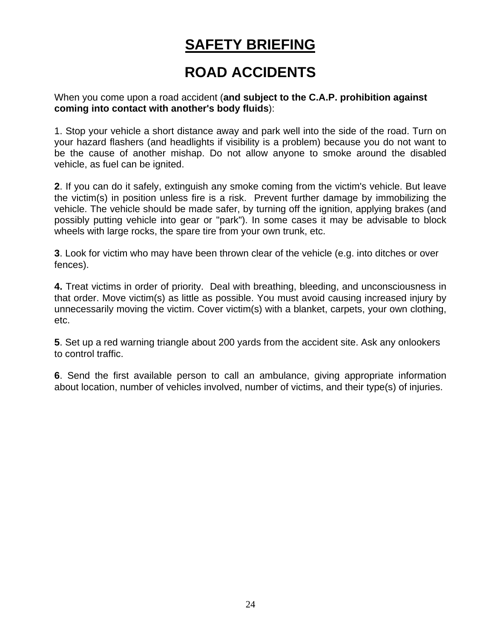#### **ROAD ACCIDENTS**

When you come upon a road accident (**and subject to the C.A.P. prohibition against coming into contact with another's body fluids**):

1. Stop your vehicle a short distance away and park well into the side of the road. Turn on your hazard flashers (and headlights if visibility is a problem) because you do not want to be the cause of another mishap. Do not allow anyone to smoke around the disabled vehicle, as fuel can be ignited.

**2**. If you can do it safely, extinguish any smoke coming from the victim's vehicle. But leave the victim(s) in position unless fire is a risk. Prevent further damage by immobilizing the vehicle. The vehicle should be made safer, by turning off the ignition, applying brakes (and possibly putting vehicle into gear or "park"). In some cases it may be advisable to block wheels with large rocks, the spare tire from your own trunk, etc.

**3**. Look for victim who may have been thrown clear of the vehicle (e.g. into ditches or over fences).

**4.** Treat victims in order of priority. Deal with breathing, bleeding, and unconsciousness in that order. Move victim(s) as little as possible. You must avoid causing increased injury by unnecessarily moving the victim. Cover victim(s) with a blanket, carpets, your own clothing, etc.

**5**. Set up a red warning triangle about 200 yards from the accident site. Ask any onlookers to control traffic.

**6**. Send the first available person to call an ambulance, giving appropriate information about location, number of vehicles involved, number of victims, and their type(s) of injuries.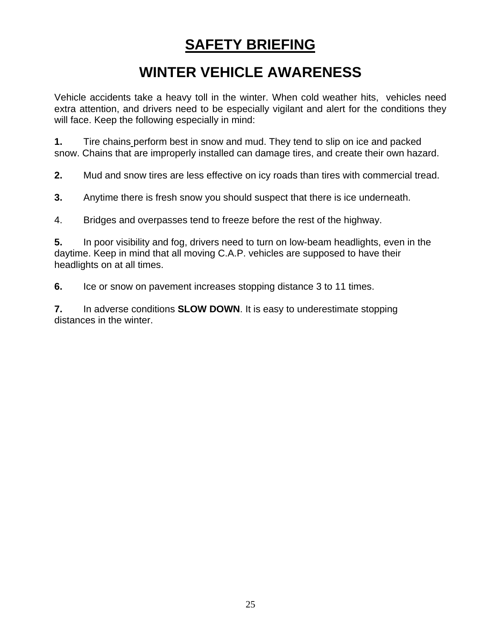#### **WINTER VEHICLE AWARENESS**

Vehicle accidents take a heavy toll in the winter. When cold weather hits, vehicles need extra attention, and drivers need to be especially vigilant and alert for the conditions they will face. Keep the following especially in mind:

**1.** Tire chains perform best in snow and mud. They tend to slip on ice and packed snow. Chains that are improperly installed can damage tires, and create their own hazard.

**2.** Mud and snow tires are less effective on icy roads than tires with commercial tread.

**3.** Anytime there is fresh snow you should suspect that there is ice underneath.

4. Bridges and overpasses tend to freeze before the rest of the highway.

**5.** In poor visibility and fog, drivers need to turn on low-beam headlights, even in the daytime. Keep in mind that all moving C.A.P. vehicles are supposed to have their headlights on at all times.

**6.** Ice or snow on pavement increases stopping distance 3 to 11 times.

**7.** In adverse conditions **SLOW DOWN**. It is easy to underestimate stopping distances in the winter.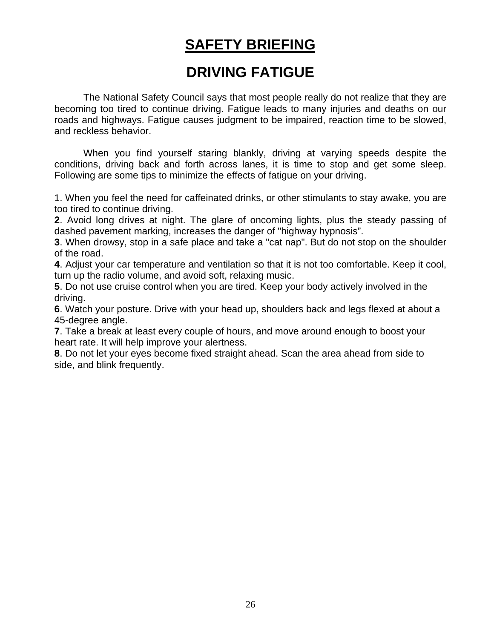#### **DRIVING FATIGUE**

The National Safety Council says that most people really do not realize that they are becoming too tired to continue driving. Fatigue leads to many injuries and deaths on our roads and highways. Fatigue causes judgment to be impaired, reaction time to be slowed, and reckless behavior.

When you find yourself staring blankly, driving at varying speeds despite the conditions, driving back and forth across lanes, it is time to stop and get some sleep. Following are some tips to minimize the effects of fatigue on your driving.

1. When you feel the need for caffeinated drinks, or other stimulants to stay awake, you are too tired to continue driving.

**2**. Avoid long drives at night. The glare of oncoming lights, plus the steady passing of dashed pavement marking, increases the danger of "highway hypnosis".

**3**. When drowsy, stop in a safe place and take a "cat nap". But do not stop on the shoulder of the road.

**4**. Adjust your car temperature and ventilation so that it is not too comfortable. Keep it cool, turn up the radio volume, and avoid soft, relaxing music.

**5**. Do not use cruise control when you are tired. Keep your body actively involved in the driving.

**6**. Watch your posture. Drive with your head up, shoulders back and legs flexed at about a 45-degree angle.

**7**. Take a break at least every couple of hours, and move around enough to boost your heart rate. It will help improve your alertness.

**8**. Do not let your eyes become fixed straight ahead. Scan the area ahead from side to side, and blink frequently.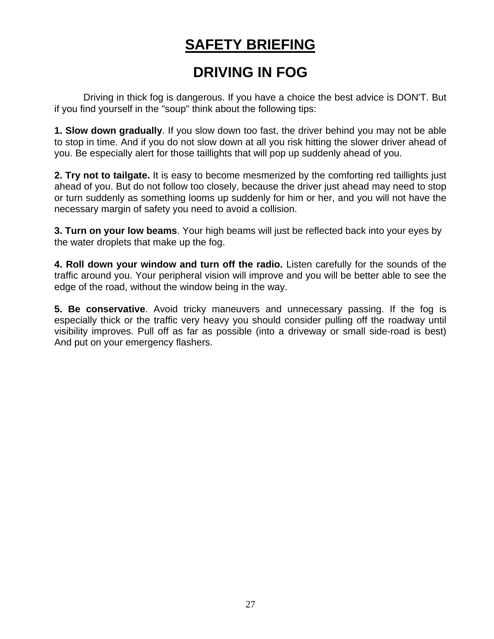### **DRIVING IN FOG**

Driving in thick fog is dangerous. If you have a choice the best advice is DON'T. But if you find yourself in the "soup" think about the following tips:

**1. Slow down gradually**. If you slow down too fast, the driver behind you may not be able to stop in time. And if you do not slow down at all you risk hitting the slower driver ahead of you. Be especially alert for those taillights that will pop up suddenly ahead of you.

**2. Try not to tailgate.** It is easy to become mesmerized by the comforting red taillights just ahead of you. But do not follow too closely, because the driver just ahead may need to stop or turn suddenly as something looms up suddenly for him or her, and you will not have the necessary margin of safety you need to avoid a collision.

**3. Turn on your low beams**. Your high beams will just be reflected back into your eyes by the water droplets that make up the fog.

**4. Roll down your window and turn off the radio.** Listen carefully for the sounds of the traffic around you. Your peripheral vision will improve and you will be better able to see the edge of the road, without the window being in the way.

**5. Be conservative**. Avoid tricky maneuvers and unnecessary passing. If the fog is especially thick or the traffic very heavy you should consider pulling off the roadway until visibility improves. Pull off as far as possible (into a driveway or small side-road is best) And put on your emergency flashers.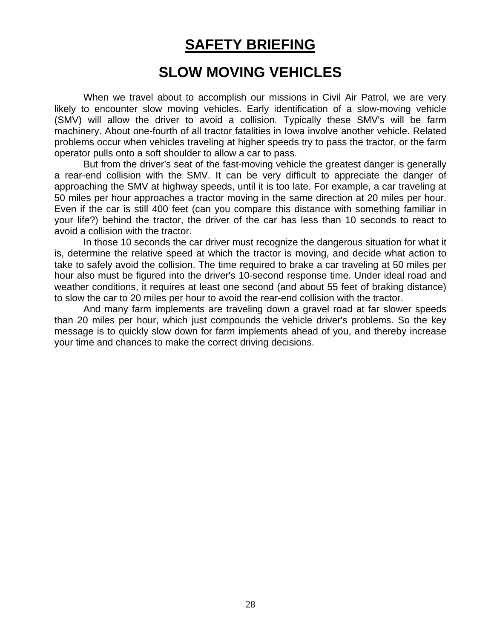#### **SLOW MOVING VEHICLES**

When we travel about to accomplish our missions in Civil Air Patrol, we are very likely to encounter slow moving vehicles. Early identification of a slow-moving vehicle (SMV) will allow the driver to avoid a collision. Typically these SMV's will be farm machinery. About one-fourth of all tractor fatalities in Iowa involve another vehicle. Related problems occur when vehicles traveling at higher speeds try to pass the tractor, or the farm operator pulls onto a soft shoulder to allow a car to pass.

But from the driver's seat of the fast-moving vehicle the greatest danger is generally a rear-end collision with the SMV. It can be very difficult to appreciate the danger of approaching the SMV at highway speeds, until it is too late. For example, a car traveling at 50 miles per hour approaches a tractor moving in the same direction at 20 miles per hour. Even if the car is still 400 feet (can you compare this distance with something familiar in your life?) behind the tractor, the driver of the car has less than 10 seconds to react to avoid a collision with the tractor.

In those 10 seconds the car driver must recognize the dangerous situation for what it is, determine the relative speed at which the tractor is moving, and decide what action to take to safely avoid the collision. The time required to brake a car traveling at 50 miles per hour also must be figured into the driver's 10-second response time. Under ideal road and weather conditions, it requires at least one second (and about 55 feet of braking distance) to slow the car to 20 miles per hour to avoid the rear-end collision with the tractor.

And many farm implements are traveling down a gravel road at far slower speeds than 20 miles per hour, which just compounds the vehicle driver's problems. So the key message is to quickly slow down for farm implements ahead of you, and thereby increase your time and chances to make the correct driving decisions.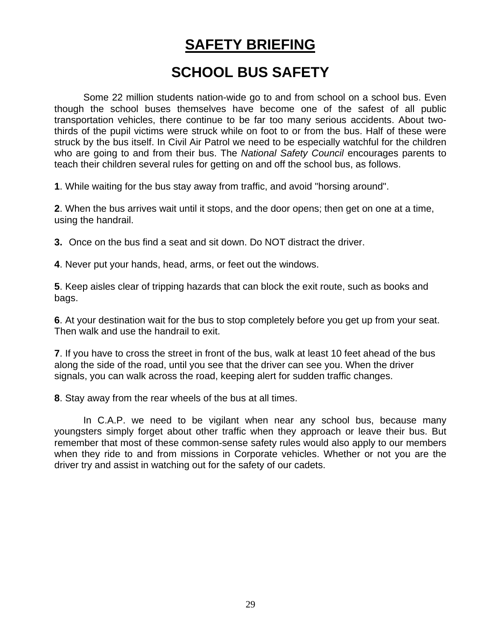### **SCHOOL BUS SAFETY**

Some 22 million students nation-wide go to and from school on a school bus. Even though the school buses themselves have become one of the safest of all public transportation vehicles, there continue to be far too many serious accidents. About twothirds of the pupil victims were struck while on foot to or from the bus. Half of these were struck by the bus itself. In Civil Air Patrol we need to be especially watchful for the children who are going to and from their bus. The *National Safety Council* encourages parents to teach their children several rules for getting on and off the school bus, as follows.

**1**. While waiting for the bus stay away from traffic, and avoid "horsing around".

**2**. When the bus arrives wait until it stops, and the door opens; then get on one at a time, using the handrail.

**3.** Once on the bus find a seat and sit down. Do NOT distract the driver.

**4**. Never put your hands, head, arms, or feet out the windows.

**5**. Keep aisles clear of tripping hazards that can block the exit route, such as books and bags.

**6**. At your destination wait for the bus to stop completely before you get up from your seat. Then walk and use the handrail to exit.

**7**. If you have to cross the street in front of the bus, walk at least 10 feet ahead of the bus along the side of the road, until you see that the driver can see you. When the driver signals, you can walk across the road, keeping alert for sudden traffic changes.

**8**. Stay away from the rear wheels of the bus at all times.

In C.A.P. we need to be vigilant when near any school bus, because many youngsters simply forget about other traffic when they approach or leave their bus. But remember that most of these common-sense safety rules would also apply to our members when they ride to and from missions in Corporate vehicles. Whether or not you are the driver try and assist in watching out for the safety of our cadets.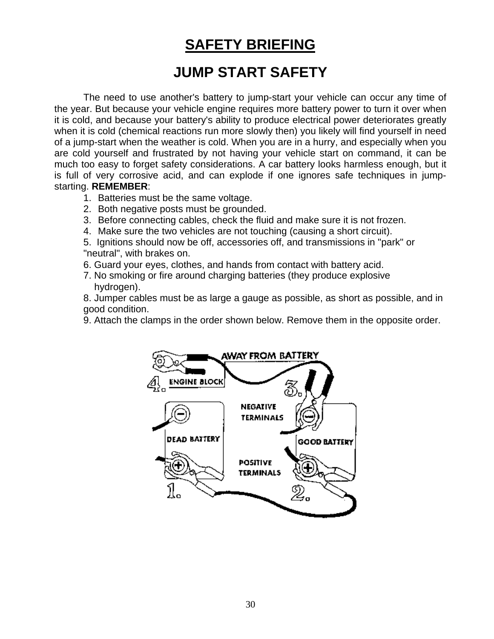### **JUMP START SAFETY**

The need to use another's battery to jump-start your vehicle can occur any time of the year. But because your vehicle engine requires more battery power to turn it over when it is cold, and because your battery's ability to produce electrical power deteriorates greatly when it is cold (chemical reactions run more slowly then) you likely will find yourself in need of a jump-start when the weather is cold. When you are in a hurry, and especially when you are cold yourself and frustrated by not having your vehicle start on command, it can be much too easy to forget safety considerations. A car battery looks harmless enough, but it is full of very corrosive acid, and can explode if one ignores safe techniques in jumpstarting. **REMEMBER**:

- 1. Batteries must be the same voltage.
- 2. Both negative posts must be grounded.
- 3. Before connecting cables, check the fluid and make sure it is not frozen.
- 4. Make sure the two vehicles are not touching (causing a short circuit).

5. Ignitions should now be off, accessories off, and transmissions in "park" or "neutral", with brakes on.

- 6. Guard your eyes, clothes, and hands from contact with battery acid.
- 7. No smoking or fire around charging batteries (they produce explosive hydrogen).

8. Jumper cables must be as large a gauge as possible, as short as possible, and in good condition.

9. Attach the clamps in the order shown below. Remove them in the opposite order.

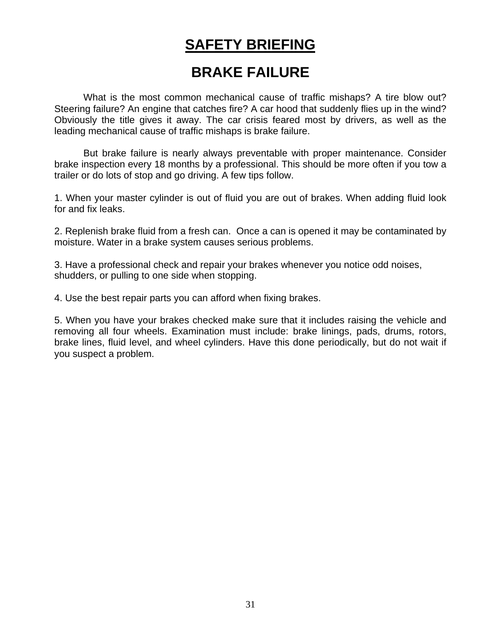### **BRAKE FAILURE**

What is the most common mechanical cause of traffic mishaps? A tire blow out? Steering failure? An engine that catches fire? A car hood that suddenly flies up in the wind? Obviously the title gives it away. The car crisis feared most by drivers, as well as the leading mechanical cause of traffic mishaps is brake failure.

But brake failure is nearly always preventable with proper maintenance. Consider brake inspection every 18 months by a professional. This should be more often if you tow a trailer or do lots of stop and go driving. A few tips follow.

1. When your master cylinder is out of fluid you are out of brakes. When adding fluid look for and fix leaks.

2. Replenish brake fluid from a fresh can. Once a can is opened it may be contaminated by moisture. Water in a brake system causes serious problems.

3. Have a professional check and repair your brakes whenever you notice odd noises, shudders, or pulling to one side when stopping.

4. Use the best repair parts you can afford when fixing brakes.

5. When you have your brakes checked make sure that it includes raising the vehicle and removing all four wheels. Examination must include: brake linings, pads, drums, rotors, brake lines, fluid level, and wheel cylinders. Have this done periodically, but do not wait if you suspect a problem.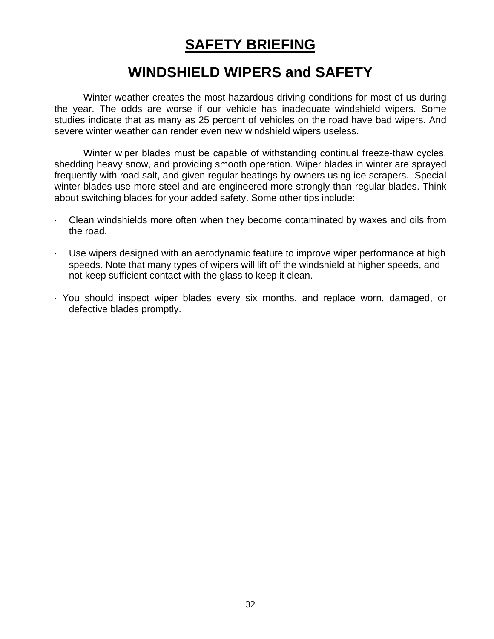### **WINDSHIELD WIPERS and SAFETY**

Winter weather creates the most hazardous driving conditions for most of us during the year. The odds are worse if our vehicle has inadequate windshield wipers. Some studies indicate that as many as 25 percent of vehicles on the road have bad wipers. And severe winter weather can render even new windshield wipers useless.

Winter wiper blades must be capable of withstanding continual freeze-thaw cycles, shedding heavy snow, and providing smooth operation. Wiper blades in winter are sprayed frequently with road salt, and given regular beatings by owners using ice scrapers. Special winter blades use more steel and are engineered more strongly than regular blades. Think about switching blades for your added safety. Some other tips include:

- · Clean windshields more often when they become contaminated by waxes and oils from the road.
- · Use wipers designed with an aerodynamic feature to improve wiper performance at high speeds. Note that many types of wipers will lift off the windshield at higher speeds, and not keep sufficient contact with the glass to keep it clean.
- · You should inspect wiper blades every six months, and replace worn, damaged, or defective blades promptly.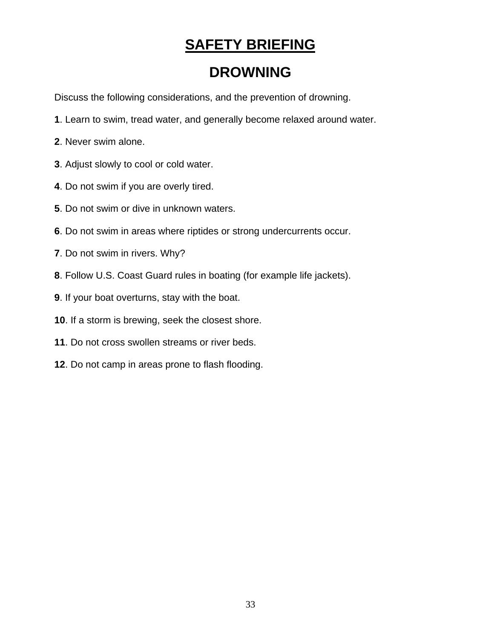### **DROWNING**

Discuss the following considerations, and the prevention of drowning.

- . Learn to swim, tread water, and generally become relaxed around water.
- . Never swim alone.
- . Adjust slowly to cool or cold water.
- . Do not swim if you are overly tired.
- . Do not swim or dive in unknown waters.
- . Do not swim in areas where riptides or strong undercurrents occur.
- . Do not swim in rivers. Why?
- . Follow U.S. Coast Guard rules in boating (for example life jackets).
- . If your boat overturns, stay with the boat.
- . If a storm is brewing, seek the closest shore.
- . Do not cross swollen streams or river beds.
- . Do not camp in areas prone to flash flooding.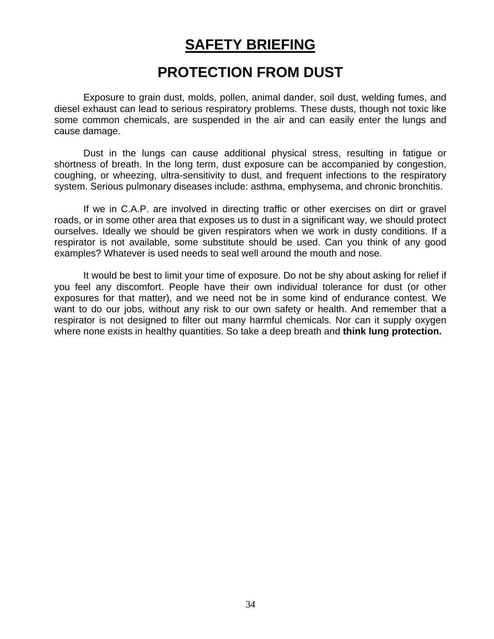#### **PROTECTION FROM DUST**

Exposure to grain dust, molds, pollen, animal dander, soil dust, welding fumes, and diesel exhaust can lead to serious respiratory problems. These dusts, though not toxic like some common chemicals, are suspended in the air and can easily enter the lungs and cause damage.

Dust in the lungs can cause additional physical stress, resulting in fatigue or shortness of breath. In the long term, dust exposure can be accompanied by congestion, coughing, or wheezing, ultra-sensitivity to dust, and frequent infections to the respiratory system. Serious pulmonary diseases include: asthma, emphysema, and chronic bronchitis.

If we in C.A.P. are involved in directing traffic or other exercises on dirt or gravel roads, or in some other area that exposes us to dust in a significant way, we should protect ourselves. Ideally we should be given respirators when we work in dusty conditions. If a respirator is not available, some substitute should be used. Can you think of any good examples? Whatever is used needs to seal well around the mouth and nose.

It would be best to limit your time of exposure. Do not be shy about asking for relief if you feel any discomfort. People have their own individual tolerance for dust (or other exposures for that matter), and we need not be in some kind of endurance contest. We want to do our jobs, without any risk to our own safety or health. And remember that a respirator is not designed to filter out many harmful chemicals. Nor can it supply oxygen where none exists in healthy quantities. So take a deep breath and **think lung protection.**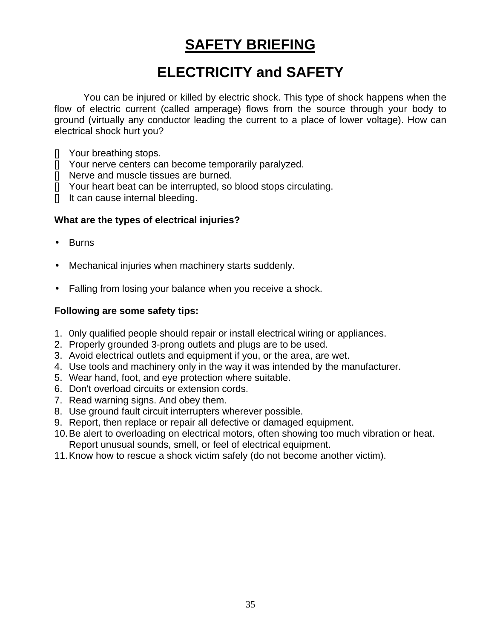### **ELECTRICITY and SAFETY**

You can be injured or killed by electric shock. This type of shock happens when the flow of electric current (called amperage) flows from the source through your body to ground (virtually any conductor leading the current to a place of lower voltage). How can electrical shock hurt you?

- [] Your breathing stops.
- [] Your nerve centers can become temporarily paralyzed.
- [] Nerve and muscle tissues are burned.
- [] Your heart beat can be interrupted, so blood stops circulating.
- [] It can cause internal bleeding.

#### **What are the types of electrical injuries?**

- Burns
- Mechanical injuries when machinery starts suddenly.
- Falling from losing your balance when you receive a shock.

#### **Following are some safety tips:**

- 1. 0nly qualified people should repair or install electrical wiring or appliances.
- 2. Properly grounded 3-prong outlets and plugs are to be used.
- 3. Avoid electrical outlets and equipment if you, or the area, are wet.
- 4. Use tools and machinery only in the way it was intended by the manufacturer.
- 5. Wear hand, foot, and eye protection where suitable.
- 6. Don't overload circuits or extension cords.
- 7. Read warning signs. And obey them.
- 8. Use ground fault circuit interrupters wherever possible.
- 9. Report, then replace or repair all defective or damaged equipment.
- 10.Be alert to overloading on electrical motors, often showing too much vibration or heat. Report unusual sounds, smell, or feel of electrical equipment.
- 11.Know how to rescue a shock victim safely (do not become another victim).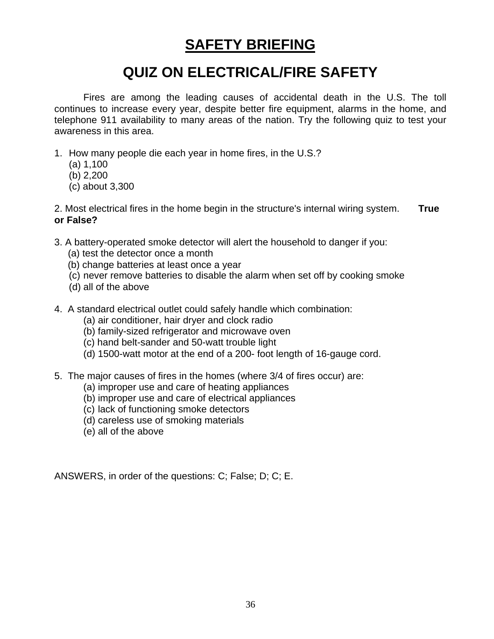### **QUIZ ON ELECTRICAL/FIRE SAFETY**

Fires are among the leading causes of accidental death in the U.S. The toll continues to increase every year, despite better fire equipment, alarms in the home, and telephone 911 availability to many areas of the nation. Try the following quiz to test your awareness in this area.

- 1. How many people die each year in home fires, in the U.S.?
	- (a) 1,100
	- (b) 2,200
	- (c) about 3,300

2. Most electrical fires in the home begin in the structure's internal wiring system. **True or False?**

- 3. A battery-operated smoke detector will alert the household to danger if you:
	- (a) test the detector once a month
	- (b) change batteries at least once a year
	- (c) never remove batteries to disable the alarm when set off by cooking smoke
	- (d) all of the above
- 4. A standard electrical outlet could safely handle which combination:
	- (a) air conditioner, hair dryer and clock radio
	- (b) family-sized refrigerator and microwave oven
	- (c) hand belt-sander and 50-watt trouble light
	- (d) 1500-watt motor at the end of a 200- foot length of 16-gauge cord.
- 5. The major causes of fires in the homes (where 3/4 of fires occur) are:
	- (a) improper use and care of heating appliances
	- (b) improper use and care of electrical appliances
	- (c) lack of functioning smoke detectors
	- (d) careless use of smoking materials
	- (e) all of the above

ANSWERS, in order of the questions: C; False; D; C; E.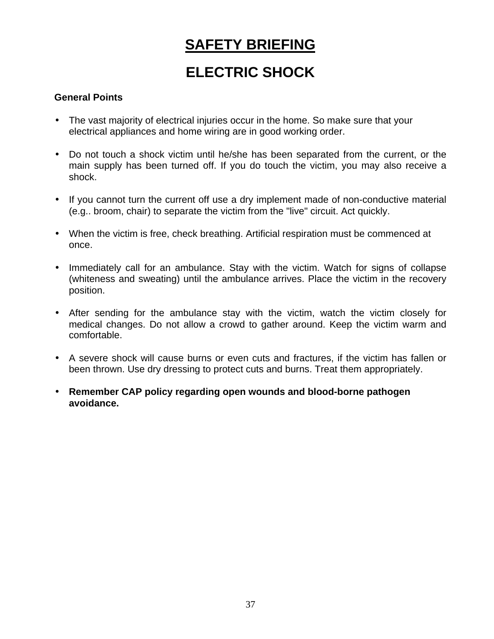### **ELECTRIC SHOCK**

#### **General Points**

- The vast majority of electrical injuries occur in the home. So make sure that your electrical appliances and home wiring are in good working order.
- Do not touch a shock victim until he/she has been separated from the current, or the main supply has been turned off. If you do touch the victim, you may also receive a shock.
- If you cannot turn the current off use a dry implement made of non-conductive material (e.g.. broom, chair) to separate the victim from the "live" circuit. Act quickly.
- When the victim is free, check breathing. Artificial respiration must be commenced at once.
- Immediately call for an ambulance. Stay with the victim. Watch for signs of collapse (whiteness and sweating) until the ambulance arrives. Place the victim in the recovery position.
- After sending for the ambulance stay with the victim, watch the victim closely for medical changes. Do not allow a crowd to gather around. Keep the victim warm and comfortable.
- A severe shock will cause burns or even cuts and fractures, if the victim has fallen or been thrown. Use dry dressing to protect cuts and burns. Treat them appropriately.
- **Remember CAP policy regarding open wounds and blood-borne pathogen avoidance.**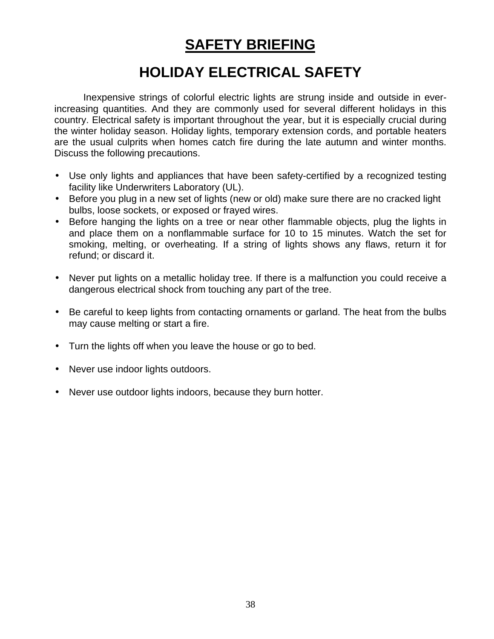### **HOLIDAY ELECTRICAL SAFETY**

Inexpensive strings of colorful electric lights are strung inside and outside in everincreasing quantities. And they are commonly used for several different holidays in this country. Electrical safety is important throughout the year, but it is especially crucial during the winter holiday season. Holiday lights, temporary extension cords, and portable heaters are the usual culprits when homes catch fire during the late autumn and winter months. Discuss the following precautions.

- Use only lights and appliances that have been safety-certified by a recognized testing facility like Underwriters Laboratory (UL).
- Before you plug in a new set of lights (new or old) make sure there are no cracked light bulbs, loose sockets, or exposed or frayed wires.
- Before hanging the lights on a tree or near other flammable objects, plug the lights in and place them on a nonflammable surface for 10 to 15 minutes. Watch the set for smoking, melting, or overheating. If a string of lights shows any flaws, return it for refund; or discard it.
- Never put lights on a metallic holiday tree. If there is a malfunction you could receive a dangerous electrical shock from touching any part of the tree.
- Be careful to keep lights from contacting ornaments or garland. The heat from the bulbs may cause melting or start a fire.
- Turn the lights off when you leave the house or go to bed.
- Never use indoor lights outdoors.
- Never use outdoor lights indoors, because they burn hotter.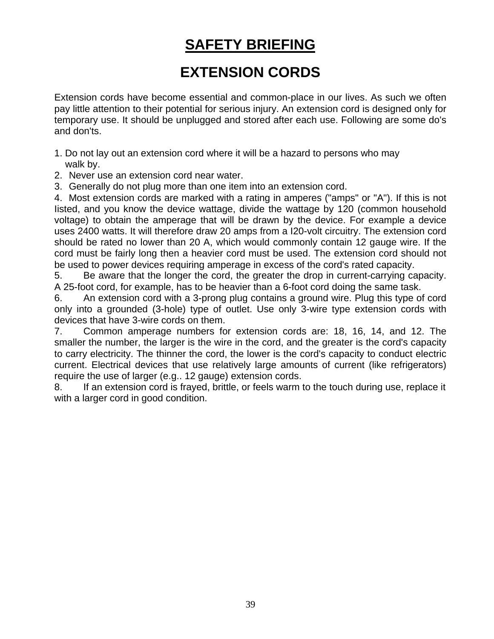### **EXTENSION CORDS**

Extension cords have become essential and common-place in our lives. As such we often pay little attention to their potential for serious injury. An extension cord is designed only for temporary use. It should be unplugged and stored after each use. Following are some do's and don'ts.

- 1. Do not lay out an extension cord where it will be a hazard to persons who may walk by.
- 2. Never use an extension cord near water.
- 3. Generally do not plug more than one item into an extension cord.

4. Most extension cords are marked with a rating in amperes ("amps" or "A"). If this is not Iisted, and you know the device wattage, divide the wattage by 120 (common household voltage) to obtain the amperage that will be drawn by the device. For example a device uses 2400 watts. It will therefore draw 20 amps from a I20-volt circuitry. The extension cord should be rated no lower than 20 A, which would commonly contain 12 gauge wire. If the cord must be fairly long then a heavier cord must be used. The extension cord should not be used to power devices requiring amperage in excess of the cord's rated capacity.

5. Be aware that the longer the cord, the greater the drop in current-carrying capacity. A 25-foot cord, for example, has to be heavier than a 6-foot cord doing the same task.

6. An extension cord with a 3-prong plug contains a ground wire. Plug this type of cord only into a grounded (3-hole) type of outlet. Use only 3-wire type extension cords with devices that have 3-wire cords on them.

7. Common amperage numbers for extension cords are: 18, 16, 14, and 12. The smaller the number, the larger is the wire in the cord, and the greater is the cord's capacity to carry electricity. The thinner the cord, the lower is the cord's capacity to conduct electric current. Electrical devices that use relatively large amounts of current (like refrigerators) require the use of larger (e.g.. 12 gauge) extension cords.

8. If an extension cord is frayed, brittle, or feels warm to the touch during use, replace it with a larger cord in good condition.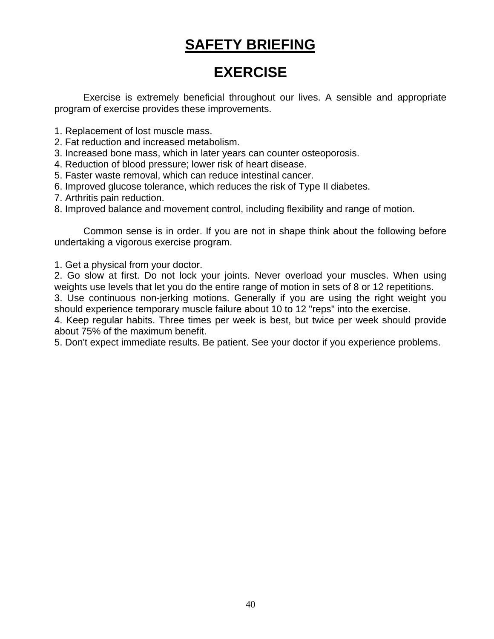## **EXERCISE**

Exercise is extremely beneficial throughout our lives. A sensible and appropriate program of exercise provides these improvements.

- 1. Replacement of lost muscle mass.
- 2. Fat reduction and increased metabolism.
- 3. Increased bone mass, which in later years can counter osteoporosis.
- 4. Reduction of blood pressure; lower risk of heart disease.
- 5. Faster waste removal, which can reduce intestinal cancer.
- 6. Improved glucose tolerance, which reduces the risk of Type II diabetes.
- 7. Arthritis pain reduction.
- 8. Improved balance and movement control, including flexibility and range of motion.

Common sense is in order. If you are not in shape think about the following before undertaking a vigorous exercise program.

1. Get a physical from your doctor.

2. Go slow at first. Do not lock your joints. Never overload your muscles. When using weights use levels that let you do the entire range of motion in sets of 8 or 12 repetitions.

3. Use continuous non-jerking motions. Generally if you are using the right weight you should experience temporary muscle failure about 10 to 12 "reps" into the exercise.

4. Keep regular habits. Three times per week is best, but twice per week should provide about 75% of the maximum benefit.

5. Don't expect immediate results. Be patient. See your doctor if you experience problems.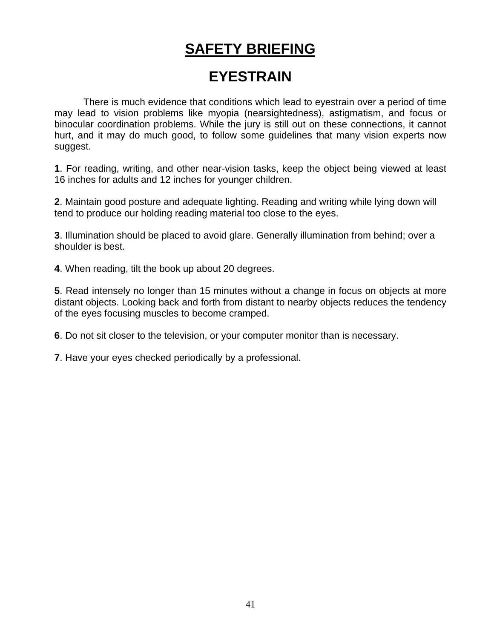## **EYESTRAIN**

There is much evidence that conditions which lead to eyestrain over a period of time may lead to vision problems like myopia (nearsightedness), astigmatism, and focus or binocular coordination problems. While the jury is still out on these connections, it cannot hurt, and it may do much good, to follow some guidelines that many vision experts now suggest.

**1**. For reading, writing, and other near-vision tasks, keep the object being viewed at least 16 inches for adults and 12 inches for younger children.

**2**. Maintain good posture and adequate lighting. Reading and writing while lying down will tend to produce our holding reading material too close to the eyes.

**3**. Illumination should be placed to avoid glare. Generally illumination from behind; over a shoulder is best.

**4**. When reading, tilt the book up about 20 degrees.

**5**. Read intensely no longer than 15 minutes without a change in focus on objects at more distant objects. Looking back and forth from distant to nearby objects reduces the tendency of the eyes focusing muscles to become cramped.

**6**. Do not sit closer to the television, or your computer monitor than is necessary.

**7**. Have your eyes checked periodically by a professional.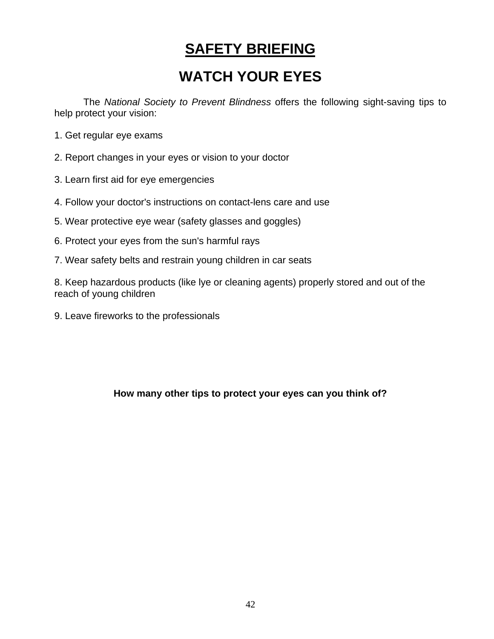## **WATCH YOUR EYES**

The *National Society to Prevent Blindness* offers the following sight-saving tips to help protect your vision:

- 1. Get regular eye exams
- 2. Report changes in your eyes or vision to your doctor
- 3. Learn first aid for eye emergencies
- 4. Follow your doctor's instructions on contact-lens care and use
- 5. Wear protective eye wear (safety glasses and goggles)
- 6. Protect your eyes from the sun's harmful rays
- 7. Wear safety belts and restrain young children in car seats

8. Keep hazardous products (like lye or cleaning agents) properly stored and out of the reach of young children

9. Leave fireworks to the professionals

#### **How many other tips to protect your eyes can you think of?**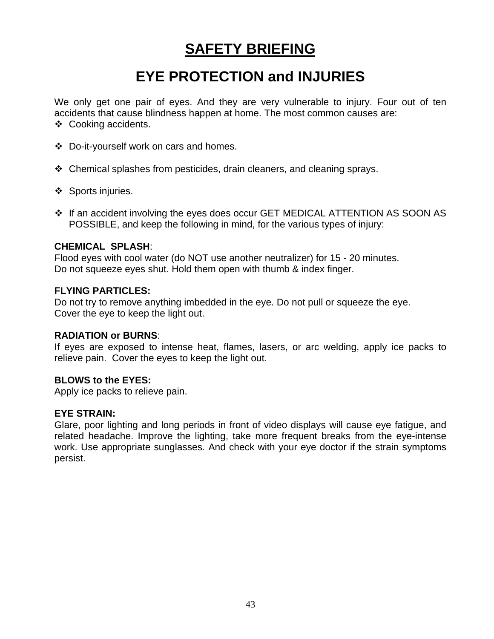## **EYE PROTECTION and INJURIES**

We only get one pair of eyes. And they are very vulnerable to injury. Four out of ten accidents that cause blindness happen at home. The most common causes are: ❖ Cooking accidents.

- $\div$  Do-it-yourself work on cars and homes.
- $\div$  Chemical splashes from pesticides, drain cleaners, and cleaning sprays.
- ❖ Sports injuries.
- v If an accident involving the eyes does occur GET MEDICAL ATTENTION AS SOON AS POSSIBLE, and keep the following in mind, for the various types of injury:

#### **CHEMICAL SPLASH**:

Flood eyes with cool water (do NOT use another neutralizer) for 15 - 20 minutes. Do not squeeze eyes shut. Hold them open with thumb & index finger.

#### **FLYING PARTICLES:**

Do not try to remove anything imbedded in the eye. Do not pull or squeeze the eye. Cover the eye to keep the light out.

#### **RADIATION or BURNS**:

If eyes are exposed to intense heat, flames, lasers, or arc welding, apply ice packs to relieve pain. Cover the eyes to keep the light out.

#### **BLOWS to the EYES:**

Apply ice packs to relieve pain.

#### **EYE STRAIN:**

Glare, poor lighting and long periods in front of video displays will cause eye fatigue, and related headache. Improve the lighting, take more frequent breaks from the eye-intense work. Use appropriate sunglasses. And check with your eye doctor if the strain symptoms persist.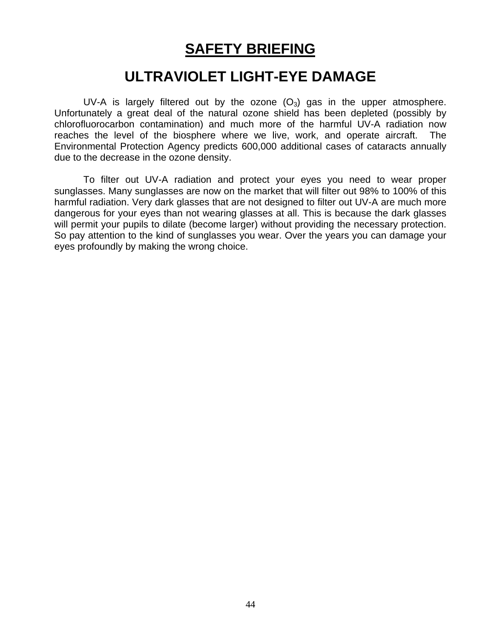### **ULTRAVIOLET LIGHT-EYE DAMAGE**

UV-A is largely filtered out by the ozone  $(O_3)$  gas in the upper atmosphere. Unfortunately a great deal of the natural ozone shield has been depleted (possibly by chlorofluorocarbon contamination) and much more of the harmful UV-A radiation now reaches the level of the biosphere where we live, work, and operate aircraft. The Environmental Protection Agency predicts 600,000 additional cases of cataracts annually due to the decrease in the ozone density.

To filter out UV-A radiation and protect your eyes you need to wear proper sunglasses. Many sunglasses are now on the market that will filter out 98% to 100% of this harmful radiation. Very dark glasses that are not designed to filter out UV-A are much more dangerous for your eyes than not wearing glasses at all. This is because the dark glasses will permit your pupils to dilate (become larger) without providing the necessary protection. So pay attention to the kind of sunglasses you wear. Over the years you can damage your eyes profoundly by making the wrong choice.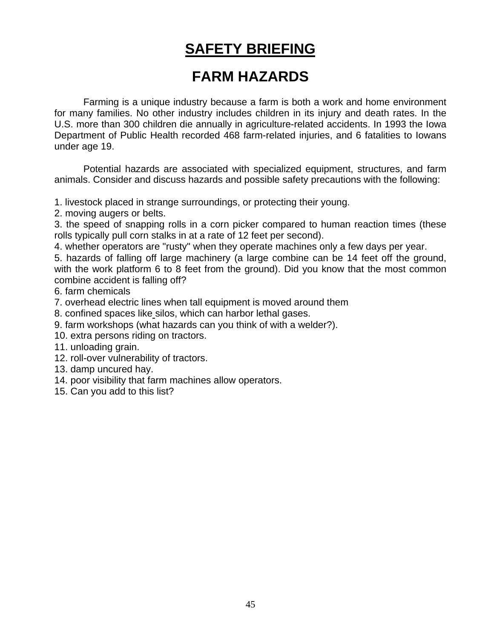### **FARM HAZARDS**

Farming is a unique industry because a farm is both a work and home environment for many families. No other industry includes children in its injury and death rates. In the U.S. more than 300 children die annually in agriculture-related accidents. In 1993 the Iowa Department of Public Health recorded 468 farm-related injuries, and 6 fatalities to Iowans under age 19.

Potential hazards are associated with specialized equipment, structures, and farm animals. Consider and discuss hazards and possible safety precautions with the following:

1. livestock placed in strange surroundings, or protecting their young.

2. moving augers or belts.

3. the speed of snapping rolls in a corn picker compared to human reaction times (these rolls typically pull corn stalks in at a rate of 12 feet per second).

4. whether operators are "rusty" when they operate machines only a few days per year.

5. hazards of falling off large machinery (a large combine can be 14 feet off the ground, with the work platform 6 to 8 feet from the ground). Did you know that the most common combine accident is falling off?

6. farm chemicals

7. overhead electric lines when tall equipment is moved around them

8. confined spaces like silos, which can harbor lethal gases.

9. farm workshops (what hazards can you think of with a welder?).

10. extra persons riding on tractors.

11. unloading grain.

12. roll-over vulnerability of tractors.

13. damp uncured hay.

14. poor visibility that farm machines allow operators.

15. Can you add to this list?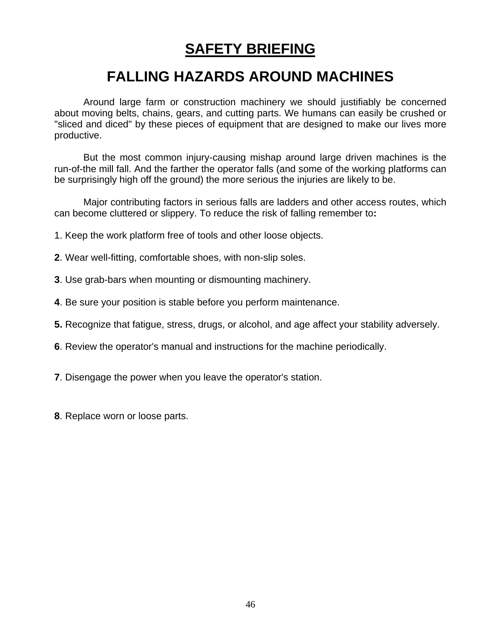### **FALLING HAZARDS AROUND MACHINES**

Around large farm or construction machinery we should justifiably be concerned about moving belts, chains, gears, and cutting parts. We humans can easily be crushed or "sliced and diced" by these pieces of equipment that are designed to make our lives more productive.

But the most common injury-causing mishap around large driven machines is the run-of-the mill fall. And the farther the operator falls (and some of the working platforms can be surprisingly high off the ground) the more serious the injuries are likely to be.

Major contributing factors in serious falls are ladders and other access routes, which can become cluttered or slippery. To reduce the risk of falling remember to**:**

- 1. Keep the work platform free of tools and other loose objects.
- **2**. Wear well-fitting, comfortable shoes, with non-slip soles.
- **3**. Use grab-bars when mounting or dismounting machinery.
- **4**. Be sure your position is stable before you perform maintenance.
- **5.** Recognize that fatigue, stress, drugs, or alcohol, and age affect your stability adversely.
- **6**. Review the operator's manual and instructions for the machine periodically.
- **7**. Disengage the power when you leave the operator's station.
- **8**. Replace worn or loose parts.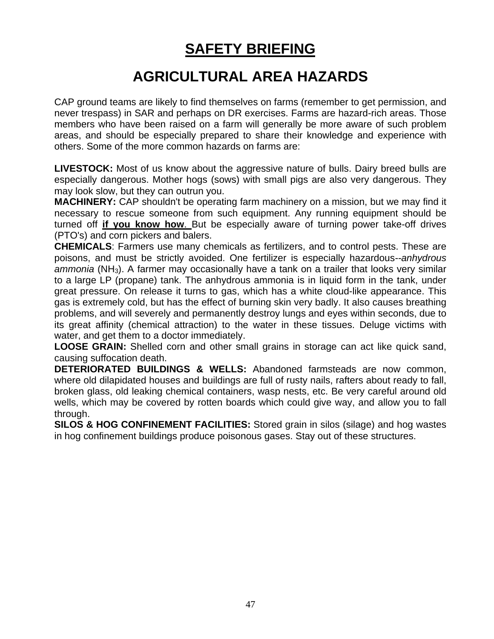## **AGRICULTURAL AREA HAZARDS**

CAP ground teams are likely to find themselves on farms (remember to get permission, and never trespass) in SAR and perhaps on DR exercises. Farms are hazard-rich areas. Those members who have been raised on a farm will generally be more aware of such problem areas, and should be especially prepared to share their knowledge and experience with others. Some of the more common hazards on farms are:

**LIVESTOCK:** Most of us know about the aggressive nature of bulls. Dairy breed bulls are especially dangerous. Mother hogs (sows) with small pigs are also very dangerous. They may look slow, but they can outrun you.

**MACHINERY:** CAP shouldn't be operating farm machinery on a mission, but we may find it necessary to rescue someone from such equipment. Any running equipment should be turned off **if you know how**. But be especially aware of turning power take-off drives (PTO's) and corn pickers and balers.

**CHEMICALS**: Farmers use many chemicals as fertilizers, and to control pests. These are poisons, and must be strictly avoided. One fertilizer is especially hazardous*--anhydrous* ammonia (NH<sub>3</sub>). A farmer may occasionally have a tank on a trailer that looks very similar to a large LP (propane) tank. The anhydrous ammonia is in liquid form in the tank, under great pressure. On release it turns to gas, which has a white cloud-like appearance. This gas is extremely cold, but has the effect of burning skin very badly. It also causes breathing problems, and will severely and permanently destroy lungs and eyes within seconds, due to its great affinity (chemical attraction) to the water in these tissues. Deluge victims with water, and get them to a doctor immediately.

**LOOSE GRAIN:** Shelled corn and other small grains in storage can act like quick sand, causing suffocation death.

**DETERIORATED BUILDINGS & WELLS:** Abandoned farmsteads are now common, where old dilapidated houses and buildings are full of rusty nails, rafters about ready to fall, broken glass, old leaking chemical containers, wasp nests, etc. Be very careful around old wells, which may be covered by rotten boards which could give way, and allow you to fall through.

**SILOS & HOG CONFINEMENT FACILITIES:** Stored grain in silos (silage) and hog wastes in hog confinement buildings produce poisonous gases. Stay out of these structures.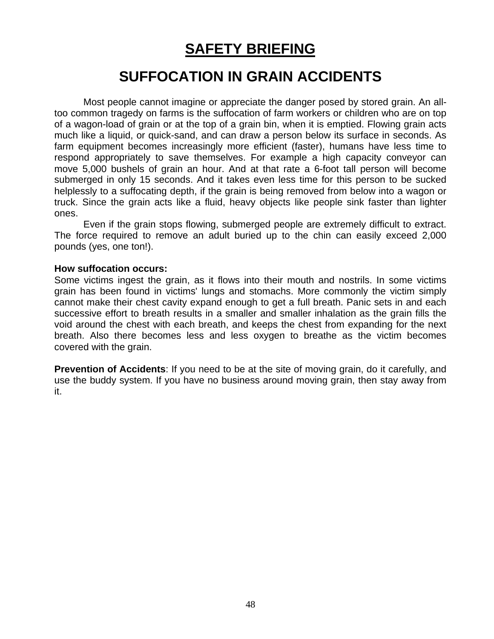### **SUFFOCATION IN GRAIN ACCIDENTS**

Most people cannot imagine or appreciate the danger posed by stored grain. An alltoo common tragedy on farms is the suffocation of farm workers or children who are on top of a wagon-load of grain or at the top of a grain bin, when it is emptied. Flowing grain acts much like a liquid, or quick-sand, and can draw a person below its surface in seconds. As farm equipment becomes increasingly more efficient (faster), humans have less time to respond appropriately to save themselves. For example a high capacity conveyor can move 5,000 bushels of grain an hour. And at that rate a 6-foot tall person will become submerged in only 15 seconds. And it takes even less time for this person to be sucked helplessly to a suffocating depth, if the grain is being removed from below into a wagon or truck. Since the grain acts like a fluid, heavy objects like people sink faster than lighter ones.

Even if the grain stops flowing, submerged people are extremely difficult to extract. The force required to remove an adult buried up to the chin can easily exceed 2,000 pounds (yes, one ton!).

#### **How suffocation occurs:**

Some victims ingest the grain, as it flows into their mouth and nostrils. In some victims grain has been found in victims' lungs and stomachs. More commonly the victim simply cannot make their chest cavity expand enough to get a full breath. Panic sets in and each successive effort to breath results in a smaller and smaller inhalation as the grain fills the void around the chest with each breath, and keeps the chest from expanding for the next breath. Also there becomes less and less oxygen to breathe as the victim becomes covered with the grain.

**Prevention of Accidents**: If you need to be at the site of moving grain, do it carefully, and use the buddy system. If you have no business around moving grain, then stay away from it.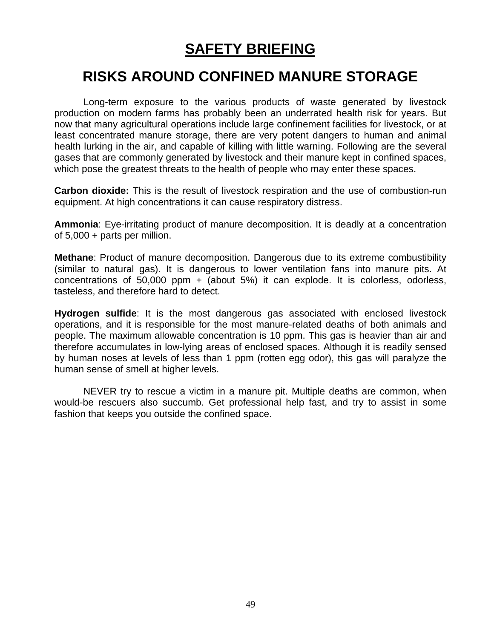### **RISKS AROUND CONFINED MANURE STORAGE**

Long-term exposure to the various products of waste generated by livestock production on modern farms has probably been an underrated health risk for years. But now that many agricultural operations include large confinement facilities for livestock, or at least concentrated manure storage, there are very potent dangers to human and animal health lurking in the air, and capable of killing with little warning. Following are the several gases that are commonly generated by livestock and their manure kept in confined spaces, which pose the greatest threats to the health of people who may enter these spaces.

**Carbon dioxide:** This is the result of livestock respiration and the use of combustion-run equipment. At high concentrations it can cause respiratory distress.

**Ammonia**: Eye-irritating product of manure decomposition. It is deadly at a concentration of 5,000 + parts per million.

**Methane**: Product of manure decomposition. Dangerous due to its extreme combustibility (similar to natural gas). It is dangerous to lower ventilation fans into manure pits. At concentrations of 50,000 ppm + (about 5%) it can explode. It is colorless, odorless, tasteless, and therefore hard to detect.

**Hydrogen sulfide**: It is the most dangerous gas associated with enclosed livestock operations, and it is responsible for the most manure-related deaths of both animals and people. The maximum allowable concentration is 10 ppm. This gas is heavier than air and therefore accumulates in low-lying areas of enclosed spaces. Although it is readily sensed by human noses at levels of less than 1 ppm (rotten egg odor), this gas will paralyze the human sense of smell at higher levels.

NEVER try to rescue a victim in a manure pit. Multiple deaths are common, when would-be rescuers also succumb. Get professional help fast, and try to assist in some fashion that keeps you outside the confined space.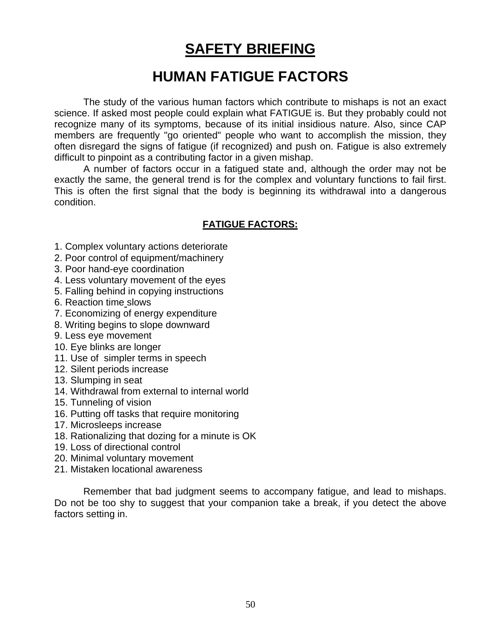### **HUMAN FATIGUE FACTORS**

The study of the various human factors which contribute to mishaps is not an exact science. If asked most people could explain what FATIGUE is. But they probably could not recognize many of its symptoms, because of its initial insidious nature. Also, since CAP members are frequently "go oriented" people who want to accomplish the mission, they often disregard the signs of fatigue (if recognized) and push on. Fatigue is also extremely difficult to pinpoint as a contributing factor in a given mishap.

A number of factors occur in a fatigued state and, although the order may not be exactly the same, the general trend is for the complex and voluntary functions to fail first. This is often the first signal that the body is beginning its withdrawal into a dangerous condition.

#### **FATIGUE FACTORS:**

- 1. Complex voluntary actions deteriorate
- 2. Poor control of equipment/machinery
- 3. Poor hand-eye coordination
- 4. Less voluntary movement of the eyes
- 5. Falling behind in copying instructions
- 6. Reaction time slows
- 7. Economizing of energy expenditure
- 8. Writing begins to slope downward
- 9. Less eye movement
- 10. Eye blinks are longer
- 11. Use of simpler terms in speech
- 12. Silent periods increase
- 13. Slumping in seat
- 14. Withdrawal from external to internal world
- 15. Tunneling of vision
- 16. Putting off tasks that require monitoring
- 17. Microsleeps increase
- 18. Rationalizing that dozing for a minute is OK
- 19. Loss of directional control
- 20. Minimal voluntary movement
- 21. Mistaken locational awareness

Remember that bad judgment seems to accompany fatigue, and lead to mishaps. Do not be too shy to suggest that your companion take a break, if you detect the above factors setting in.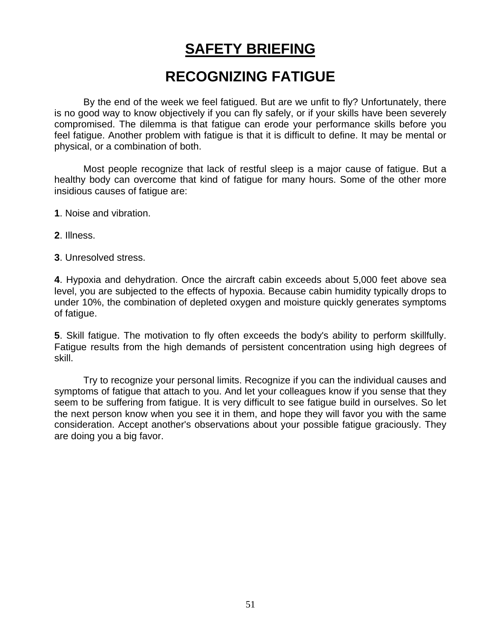### **RECOGNIZING FATIGUE**

By the end of the week we feel fatigued. But are we unfit to fly? Unfortunately, there is no good way to know objectively if you can fly safely, or if your skills have been severely compromised. The dilemma is that fatigue can erode your performance skills before you feel fatigue. Another problem with fatigue is that it is difficult to define. It may be mental or physical, or a combination of both.

Most people recognize that lack of restful sleep is a major cause of fatigue. But a healthy body can overcome that kind of fatigue for many hours. Some of the other more insidious causes of fatigue are:

- **1**. Noise and vibration.
- **2**. Illness.
- **3**. Unresolved stress.

**4**. Hypoxia and dehydration. Once the aircraft cabin exceeds about 5,000 feet above sea level, you are subjected to the effects of hypoxia. Because cabin humidity typically drops to under 10%, the combination of depleted oxygen and moisture quickly generates symptoms of fatigue.

**5**. Skill fatigue. The motivation to fly often exceeds the body's ability to perform skillfully. Fatigue results from the high demands of persistent concentration using high degrees of skill.

Try to recognize your personal limits. Recognize if you can the individual causes and symptoms of fatigue that attach to you. And let your colleagues know if you sense that they seem to be suffering from fatigue. It is very difficult to see fatigue build in ourselves. So let the next person know when you see it in them, and hope they will favor you with the same consideration. Accept another's observations about your possible fatigue graciously. They are doing you a big favor.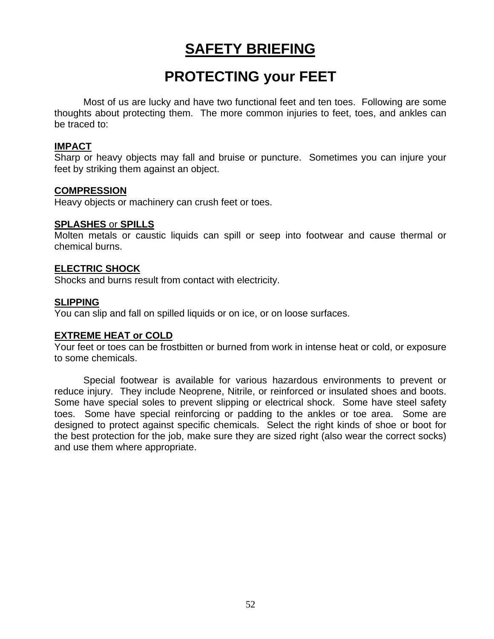### **PROTECTING your FEET**

Most of us are lucky and have two functional feet and ten toes. Following are some thoughts about protecting them. The more common injuries to feet, toes, and ankles can be traced to:

#### **IMPACT**

Sharp or heavy objects may fall and bruise or puncture. Sometimes you can injure your feet by striking them against an object.

#### **COMPRESSION**

Heavy objects or machinery can crush feet or toes.

#### **SPLASHES** or **SPILLS**

Molten metals or caustic liquids can spill or seep into footwear and cause thermal or chemical burns.

#### **ELECTRIC SHOCK**

Shocks and burns result from contact with electricity.

#### **SLIPPING**

You can slip and fall on spilled liquids or on ice, or on loose surfaces.

#### **EXTREME HEAT or COLD**

Your feet or toes can be frostbitten or burned from work in intense heat or cold, or exposure to some chemicals.

Special footwear is available for various hazardous environments to prevent or reduce injury. They include Neoprene, Nitrile, or reinforced or insulated shoes and boots. Some have special soles to prevent slipping or electrical shock. Some have steel safety toes. Some have special reinforcing or padding to the ankles or toe area. Some are designed to protect against specific chemicals. Select the right kinds of shoe or boot for the best protection for the job, make sure they are sized right (also wear the correct socks) and use them where appropriate.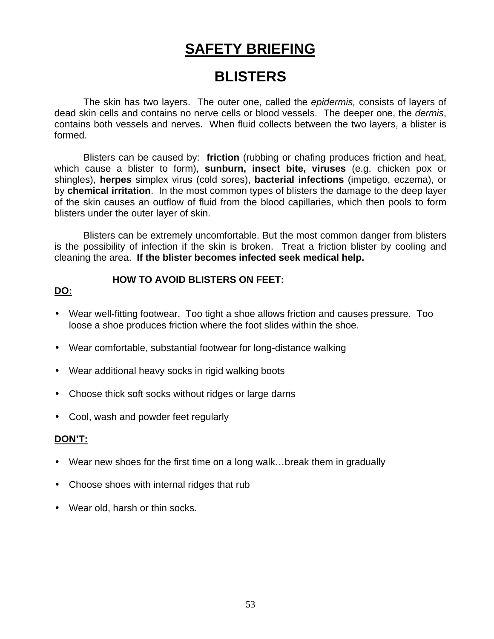### **BLISTERS**

The skin has two layers. The outer one, called the *epidermis,* consists of layers of dead skin cells and contains no nerve cells or blood vessels. The deeper one, the *dermis*, contains both vessels and nerves. When fluid collects between the two layers, a blister is formed.

Blisters can be caused by: **friction** (rubbing or chafing produces friction and heat, which cause a blister to form), **sunburn, insect bite, viruses** (e.g. chicken pox or shingles), **herpes** simplex virus (cold sores), **bacterial infections** (impetigo, eczema), or by **chemical irritation**. In the most common types of blisters the damage to the deep layer of the skin causes an outflow of fluid from the blood capillaries, which then pools to form blisters under the outer layer of skin.

Blisters can be extremely uncomfortable. But the most common danger from blisters is the possibility of infection if the skin is broken. Treat a friction blister by cooling and cleaning the area. **If the blister becomes infected seek medical help.**

#### **DO:**

#### **HOW TO AVOID BLISTERS ON FEET:**

- Wear well-fitting footwear. Too tight a shoe allows friction and causes pressure. Too loose a shoe produces friction where the foot slides within the shoe.
- Wear comfortable, substantial footwear for long-distance walking
- Wear additional heavy socks in rigid walking boots
- Choose thick soft socks without ridges or large darns
- Cool, wash and powder feet regularly

#### **DON'T:**

- Wear new shoes for the first time on a long walk...break them in gradually
- Choose shoes with internal ridges that rub
- Wear old, harsh or thin socks.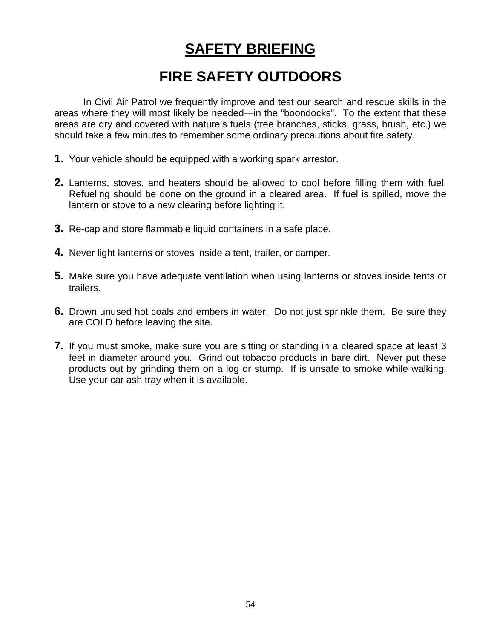### **FIRE SAFETY OUTDOORS**

In Civil Air Patrol we frequently improve and test our search and rescue skills in the areas where they will most likely be needed—in the "boondocks". To the extent that these areas are dry and covered with nature's fuels (tree branches, sticks, grass, brush, etc.) we should take a few minutes to remember some ordinary precautions about fire safety.

- **1.** Your vehicle should be equipped with a working spark arrestor.
- **2.** Lanterns, stoves, and heaters should be allowed to cool before filling them with fuel. Refueling should be done on the ground in a cleared area. If fuel is spilled, move the lantern or stove to a new clearing before lighting it.
- **3.** Re-cap and store flammable liquid containers in a safe place.
- **4.** Never light lanterns or stoves inside a tent, trailer, or camper.
- **5.** Make sure you have adequate ventilation when using lanterns or stoves inside tents or trailers.
- **6.** Drown unused hot coals and embers in water. Do not just sprinkle them. Be sure they are COLD before leaving the site.
- **7.** If you must smoke, make sure you are sitting or standing in a cleared space at least 3 feet in diameter around you. Grind out tobacco products in bare dirt. Never put these products out by grinding them on a log or stump. If is unsafe to smoke while walking. Use your car ash tray when it is available.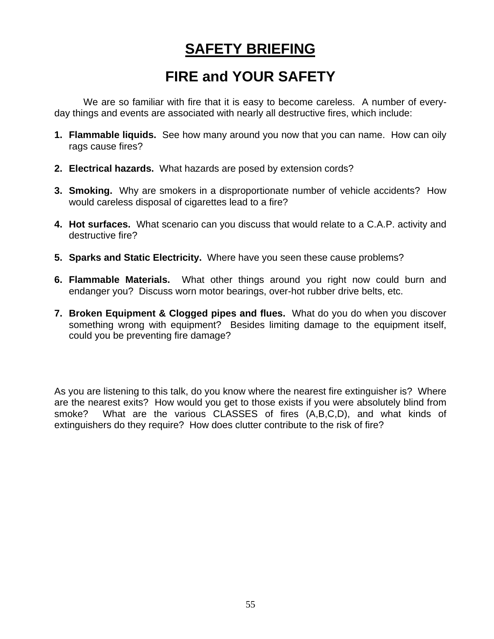## **FIRE and YOUR SAFETY**

We are so familiar with fire that it is easy to become careless. A number of everyday things and events are associated with nearly all destructive fires, which include:

- **1. Flammable liquids.** See how many around you now that you can name. How can oily rags cause fires?
- **2. Electrical hazards.** What hazards are posed by extension cords?
- **3. Smoking.** Why are smokers in a disproportionate number of vehicle accidents? How would careless disposal of cigarettes lead to a fire?
- **4. Hot surfaces.** What scenario can you discuss that would relate to a C.A.P. activity and destructive fire?
- **5. Sparks and Static Electricity.** Where have you seen these cause problems?
- **6. Flammable Materials.** What other things around you right now could burn and endanger you? Discuss worn motor bearings, over-hot rubber drive belts, etc.
- **7. Broken Equipment & Clogged pipes and flues.** What do you do when you discover something wrong with equipment? Besides limiting damage to the equipment itself, could you be preventing fire damage?

As you are listening to this talk, do you know where the nearest fire extinguisher is? Where are the nearest exits? How would you get to those exists if you were absolutely blind from smoke? What are the various CLASSES of fires (A,B,C,D), and what kinds of extinguishers do they require? How does clutter contribute to the risk of fire?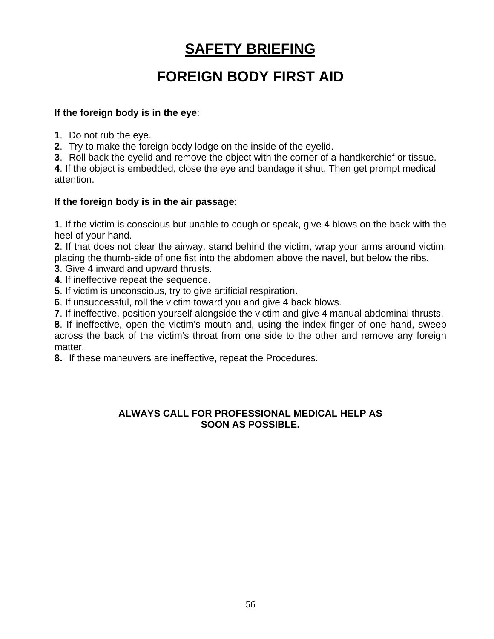## **FOREIGN BODY FIRST AID**

#### **If the foreign body is in the eye**:

**1**. Do not rub the eye.

**2**. Try to make the foreign body lodge on the inside of the eyelid.

**3**. Roll back the eyelid and remove the object with the corner of a handkerchief or tissue.

**4**. If the object is embedded, close the eye and bandage it shut. Then get prompt medical attention.

#### **If the foreign body is in the air passage**:

**1**. If the victim is conscious but unable to cough or speak, give 4 blows on the back with the heel of your hand.

**2**. If that does not clear the airway, stand behind the victim, wrap your arms around victim, placing the thumb-side of one fist into the abdomen above the navel, but below the ribs.

**3**. Give 4 inward and upward thrusts.

**4**. If ineffective repeat the sequence.

**5**. If victim is unconscious, try to give artificial respiration.

**6**. If unsuccessful, roll the victim toward you and give 4 back blows.

**7**. If ineffective, position yourself alongside the victim and give 4 manual abdominal thrusts.

**8**. If ineffective, open the victim's mouth and, using the index finger of one hand, sweep across the back of the victim's throat from one side to the other and remove any foreign matter.

**8.** If these maneuvers are ineffective, repeat the Procedures.

#### **ALWAYS CALL FOR PROFESSIONAL MEDICAL HELP AS SOON AS POSSIBLE.**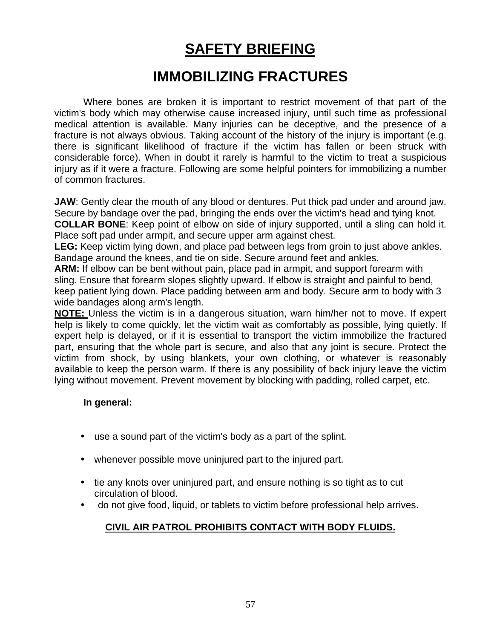### **IMMOBILIZING FRACTURES**

Where bones are broken it is important to restrict movement of that part of the victim's body which may otherwise cause increased injury, until such time as professional medical attention is available. Many injuries can be deceptive, and the presence of a fracture is not always obvious. Taking account of the history of the injury is important (e.g. there is significant likelihood of fracture if the victim has fallen or been struck with considerable force). When in doubt it rarely is harmful to the victim to treat a suspicious injury as if it were a fracture. Following are some helpful pointers for immobilizing a number of common fractures.

**JAW**: Gently clear the mouth of any blood or dentures. Put thick pad under and around jaw. Secure by bandage over the pad, bringing the ends over the victim's head and tying knot.

**COLLAR BONE**: Keep point of elbow on side of injury supported, until a sling can hold it. Place soft pad under armpit, and secure upper arm against chest.

**LEG:** Keep victim lying down, and place pad between legs from groin to just above ankles. Bandage around the knees, and tie on side. Secure around feet and ankles.

**ARM:** If elbow can be bent without pain, place pad in armpit, and support forearm with sling. Ensure that forearm slopes slightly upward. If elbow is straight and painful to bend, keep patient lying down. Place padding between arm and body. Secure arm to body with 3 wide bandages along arm's length.

**NOTE:** Unless the victim is in a dangerous situation, warn him/her not to move. If expert help is likely to come quickly, let the victim wait as comfortably as possible, lying quietly. If expert help is delayed, or if it is essential to transport the victim immobilize the fractured part, ensuring that the whole part is secure, and also that any joint is secure. Protect the victim from shock, by using blankets, your own clothing, or whatever is reasonably available to keep the person warm. If there is any possibility of back injury leave the victim lying without movement. Prevent movement by blocking with padding, rolled carpet, etc.

#### **In general:**

- use a sound part of the victim's body as a part of the splint.
- whenever possible move uninjured part to the injured part.
- tie any knots over uninjured part, and ensure nothing is so tight as to cut circulation of blood.
- do not give food, liquid, or tablets to victim before professional help arrives.

#### **CIVIL AIR PATROL PROHIBITS CONTACT WITH BODY FLUIDS.**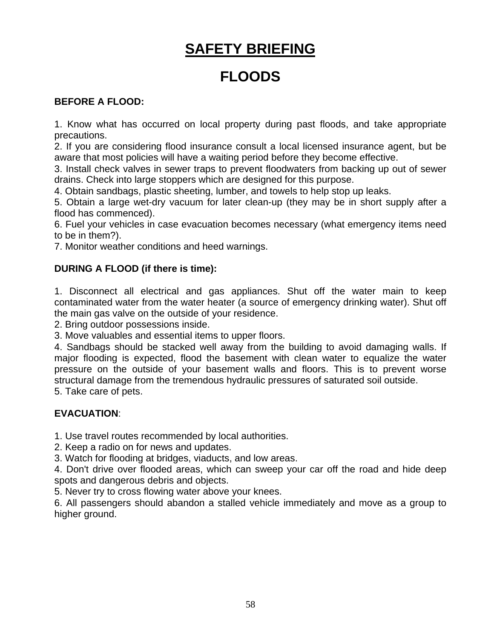## **FLOODS**

#### **BEFORE A FLOOD:**

1. Know what has occurred on local property during past floods, and take appropriate precautions.

2. If you are considering flood insurance consult a local licensed insurance agent, but be aware that most policies will have a waiting period before they become effective.

3. Install check valves in sewer traps to prevent floodwaters from backing up out of sewer drains. Check into large stoppers which are designed for this purpose.

4. Obtain sandbags, plastic sheeting, lumber, and towels to help stop up leaks.

5. Obtain a large wet-dry vacuum for later clean-up (they may be in short supply after a flood has commenced).

6. Fuel your vehicles in case evacuation becomes necessary (what emergency items need to be in them?).

7. Monitor weather conditions and heed warnings.

#### **DURING A FLOOD (if there is time):**

1. Disconnect all electrical and gas appliances. Shut off the water main to keep contaminated water from the water heater (a source of emergency drinking water). Shut off the main gas valve on the outside of your residence.

2. Bring outdoor possessions inside.

3. Move valuables and essential items to upper floors.

4. Sandbags should be stacked well away from the building to avoid damaging walls. If major flooding is expected, flood the basement with clean water to equalize the water pressure on the outside of your basement walls and floors. This is to prevent worse structural damage from the tremendous hydraulic pressures of saturated soil outside. 5. Take care of pets.

#### **EVACUATION**:

1. Use travel routes recommended by local authorities.

2. Keep a radio on for news and updates.

3. Watch for flooding at bridges, viaducts, and low areas.

4. Don't drive over flooded areas, which can sweep your car off the road and hide deep spots and dangerous debris and objects.

5. Never try to cross flowing water above your knees.

6. All passengers should abandon a stalled vehicle immediately and move as a group to higher ground.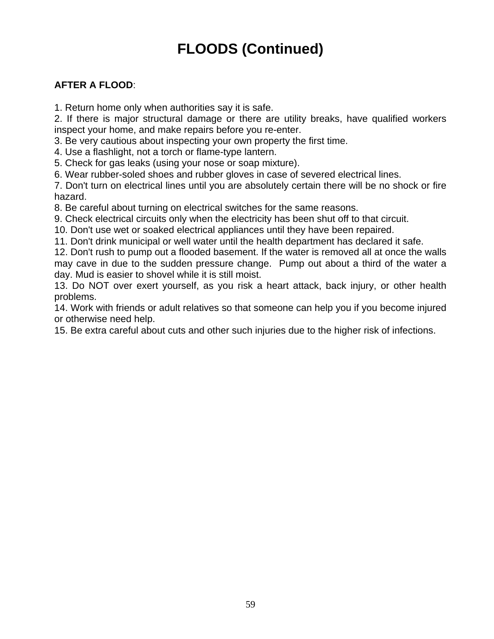# **FLOODS (Continued)**

#### **AFTER A FLOOD**:

1. Return home only when authorities say it is safe.

2. If there is major structural damage or there are utility breaks, have qualified workers inspect your home, and make repairs before you re-enter.

3. Be very cautious about inspecting your own property the first time.

4. Use a flashlight, not a torch or flame-type lantern.

5. Check for gas leaks (using your nose or soap mixture).

6. Wear rubber-soled shoes and rubber gloves in case of severed electrical lines.

7. Don't turn on electrical lines until you are absolutely certain there will be no shock or fire hazard.

8. Be careful about turning on electrical switches for the same reasons.

9. Check electrical circuits only when the electricity has been shut off to that circuit.

10. Don't use wet or soaked electrical appliances until they have been repaired.

11. Don't drink municipal or well water until the health department has declared it safe.

12. Don't rush to pump out a flooded basement. If the water is removed all at once the walls may cave in due to the sudden pressure change. Pump out about a third of the water a day. Mud is easier to shovel while it is still moist.

13. Do NOT over exert yourself, as you risk a heart attack, back injury, or other health problems.

14. Work with friends or adult relatives so that someone can help you if you become injured or otherwise need help.

15. Be extra careful about cuts and other such injuries due to the higher risk of infections.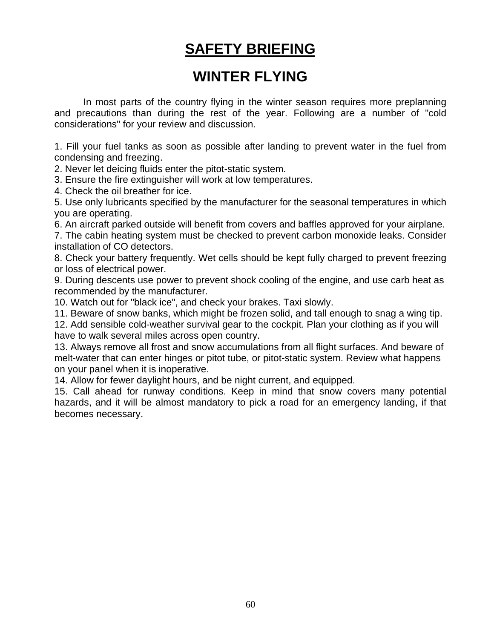### **WINTER FLYING**

In most parts of the country flying in the winter season requires more preplanning and precautions than during the rest of the year. Following are a number of "cold considerations" for your review and discussion.

1. Fill your fuel tanks as soon as possible after landing to prevent water in the fuel from condensing and freezing.

2. Never let deicing fluids enter the pitot-static system.

3. Ensure the fire extinguisher will work at low temperatures.

4. Check the oil breather for ice.

5. Use only lubricants specified by the manufacturer for the seasonal temperatures in which you are operating.

6. An aircraft parked outside will benefit from covers and baffles approved for your airplane.

7. The cabin heating system must be checked to prevent carbon monoxide leaks. Consider installation of CO detectors.

8. Check your battery frequently. Wet cells should be kept fully charged to prevent freezing or loss of electrical power.

9. During descents use power to prevent shock cooling of the engine, and use carb heat as recommended by the manufacturer.

10. Watch out for "black ice", and check your brakes. Taxi slowly.

11. Beware of snow banks, which might be frozen solid, and tall enough to snag a wing tip. 12. Add sensible cold-weather survival gear to the cockpit. Plan your clothing as if you will have to walk several miles across open country.

13. Always remove all frost and snow accumulations from all flight surfaces. And beware of melt-water that can enter hinges or pitot tube, or pitot-static system. Review what happens on your panel when it is inoperative.

14. Allow for fewer daylight hours, and be night current, and equipped.

15. Call ahead for runway conditions. Keep in mind that snow covers many potential hazards, and it will be almost mandatory to pick a road for an emergency landing, if that becomes necessary.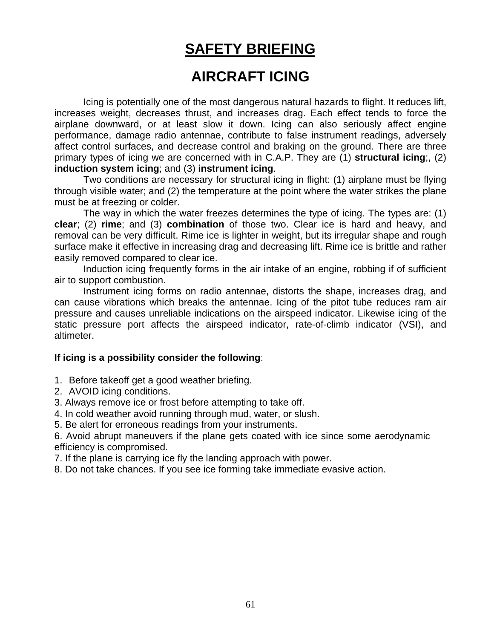### **AIRCRAFT ICING**

Icing is potentially one of the most dangerous natural hazards to flight. It reduces lift, increases weight, decreases thrust, and increases drag. Each effect tends to force the airplane downward, or at least slow it down. Icing can also seriously affect engine performance, damage radio antennae, contribute to false instrument readings, adversely affect control surfaces, and decrease control and braking on the ground. There are three primary types of icing we are concerned with in C.A.P. They are (1) **structural icing**;, (2) **induction system icing**; and (3) **instrument icing**.

Two conditions are necessary for structural icing in flight: (1) airplane must be flying through visible water; and (2) the temperature at the point where the water strikes the plane must be at freezing or colder.

The way in which the water freezes determines the type of icing. The types are: (1) **clear**; (2) **rime**; and (3) **combination** of those two. Clear ice is hard and heavy, and removal can be very difficult. Rime ice is lighter in weight, but its irregular shape and rough surface make it effective in increasing drag and decreasing lift. Rime ice is brittle and rather easily removed compared to clear ice.

Induction icing frequently forms in the air intake of an engine, robbing if of sufficient air to support combustion.

Instrument icing forms on radio antennae, distorts the shape, increases drag, and can cause vibrations which breaks the antennae. Icing of the pitot tube reduces ram air pressure and causes unreliable indications on the airspeed indicator. Likewise icing of the static pressure port affects the airspeed indicator, rate-of-climb indicator (VSI), and altimeter.

#### **If icing is a possibility consider the following**:

- 1. Before takeoff get a good weather briefing.
- 2. AVOID icing conditions.
- 3. Always remove ice or frost before attempting to take off.
- 4. In cold weather avoid running through mud, water, or slush.
- 5. Be alert for erroneous readings from your instruments.

6. Avoid abrupt maneuvers if the plane gets coated with ice since some aerodynamic efficiency is compromised.

7. If the plane is carrying ice fly the landing approach with power.

8. Do not take chances. If you see ice forming take immediate evasive action.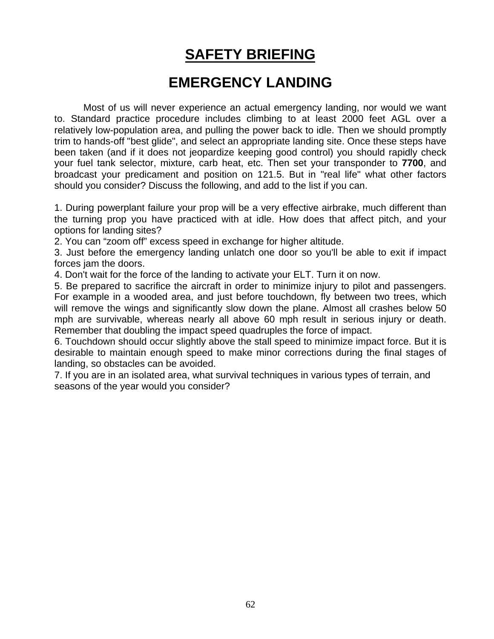### **EMERGENCY LANDING**

Most of us will never experience an actual emergency landing, nor would we want to. Standard practice procedure includes climbing to at least 2000 feet AGL over a relatively low-population area, and pulling the power back to idle. Then we should promptly trim to hands-off "best glide", and select an appropriate landing site. Once these steps have been taken (and if it does not jeopardize keeping good control) you should rapidly check your fuel tank selector, mixture, carb heat, etc. Then set your transponder to **7700**, and broadcast your predicament and position on 121.5. But in "real life" what other factors should you consider? Discuss the following, and add to the list if you can.

1. During powerplant failure your prop will be a very effective airbrake, much different than the turning prop you have practiced with at idle. How does that affect pitch, and your options for landing sites?

2. You can "zoom off" excess speed in exchange for higher altitude.

3. Just before the emergency landing unlatch one door so you'll be able to exit if impact forces jam the doors.

4. Don't wait for the force of the landing to activate your ELT. Turn it on now.

5. Be prepared to sacrifice the aircraft in order to minimize injury to pilot and passengers. For example in a wooded area, and just before touchdown, fly between two trees, which will remove the wings and significantly slow down the plane. Almost all crashes below 50 mph are survivable, whereas nearly all above 60 mph result in serious injury or death. Remember that doubling the impact speed quadruples the force of impact.

6. Touchdown should occur slightly above the stall speed to minimize impact force. But it is desirable to maintain enough speed to make minor corrections during the final stages of landing, so obstacles can be avoided.

7. If you are in an isolated area, what survival techniques in various types of terrain, and seasons of the year would you consider?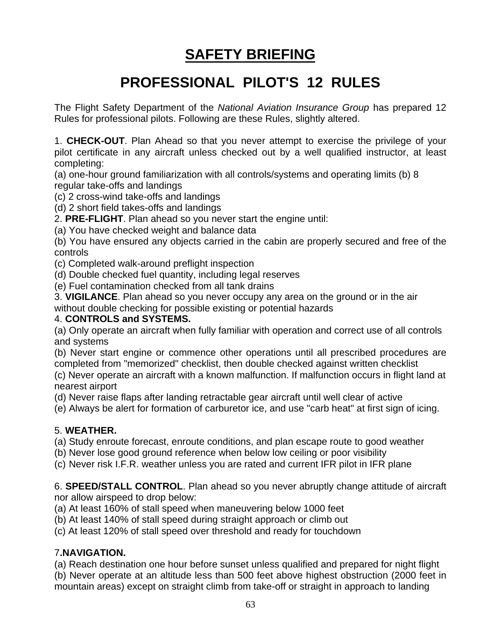# **PROFESSIONAL PILOT'S 12 RULES**

The Flight Safety Department of the *National Aviation Insurance Group* has prepared 12 Rules for professional pilots. Following are these Rules, slightly altered.

1. **CHECK-OUT**. Plan Ahead so that you never attempt to exercise the privilege of your pilot certificate in any aircraft unless checked out by a well qualified instructor, at least completing:

(a) one-hour ground familiarization with all controls/systems and operating limits (b) 8 regular take-offs and landings

(c) 2 cross-wind take-offs and landings

(d) 2 short field takes-offs and landings

2. **PRE-FLIGHT**. Plan ahead so you never start the engine until:

(a) You have checked weight and balance data

(b) You have ensured any objects carried in the cabin are properly secured and free of the controls

(c) Completed walk-around preflight inspection

(d) Double checked fuel quantity, including legal reserves

(e) Fuel contamination checked from all tank drains

3. **VIGILANCE**. Plan ahead so you never occupy any area on the ground or in the air without double checking for possible existing or potential hazards

### 4. **CONTROLS and SYSTEMS.**

(a) Only operate an aircraft when fully familiar with operation and correct use of all controls and systems

(b) Never start engine or commence other operations until all prescribed procedures are completed from "memorized" checklist, then double checked against written checklist

(c) Never operate an aircraft with a known malfunction. If malfunction occurs in flight land at nearest airport

(d) Never raise flaps after landing retractable gear aircraft until well clear of active

(e) Always be alert for formation of carburetor ice, and use "carb heat" at first sign of icing.

### 5. **WEATHER.**

(a) Study enroute forecast, enroute conditions, and plan escape route to good weather

(b) Never lose good ground reference when below low ceiling or poor visibility

(c) Never risk I.F.R. weather unless you are rated and current IFR pilot in IFR plane

6. **SPEED/STALL CONTROL**. Plan ahead so you never abruptly change attitude of aircraft nor allow airspeed to drop below:

(a) At least 160% of stall speed when maneuvering below 1000 feet

(b) At least 140% of stall speed during straight approach or climb out

(c) At least 120% of stall speed over threshold and ready for touchdown

### 7**.NAVIGATION.**

(a) Reach destination one hour before sunset unless qualified and prepared for night flight (b) Never operate at an altitude less than 500 feet above highest obstruction (2000 feet in mountain areas) except on straight climb from take-off or straight in approach to landing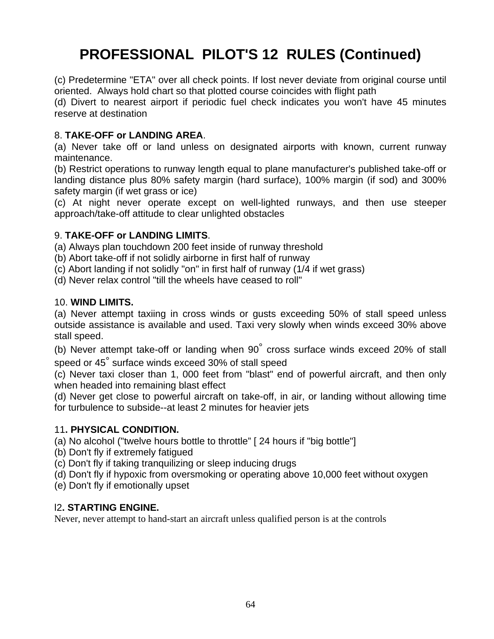# **PROFESSIONAL PILOT'S 12 RULES (Continued)**

(c) Predetermine "ETA" over all check points. If lost never deviate from original course until oriented. Always hold chart so that plotted course coincides with flight path

(d) Divert to nearest airport if periodic fuel check indicates you won't have 45 minutes reserve at destination

### 8. **TAKE-OFF or LANDING AREA**.

(a) Never take off or land unless on designated airports with known, current runway maintenance.

(b) Restrict operations to runway length equal to plane manufacturer's published take-off or landing distance plus 80% safety margin (hard surface), 100% margin (if sod) and 300% safety margin (if wet grass or ice)

(c) At night never operate except on well-lighted runways, and then use steeper approach/take-off attitude to clear unlighted obstacles

### 9. **TAKE-OFF or LANDING LIMITS**.

(a) Always plan touchdown 200 feet inside of runway threshold

(b) Abort take-off if not solidly airborne in first half of runway

(c) Abort landing if not solidly "on" in first half of runway (1/4 if wet grass)

(d) Never relax control "till the wheels have ceased to roll"

#### 10. **WIND LIMITS.**

(a) Never attempt taxiing in cross winds or gusts exceeding 50% of stall speed unless outside assistance is available and used. Taxi very slowly when winds exceed 30% above stall speed.

(b) Never attempt take-off or landing when 90° cross surface winds exceed 20% of stall speed or 45° surface winds exceed 30% of stall speed

(c) Never taxi closer than 1, 000 feet from "blast" end of powerful aircraft, and then only when headed into remaining blast effect

(d) Never get close to powerful aircraft on take-off, in air, or landing without allowing time for turbulence to subside--at least 2 minutes for heavier jets

#### 11**. PHYSICAL CONDITION.**

(a) No alcohol ("twelve hours bottle to throttle" [ 24 hours if "big bottle"]

(b) Don't fly if extremely fatigued

(c) Don't fly if taking tranquilizing or sleep inducing drugs

(d) Don't fly if hypoxic from oversmoking or operating above 10,000 feet without oxygen

(e) Don't fly if emotionally upset

#### l2**. STARTING ENGINE.**

Never, never attempt to hand-start an aircraft unless qualified person is at the controls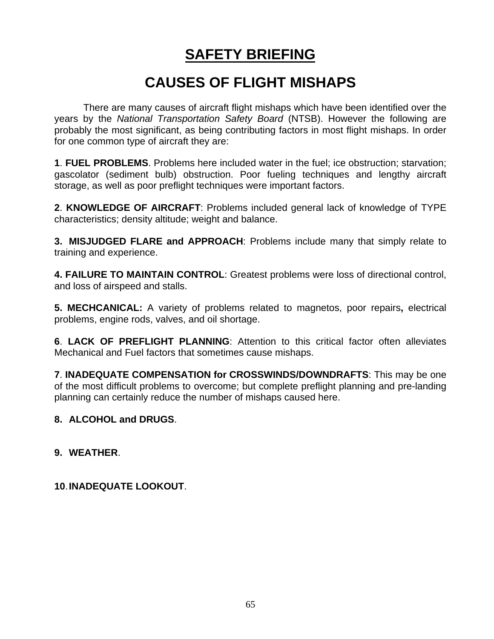## **CAUSES OF FLIGHT MISHAPS**

There are many causes of aircraft flight mishaps which have been identified over the years by the *National Transportation Safety Board* (NTSB). However the following are probably the most significant, as being contributing factors in most flight mishaps. In order for one common type of aircraft they are:

**1**. **FUEL PROBLEMS**. Problems here included water in the fuel; ice obstruction; starvation; gascolator (sediment bulb) obstruction. Poor fueling techniques and lengthy aircraft storage, as well as poor preflight techniques were important factors.

**2**. **KNOWLEDGE OF AIRCRAFT**: Problems included general lack of knowledge of TYPE characteristics; density altitude; weight and balance.

**3. MISJUDGED FLARE and APPROACH**: Problems include many that simply relate to training and experience.

**4. FAILURE TO MAINTAIN CONTROL**: Greatest problems were loss of directional control, and loss of airspeed and stalls.

**5. MECHCANICAL:** A variety of problems related to magnetos, poor repairs**,** electrical problems, engine rods, valves, and oil shortage.

**6**. **LACK OF PREFLIGHT PLANNING**: Attention to this critical factor often alleviates Mechanical and Fuel factors that sometimes cause mishaps.

**7**. **INADEQUATE COMPENSATION for CROSSWINDS/DOWNDRAFTS**: This may be one of the most difficult problems to overcome; but complete preflight planning and pre-landing planning can certainly reduce the number of mishaps caused here.

#### **8. ALCOHOL and DRUGS**.

### **9. WEATHER**.

**10**.**INADEQUATE LOOKOUT**.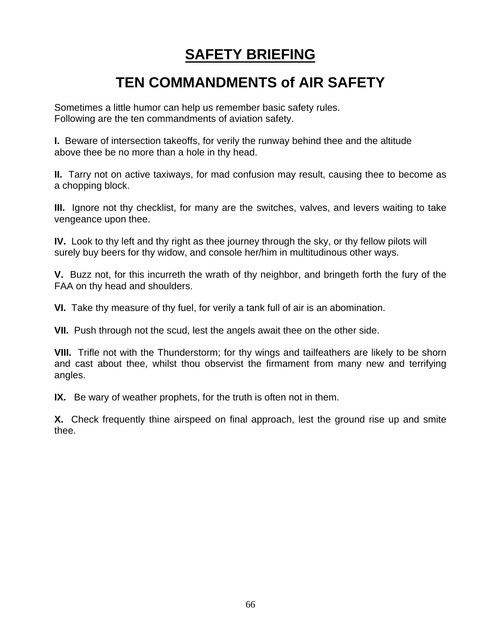## **TEN COMMANDMENTS of AIR SAFETY**

Sometimes a little humor can help us remember basic safety rules. Following are the ten commandments of aviation safety.

**I.** Beware of intersection takeoffs, for verily the runway behind thee and the altitude above thee be no more than a hole in thy head.

**II.** Tarry not on active taxiways, for mad confusion may result, causing thee to become as a chopping block.

**III.** Ignore not thy checklist, for many are the switches, valves, and levers waiting to take vengeance upon thee.

**IV.** Look to thy left and thy right as thee journey through the sky, or thy fellow pilots will surely buy beers for thy widow, and console her/him in multitudinous other ways.

**V.** Buzz not, for this incurreth the wrath of thy neighbor, and bringeth forth the fury of the FAA on thy head and shoulders.

**VI.** Take thy measure of thy fuel, for verily a tank full of air is an abomination.

**VII.** Push through not the scud, lest the angels await thee on the other side.

**VIII.** Trifle not with the Thunderstorm; for thy wings and tailfeathers are likely to be shorn and cast about thee, whilst thou observist the firmament from many new and terrifying angles.

**IX.** Be wary of weather prophets, for the truth is often not in them.

**X.** Check frequently thine airspeed on final approach, lest the ground rise up and smite thee.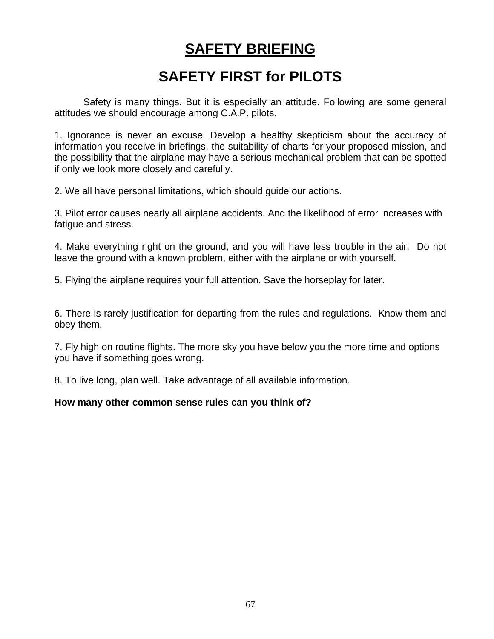## **SAFETY FIRST for PILOTS**

Safety is many things. But it is especially an attitude. Following are some general attitudes we should encourage among C.A.P. pilots.

1. Ignorance is never an excuse. Develop a healthy skepticism about the accuracy of information you receive in briefings, the suitability of charts for your proposed mission, and the possibility that the airplane may have a serious mechanical problem that can be spotted if only we look more closely and carefully.

2. We all have personal limitations, which should guide our actions.

3. Pilot error causes nearly all airplane accidents. And the likelihood of error increases with fatigue and stress.

4. Make everything right on the ground, and you will have less trouble in the air. Do not leave the ground with a known problem, either with the airplane or with yourself.

5. Flying the airplane requires your full attention. Save the horseplay for later.

6. There is rarely justification for departing from the rules and regulations. Know them and obey them.

7. Fly high on routine flights. The more sky you have below you the more time and options you have if something goes wrong.

8. To live long, plan well. Take advantage of all available information.

#### **How many other common sense rules can you think of?**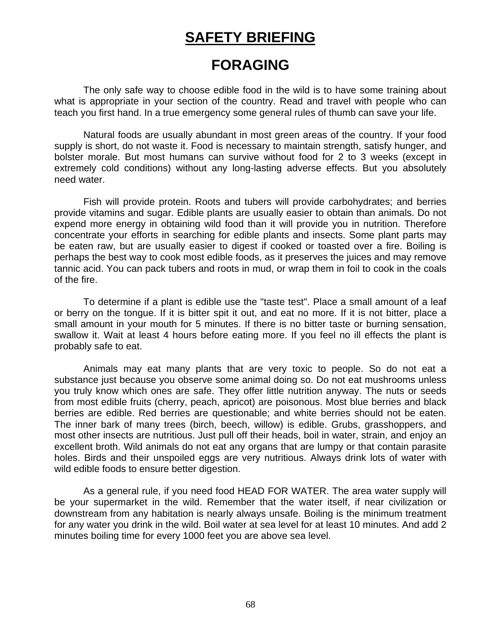### **FORAGING**

The only safe way to choose edible food in the wild is to have some training about what is appropriate in your section of the country. Read and travel with people who can teach you first hand. In a true emergency some general rules of thumb can save your life.

Natural foods are usually abundant in most green areas of the country. If your food supply is short, do not waste it. Food is necessary to maintain strength, satisfy hunger, and bolster morale. But most humans can survive without food for 2 to 3 weeks (except in extremely cold conditions) without any long-lasting adverse effects. But you absolutely need water.

Fish will provide protein. Roots and tubers will provide carbohydrates; and berries provide vitamins and sugar. Edible plants are usually easier to obtain than animals. Do not expend more energy in obtaining wild food than it will provide you in nutrition. Therefore concentrate your efforts in searching for edible plants and insects. Some plant parts may be eaten raw, but are usually easier to digest if cooked or toasted over a fire. Boiling is perhaps the best way to cook most edible foods, as it preserves the juices and may remove tannic acid. You can pack tubers and roots in mud, or wrap them in foil to cook in the coals of the fire.

To determine if a plant is edible use the "taste test". Place a small amount of a leaf or berry on the tongue. If it is bitter spit it out, and eat no more. If it is not bitter, place a small amount in your mouth for 5 minutes. If there is no bitter taste or burning sensation, swallow it. Wait at least 4 hours before eating more. If you feel no ill effects the plant is probably safe to eat.

Animals may eat many plants that are very toxic to people. So do not eat a substance just because you observe some animal doing so. Do not eat mushrooms unless you truly know which ones are safe. They offer little nutrition anyway. The nuts or seeds from most edible fruits (cherry, peach, apricot) are poisonous. Most blue berries and black berries are edible. Red berries are questionable; and white berries should not be eaten. The inner bark of many trees (birch, beech, willow) is edible. Grubs, grasshoppers, and most other insects are nutritious. Just pull off their heads, boil in water, strain, and enjoy an excellent broth. Wild animals do not eat any organs that are lumpy or that contain parasite holes. Birds and their unspoiled eggs are very nutritious. Always drink lots of water with wild edible foods to ensure better digestion.

As a general rule, if you need food HEAD FOR WATER. The area water supply will be your supermarket in the wild. Remember that the water itself, if near civilization or downstream from any habitation is nearly always unsafe. Boiling is the minimum treatment for any water you drink in the wild. Boil water at sea level for at least 10 minutes. And add 2 minutes boiling time for every 1000 feet you are above sea level.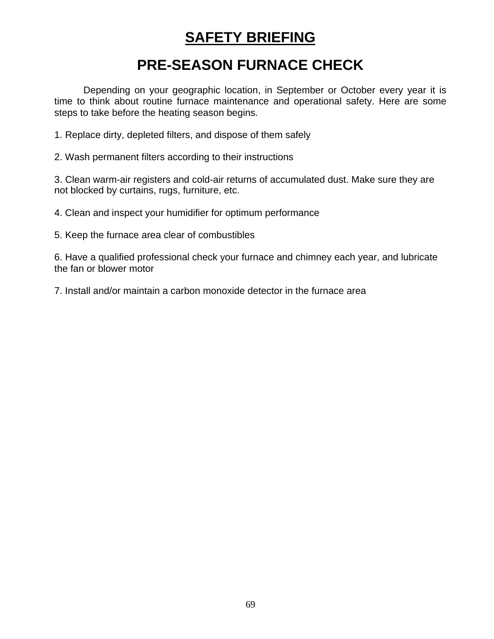# **PRE-SEASON FURNACE CHECK**

Depending on your geographic location, in September or October every year it is time to think about routine furnace maintenance and operational safety. Here are some steps to take before the heating season begins.

- 1. Replace dirty, depleted filters, and dispose of them safely
- 2. Wash permanent filters according to their instructions

3. Clean warm-air registers and cold-air returns of accumulated dust. Make sure they are not blocked by curtains, rugs, furniture, etc.

- 4. Clean and inspect your humidifier for optimum performance
- 5. Keep the furnace area clear of combustibles

6. Have a qualified professional check your furnace and chimney each year, and lubricate the fan or blower motor

7. Install and/or maintain a carbon monoxide detector in the furnace area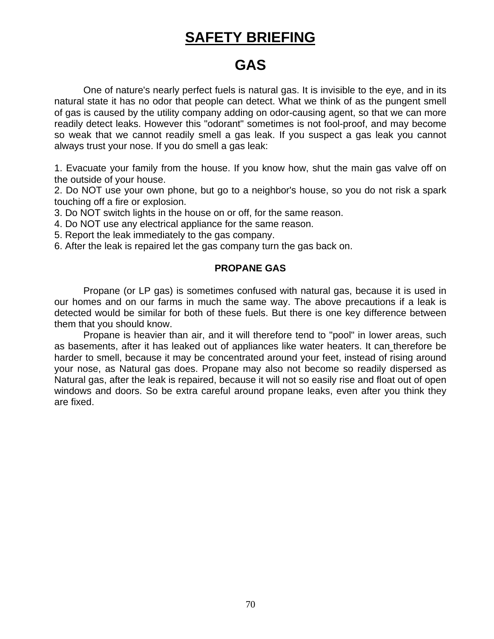## **GAS**

One of nature's nearly perfect fuels is natural gas. It is invisible to the eye, and in its natural state it has no odor that people can detect. What we think of as the pungent smell of gas is caused by the utility company adding on odor-causing agent, so that we can more readily detect leaks. However this "odorant" sometimes is not fool-proof, and may become so weak that we cannot readily smell a gas leak. If you suspect a gas leak you cannot always trust your nose. If you do smell a gas leak:

1. Evacuate your family from the house. If you know how, shut the main gas valve off on the outside of your house.

2. Do NOT use your own phone, but go to a neighbor's house, so you do not risk a spark touching off a fire or explosion.

3. Do NOT switch lights in the house on or off, for the same reason.

- 4. Do NOT use any electrical appliance for the same reason.
- 5. Report the leak immediately to the gas company.
- 6. After the leak is repaired let the gas company turn the gas back on.

#### **PROPANE GAS**

Propane (or LP gas) is sometimes confused with natural gas, because it is used in our homes and on our farms in much the same way. The above precautions if a leak is detected would be similar for both of these fuels. But there is one key difference between them that you should know.

Propane is heavier than air, and it will therefore tend to "pool" in lower areas, such as basements, after it has leaked out of appliances like water heaters. It can therefore be harder to smell, because it may be concentrated around your feet, instead of rising around your nose, as Natural gas does. Propane may also not become so readily dispersed as Natural gas, after the leak is repaired, because it will not so easily rise and float out of open windows and doors. So be extra careful around propane leaks, even after you think they are fixed.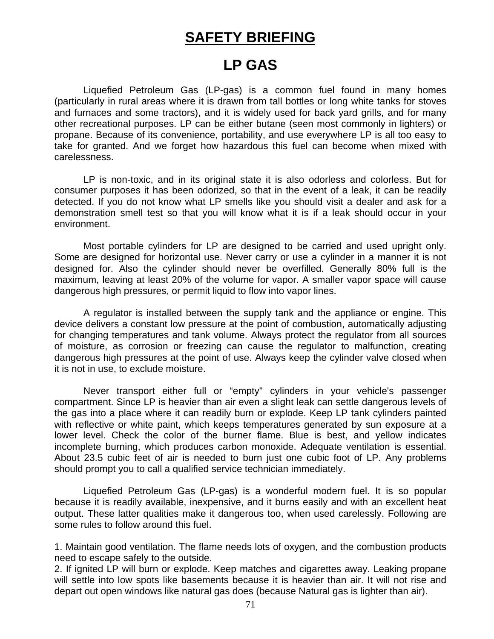### **LP GAS**

Liquefied Petroleum Gas (LP-gas) is a common fuel found in many homes (particularly in rural areas where it is drawn from tall bottles or long white tanks for stoves and furnaces and some tractors), and it is widely used for back yard grills, and for many other recreational purposes. LP can be either butane (seen most commonly in lighters) or propane. Because of its convenience, portability, and use everywhere LP is all too easy to take for granted. And we forget how hazardous this fuel can become when mixed with carelessness.

LP is non-toxic, and in its original state it is also odorless and colorless. But for consumer purposes it has been odorized, so that in the event of a leak, it can be readily detected. If you do not know what LP smells like you should visit a dealer and ask for a demonstration smell test so that you will know what it is if a leak should occur in your environment.

Most portable cylinders for LP are designed to be carried and used upright only. Some are designed for horizontal use. Never carry or use a cylinder in a manner it is not designed for. Also the cylinder should never be overfilled. Generally 80% full is the maximum, leaving at least 20% of the volume for vapor. A smaller vapor space will cause dangerous high pressures, or permit liquid to flow into vapor lines.

A regulator is installed between the supply tank and the appliance or engine. This device delivers a constant low pressure at the point of combustion, automatically adjusting for changing temperatures and tank volume. Always protect the regulator from all sources of moisture, as corrosion or freezing can cause the regulator to malfunction, creating dangerous high pressures at the point of use. Always keep the cylinder valve closed when it is not in use, to exclude moisture.

Never transport either full or "empty" cylinders in your vehicle's passenger compartment. Since LP is heavier than air even a slight leak can settle dangerous levels of the gas into a place where it can readily burn or explode. Keep LP tank cylinders painted with reflective or white paint, which keeps temperatures generated by sun exposure at a lower level. Check the color of the burner flame. Blue is best, and yellow indicates incomplete burning, which produces carbon monoxide. Adequate ventilation is essential. About 23.5 cubic feet of air is needed to burn just one cubic foot of LP. Any problems should prompt you to call a qualified service technician immediately.

Liquefied Petroleum Gas (LP-gas) is a wonderful modern fuel. It is so popular because it is readily available, inexpensive, and it burns easily and with an excellent heat output. These latter qualities make it dangerous too, when used carelessly. Following are some rules to follow around this fuel.

1. Maintain good ventilation. The flame needs lots of oxygen, and the combustion products need to escape safely to the outside.

2. If ignited LP will burn or explode. Keep matches and cigarettes away. Leaking propane will settle into low spots like basements because it is heavier than air. It will not rise and depart out open windows like natural gas does (because Natural gas is lighter than air).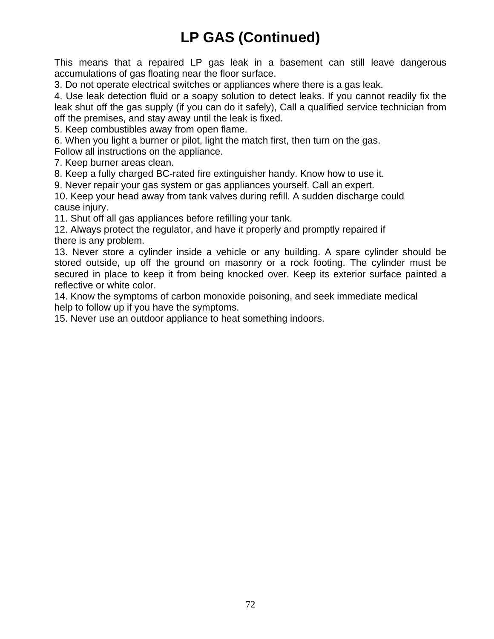# **LP GAS (Continued)**

This means that a repaired LP gas leak in a basement can still leave dangerous accumulations of gas floating near the floor surface.

3. Do not operate electrical switches or appliances where there is a gas leak.

4. Use leak detection fluid or a soapy solution to detect leaks. If you cannot readily fix the leak shut off the gas supply (if you can do it safely), Call a qualified service technician from off the premises, and stay away until the leak is fixed.

5. Keep combustibles away from open flame.

6. When you light a burner or pilot, light the match first, then turn on the gas.

Follow all instructions on the appliance.

7. Keep burner areas clean.

8. Keep a fully charged BC-rated fire extinguisher handy. Know how to use it.

9. Never repair your gas system or gas appliances yourself. Call an expert.

10. Keep your head away from tank valves during refill. A sudden discharge could cause injury.

11. Shut off all gas appliances before refilling your tank.

12. Always protect the regulator, and have it properly and promptly repaired if there is any problem.

13. Never store a cylinder inside a vehicle or any building. A spare cylinder should be stored outside, up off the ground on masonry or a rock footing. The cylinder must be secured in place to keep it from being knocked over. Keep its exterior surface painted a reflective or white color.

14. Know the symptoms of carbon monoxide poisoning, and seek immediate medical help to follow up if you have the symptoms.

15. Never use an outdoor appliance to heat something indoors.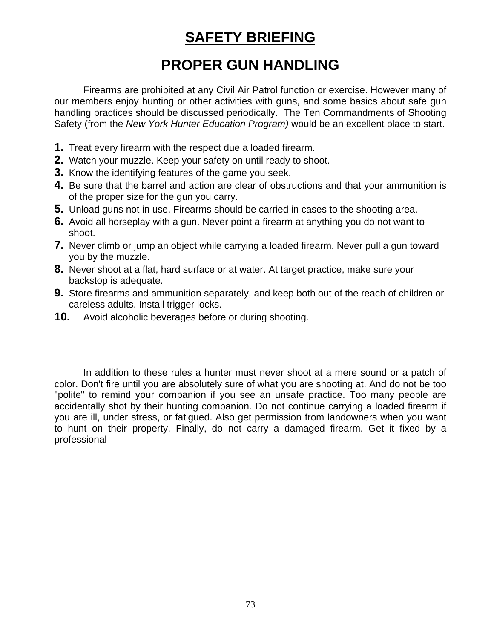# **PROPER GUN HANDLING**

Firearms are prohibited at any Civil Air Patrol function or exercise. However many of our members enjoy hunting or other activities with guns, and some basics about safe gun handling practices should be discussed periodically. The Ten Commandments of Shooting Safety (from the *New York Hunter Education Program)* would be an excellent place to start.

- **1.** Treat every firearm with the respect due a loaded firearm.
- **2.** Watch your muzzle. Keep your safety on until ready to shoot.
- **3.** Know the identifying features of the game you seek.
- **4.** Be sure that the barrel and action are clear of obstructions and that your ammunition is of the proper size for the gun you carry.
- **5.** Unload guns not in use. Firearms should be carried in cases to the shooting area.
- **6.** Avoid all horseplay with a gun. Never point a firearm at anything you do not want to shoot.
- **7.** Never climb or jump an object while carrying a loaded firearm. Never pull a gun toward you by the muzzle.
- **8.** Never shoot at a flat, hard surface or at water. At target practice, make sure your backstop is adequate.
- **9.** Store firearms and ammunition separately, and keep both out of the reach of children or careless adults. Install trigger locks.
- **10.** Avoid alcoholic beverages before or during shooting.

In addition to these rules a hunter must never shoot at a mere sound or a patch of color. Don't fire until you are absolutely sure of what you are shooting at. And do not be too "polite" to remind your companion if you see an unsafe practice. Too many people are accidentally shot by their hunting companion. Do not continue carrying a loaded firearm if you are ill, under stress, or fatigued. Also get permission from landowners when you want to hunt on their property. Finally, do not carry a damaged firearm. Get it fixed by a professional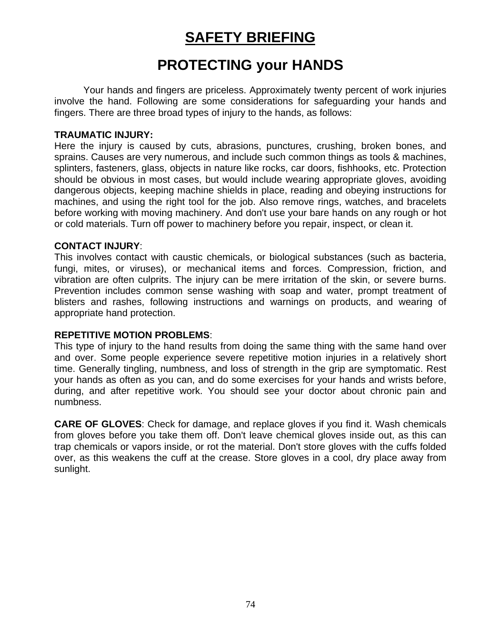# **PROTECTING your HANDS**

Your hands and fingers are priceless. Approximately twenty percent of work injuries involve the hand. Following are some considerations for safeguarding your hands and fingers. There are three broad types of injury to the hands, as follows:

### **TRAUMATIC INJURY:**

Here the injury is caused by cuts, abrasions, punctures, crushing, broken bones, and sprains. Causes are very numerous, and include such common things as tools & machines, splinters, fasteners, glass, objects in nature like rocks, car doors, fishhooks, etc. Protection should be obvious in most cases, but would include wearing appropriate gloves, avoiding dangerous objects, keeping machine shields in place, reading and obeying instructions for machines, and using the right tool for the job. Also remove rings, watches, and bracelets before working with moving machinery. And don't use your bare hands on any rough or hot or cold materials. Turn off power to machinery before you repair, inspect, or clean it.

### **CONTACT INJURY**:

This involves contact with caustic chemicals, or biological substances (such as bacteria, fungi, mites, or viruses), or mechanical items and forces. Compression, friction, and vibration are often culprits. The injury can be mere irritation of the skin, or severe burns. Prevention includes common sense washing with soap and water, prompt treatment of blisters and rashes, following instructions and warnings on products, and wearing of appropriate hand protection.

### **REPETITIVE MOTION PROBLEMS**:

This type of injury to the hand results from doing the same thing with the same hand over and over. Some people experience severe repetitive motion injuries in a relatively short time. Generally tingling, numbness, and loss of strength in the grip are symptomatic. Rest your hands as often as you can, and do some exercises for your hands and wrists before, during, and after repetitive work. You should see your doctor about chronic pain and numbness.

**CARE OF GLOVES**: Check for damage, and replace gloves if you find it. Wash chemicals from gloves before you take them off. Don't leave chemical gloves inside out, as this can trap chemicals or vapors inside, or rot the material. Don't store gloves with the cuffs folded over, as this weakens the cuff at the crease. Store gloves in a cool, dry place away from sunlight.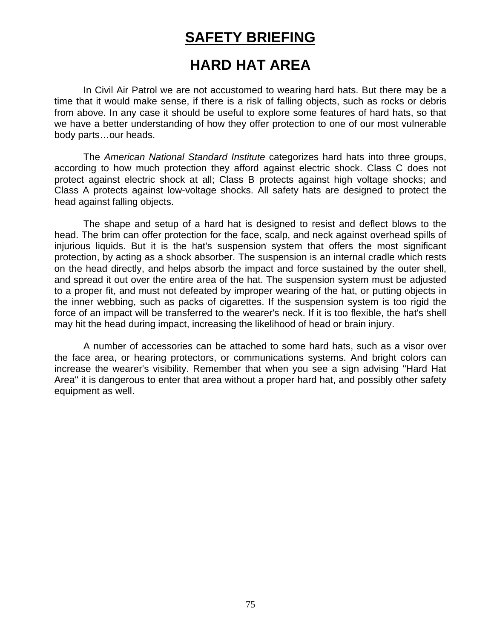## **HARD HAT AREA**

In Civil Air Patrol we are not accustomed to wearing hard hats. But there may be a time that it would make sense, if there is a risk of falling objects, such as rocks or debris from above. In any case it should be useful to explore some features of hard hats, so that we have a better understanding of how they offer protection to one of our most vulnerable body parts…our heads.

The *American National Standard Institute* categorizes hard hats into three groups, according to how much protection they afford against electric shock. Class C does not protect against electric shock at all; Class B protects against high voltage shocks; and Class A protects against low-voltage shocks. All safety hats are designed to protect the head against falling objects.

The shape and setup of a hard hat is designed to resist and deflect blows to the head. The brim can offer protection for the face, scalp, and neck against overhead spills of injurious liquids. But it is the hat's suspension system that offers the most significant protection, by acting as a shock absorber. The suspension is an internal cradle which rests on the head directly, and helps absorb the impact and force sustained by the outer shell, and spread it out over the entire area of the hat. The suspension system must be adjusted to a proper fit, and must not defeated by improper wearing of the hat, or putting objects in the inner webbing, such as packs of cigarettes. If the suspension system is too rigid the force of an impact will be transferred to the wearer's neck. If it is too flexible, the hat's shell may hit the head during impact, increasing the likelihood of head or brain injury.

A number of accessories can be attached to some hard hats, such as a visor over the face area, or hearing protectors, or communications systems. And bright colors can increase the wearer's visibility. Remember that when you see a sign advising "Hard Hat Area" it is dangerous to enter that area without a proper hard hat, and possibly other safety equipment as well.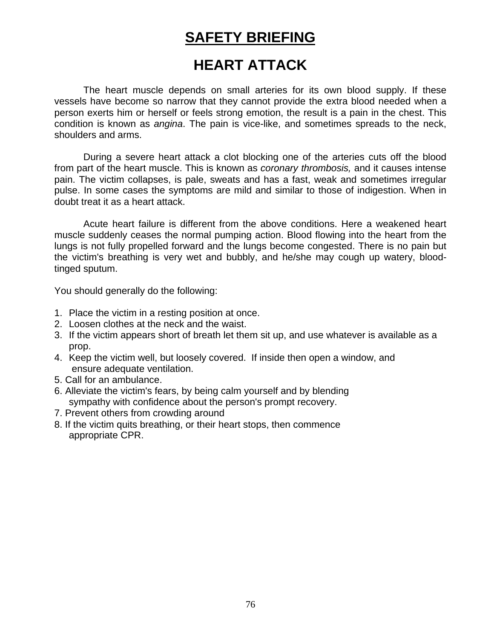## **HEART ATTACK**

The heart muscle depends on small arteries for its own blood supply. If these vessels have become so narrow that they cannot provide the extra blood needed when a person exerts him or herself or feels strong emotion, the result is a pain in the chest. This condition is known as *angina*. The pain is vice-like, and sometimes spreads to the neck, shoulders and arms.

During a severe heart attack a clot blocking one of the arteries cuts off the blood from part of the heart muscle. This is known as *coronary thrombosis,* and it causes intense pain. The victim collapses, is pale, sweats and has a fast, weak and sometimes irregular pulse. In some cases the symptoms are mild and similar to those of indigestion. When in doubt treat it as a heart attack.

Acute heart failure is different from the above conditions. Here a weakened heart muscle suddenly ceases the normal pumping action. Blood flowing into the heart from the lungs is not fully propelled forward and the lungs become congested. There is no pain but the victim's breathing is very wet and bubbly, and he/she may cough up watery, bloodtinged sputum.

You should generally do the following:

- 1. Place the victim in a resting position at once.
- 2. Loosen clothes at the neck and the waist.
- 3. If the victim appears short of breath let them sit up, and use whatever is available as a prop.
- 4. Keep the victim well, but loosely covered. If inside then open a window, and ensure adequate ventilation.
- 5. Call for an ambulance.
- 6. Alleviate the victim's fears, by being calm yourself and by blending sympathy with confidence about the person's prompt recovery.
- 7. Prevent others from crowding around
- 8. If the victim quits breathing, or their heart stops, then commence appropriate CPR.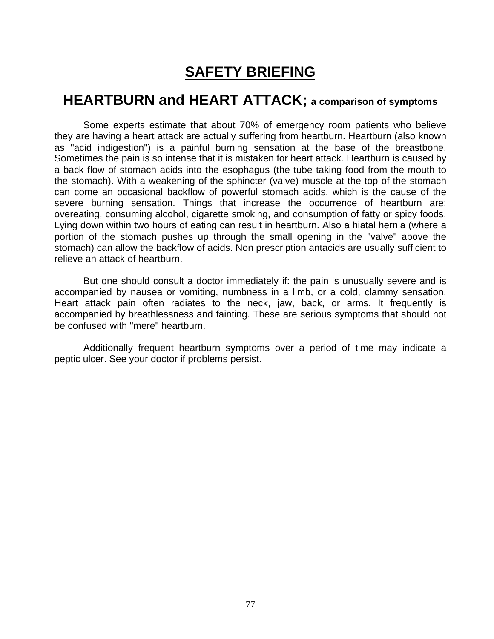### **HEARTBURN and HEART ATTACK; a comparison of symptoms**

Some experts estimate that about 70% of emergency room patients who believe they are having a heart attack are actually suffering from heartburn. Heartburn (also known as "acid indigestion") is a painful burning sensation at the base of the breastbone. Sometimes the pain is so intense that it is mistaken for heart attack*.* Heartburn is caused by a back flow of stomach acids into the esophagus (the tube taking food from the mouth to the stomach). With a weakening of the sphincter (valve) muscle at the top of the stomach can come an occasional backflow of powerful stomach acids, which is the cause of the severe burning sensation. Things that increase the occurrence of heartburn are: overeating, consuming alcohol, cigarette smoking, and consumption of fatty or spicy foods. Lying down within two hours of eating can result in heartburn. Also a hiatal hernia (where a portion of the stomach pushes up through the small opening in the "valve" above the stomach) can allow the backflow of acids. Non prescription antacids are usually sufficient to relieve an attack of heartburn.

But one should consult a doctor immediately if: the pain is unusually severe and is accompanied by nausea or vomiting, numbness in a limb, or a cold, clammy sensation. Heart attack pain often radiates to the neck, jaw, back, or arms. It frequently is accompanied by breathlessness and fainting. These are serious symptoms that should not be confused with "mere" heartburn.

Additionally frequent heartburn symptoms over a period of time may indicate a peptic ulcer. See your doctor if problems persist.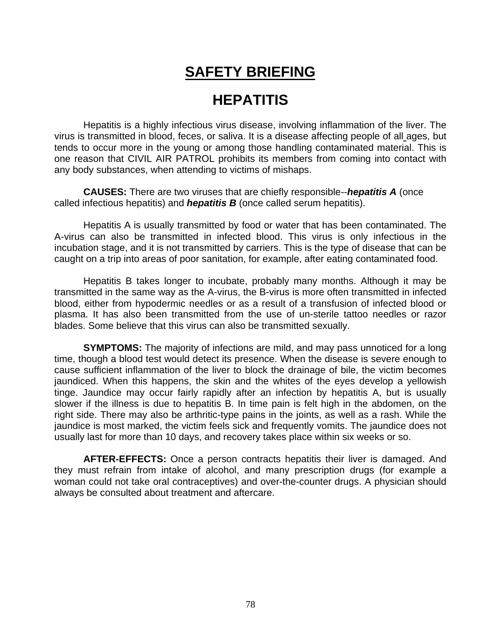## **HEPATITIS**

Hepatitis is a highly infectious virus disease, involving inflammation of the liver. The virus is transmitted in blood, feces, or saliva. It is a disease affecting people of all ages, but tends to occur more in the young or among those handling contaminated material. This is one reason that CIVIL AIR PATROL prohibits its members from coming into contact with any body substances, when attending to victims of mishaps.

**CAUSES:** There are two viruses that are chiefly responsible*--hepatitis A* (once called infectious hepatitis) and *hepatitis B* (once called serum hepatitis).

Hepatitis A is usually transmitted by food or water that has been contaminated. The A-virus can also be transmitted in infected blood. This virus is only infectious in the incubation stage, and it is not transmitted by carriers. This is the type of disease that can be caught on a trip into areas of poor sanitation, for example, after eating contaminated food.

Hepatitis B takes longer to incubate, probably many months. Although it may be transmitted in the same way as the A-virus, the B-virus is more often transmitted in infected blood, either from hypodermic needles or as a result of a transfusion of infected blood or plasma. It has also been transmitted from the use of un-sterile tattoo needles or razor blades. Some believe that this virus can also be transmitted sexually.

**SYMPTOMS:** The majority of infections are mild, and may pass unnoticed for a long time, though a blood test would detect its presence. When the disease is severe enough to cause sufficient inflammation of the liver to block the drainage of bile, the victim becomes jaundiced. When this happens, the skin and the whites of the eyes develop a yellowish tinge. Jaundice may occur fairly rapidly after an infection by hepatitis A, but is usually slower if the illness is due to hepatitis B. In time pain is felt high in the abdomen, on the right side. There may also be arthritic-type pains in the joints, as well as a rash. While the jaundice is most marked, the victim feels sick and frequently vomits. The jaundice does not usually last for more than 10 days, and recovery takes place within six weeks or so.

**AFTER-EFFECTS:** Once a person contracts hepatitis their liver is damaged. And they must refrain from intake of alcohol, and many prescription drugs (for example a woman could not take oral contraceptives) and over-the-counter drugs. A physician should always be consulted about treatment and aftercare.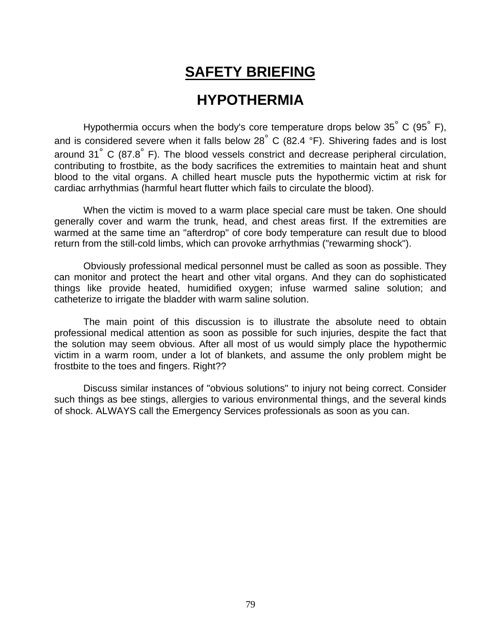## **HYPOTHERMIA**

Hypothermia occurs when the body's core temperature drops below 35° C (95° F), and is considered severe when it falls below 28° C (82.4 °F). Shivering fades and is lost around 31° C (87.8° F). The blood vessels constrict and decrease peripheral circulation, contributing to frostbite, as the body sacrifices the extremities to maintain heat and shunt blood to the vital organs. A chilled heart muscle puts the hypothermic victim at risk for cardiac arrhythmias (harmful heart flutter which fails to circulate the blood).

When the victim is moved to a warm place special care must be taken. One should generally cover and warm the trunk, head, and chest areas first. If the extremities are warmed at the same time an "afterdrop" of core body temperature can result due to blood return from the still-cold limbs, which can provoke arrhythmias ("rewarming shock").

Obviously professional medical personnel must be called as soon as possible. They can monitor and protect the heart and other vital organs. And they can do sophisticated things like provide heated, humidified oxygen; infuse warmed saline solution; and catheterize to irrigate the bladder with warm saline solution.

The main point of this discussion is to illustrate the absolute need to obtain professional medical attention as soon as possible for such injuries, despite the fact that the solution may seem obvious. After all most of us would simply place the hypothermic victim in a warm room, under a lot of blankets, and assume the only problem might be frostbite to the toes and fingers. Right??

Discuss similar instances of "obvious solutions" to injury not being correct. Consider such things as bee stings, allergies to various environmental things, and the several kinds of shock. ALWAYS call the Emergency Services professionals as soon as you can.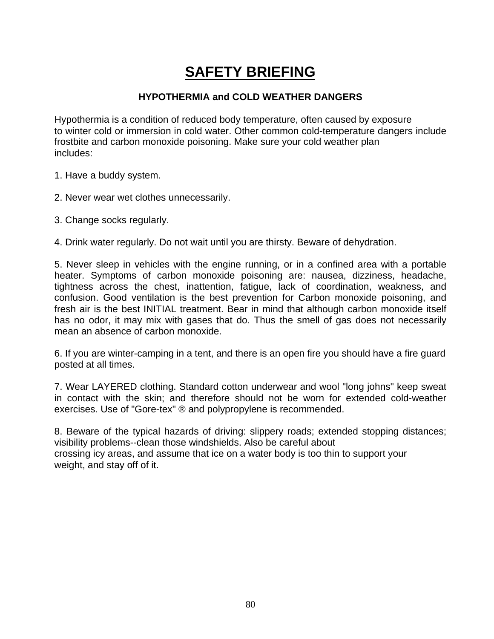### **HYPOTHERMIA and COLD WEATHER DANGERS**

Hypothermia is a condition of reduced body temperature, often caused by exposure to winter cold or immersion in cold water. Other common cold-temperature dangers include frostbite and carbon monoxide poisoning. Make sure your cold weather plan includes:

1. Have a buddy system.

- 2. Never wear wet clothes unnecessarily.
- 3. Change socks regularly.

4. Drink water regularly. Do not wait until you are thirsty. Beware of dehydration.

5. Never sleep in vehicles with the engine running, or in a confined area with a portable heater. Symptoms of carbon monoxide poisoning are: nausea, dizziness, headache, tightness across the chest, inattention, fatigue, lack of coordination, weakness, and confusion. Good ventilation is the best prevention for Carbon monoxide poisoning, and fresh air is the best INITIAL treatment. Bear in mind that although carbon monoxide itself has no odor, it may mix with gases that do. Thus the smell of gas does not necessarily mean an absence of carbon monoxide.

6. If you are winter-camping in a tent, and there is an open fire you should have a fire guard posted at all times.

7. Wear LAYERED clothing. Standard cotton underwear and wool "long johns" keep sweat in contact with the skin; and therefore should not be worn for extended cold-weather exercises. Use of "Gore-tex" ® and polypropylene is recommended.

8. Beware of the typical hazards of driving: slippery roads; extended stopping distances; visibility problems--clean those windshields. Also be careful about crossing icy areas, and assume that ice on a water body is too thin to support your weight, and stay off of it.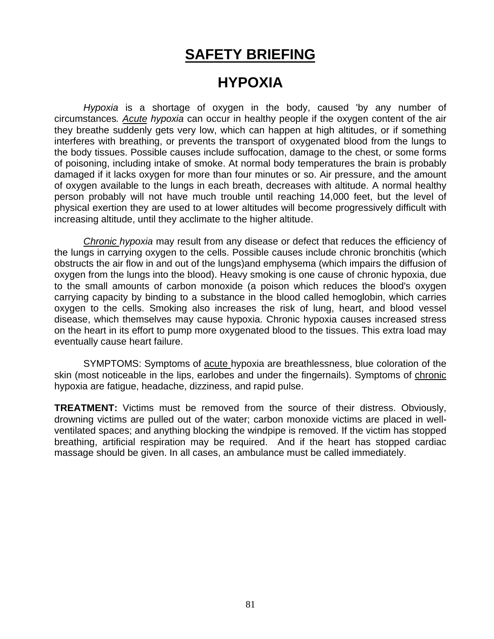## **HYPOXIA**

*Hypoxia* is a shortage of oxygen in the body, caused 'by any number of circumstances*. Acute hypoxia* can occur in healthy people if the oxygen content of the air they breathe suddenly gets very low, which can happen at high altitudes, or if something interferes with breathing, or prevents the transport of oxygenated blood from the lungs to the body tissues. Possible causes include suffocation, damage to the chest, or some forms of poisoning, including intake of smoke. At normal body temperatures the brain is probably damaged if it lacks oxygen for more than four minutes or so. Air pressure, and the amount of oxygen available to the lungs in each breath, decreases with altitude. A normal healthy person probably will not have much trouble until reaching 14,000 feet, but the level of physical exertion they are used to at lower altitudes will become progressively difficult with increasing altitude, until they acclimate to the higher altitude.

*Chronic hypoxia* may result from any disease or defect that reduces the efficiency of the lungs in carrying oxygen to the cells. Possible causes include chronic bronchitis (which obstructs the air flow in and out of the lungs)and emphysema (which impairs the diffusion of oxygen from the lungs into the blood). Heavy smoking is one cause of chronic hypoxia, due to the small amounts of carbon monoxide (a poison which reduces the blood's oxygen carrying capacity by binding to a substance in the blood called hemoglobin, which carries oxygen to the cells. Smoking also increases the risk of lung, heart, and blood vessel disease, which themselves may cause hypoxia. Chronic hypoxia causes increased stress on the heart in its effort to pump more oxygenated blood to the tissues. This extra load may eventually cause heart failure.

SYMPTOMS: Symptoms of acute hypoxia are breathlessness, blue coloration of the skin (most noticeable in the lips, earlobes and under the fingernails). Symptoms of chronic hypoxia are fatigue, headache, dizziness, and rapid pulse.

**TREATMENT:** Victims must be removed from the source of their distress. Obviously, drowning victims are pulled out of the water; carbon monoxide victims are placed in wellventilated spaces; and anything blocking the windpipe is removed. If the victim has stopped breathing, artificial respiration may be required. And if the heart has stopped cardiac massage should be given. In all cases, an ambulance must be called immediately.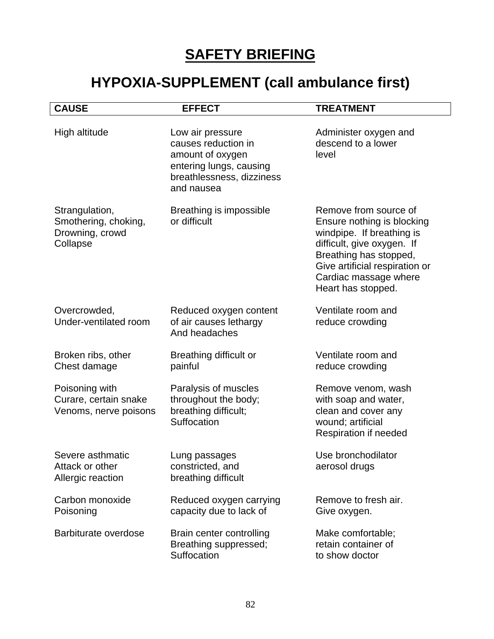# **HYPOXIA-SUPPLEMENT (call ambulance first)**

| <b>CAUSE</b>                                                          | <b>EFFECT</b>                                                                                                                     | <b>TREATMENT</b>                                                                                                                                                                                                          |
|-----------------------------------------------------------------------|-----------------------------------------------------------------------------------------------------------------------------------|---------------------------------------------------------------------------------------------------------------------------------------------------------------------------------------------------------------------------|
| High altitude                                                         | Low air pressure<br>causes reduction in<br>amount of oxygen<br>entering lungs, causing<br>breathlessness, dizziness<br>and nausea | Administer oxygen and<br>descend to a lower<br>level                                                                                                                                                                      |
| Strangulation,<br>Smothering, choking,<br>Drowning, crowd<br>Collapse | Breathing is impossible<br>or difficult                                                                                           | Remove from source of<br>Ensure nothing is blocking<br>windpipe. If breathing is<br>difficult, give oxygen. If<br>Breathing has stopped,<br>Give artificial respiration or<br>Cardiac massage where<br>Heart has stopped. |
| Overcrowded,<br>Under-ventilated room                                 | Reduced oxygen content<br>of air causes lethargy<br>And headaches                                                                 | Ventilate room and<br>reduce crowding                                                                                                                                                                                     |
| Broken ribs, other<br>Chest damage                                    | Breathing difficult or<br>painful                                                                                                 | Ventilate room and<br>reduce crowding                                                                                                                                                                                     |
| Poisoning with<br>Curare, certain snake<br>Venoms, nerve poisons      | Paralysis of muscles<br>throughout the body;<br>breathing difficult;<br>Suffocation                                               | Remove venom, wash<br>with soap and water,<br>clean and cover any<br>wound; artificial<br>Respiration if needed                                                                                                           |
| Severe asthmatic<br>Attack or other<br>Allergic reaction              | Lung passages<br>constricted, and<br>breathing difficult                                                                          | Use bronchodilator<br>aerosol drugs                                                                                                                                                                                       |
| Carbon monoxide<br>Poisoning                                          | Reduced oxygen carrying<br>capacity due to lack of                                                                                | Remove to fresh air.<br>Give oxygen.                                                                                                                                                                                      |
| Barbiturate overdose                                                  | Brain center controlling<br>Breathing suppressed;<br>Suffocation                                                                  | Make comfortable;<br>retain container of<br>to show doctor                                                                                                                                                                |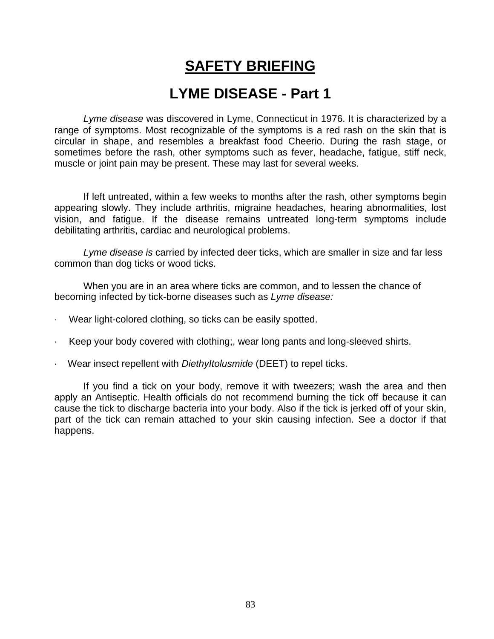## **LYME DISEASE - Part 1**

*Lyme disease* was discovered in Lyme, Connecticut in 1976. It is characterized by a range of symptoms. Most recognizable of the symptoms is a red rash on the skin that is circular in shape, and resembles a breakfast food Cheerio. During the rash stage, or sometimes before the rash, other symptoms such as fever, headache, fatigue, stiff neck, muscle or joint pain may be present. These may last for several weeks.

If left untreated, within a few weeks to months after the rash, other symptoms begin appearing slowly. They include arthritis, migraine headaches, hearing abnormalities, lost vision, and fatigue. If the disease remains untreated long-term symptoms include debilitating arthritis, cardiac and neurological problems.

*Lyme disease is* carried by infected deer ticks, which are smaller in size and far less common than dog ticks or wood ticks.

When you are in an area where ticks are common, and to lessen the chance of becoming infected by tick-borne diseases such as *Lyme disease:*

- · Wear light-colored clothing, so ticks can be easily spotted.
- · Keep your body covered with clothing;, wear long pants and long-sleeved shirts.
- · Wear insect repellent with *DiethyItolusmide* (DEET) to repel ticks.

If you find a tick on your body, remove it with tweezers; wash the area and then apply an Antiseptic. Health officials do not recommend burning the tick off because it can cause the tick to discharge bacteria into your body. Also if the tick is jerked off of your skin, part of the tick can remain attached to your skin causing infection. See a doctor if that happens.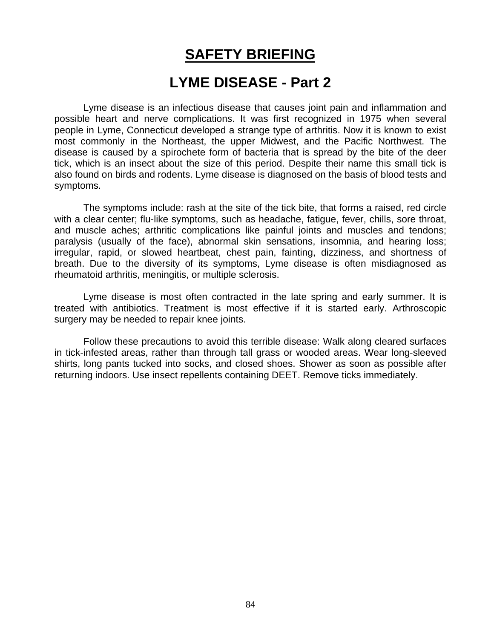### **LYME DISEASE - Part 2**

Lyme disease is an infectious disease that causes joint pain and inflammation and possible heart and nerve complications. It was first recognized in 1975 when several people in Lyme, Connecticut developed a strange type of arthritis. Now it is known to exist most commonly in the Northeast, the upper Midwest, and the Pacific Northwest. The disease is caused by a spirochete form of bacteria that is spread by the bite of the deer tick, which is an insect about the size of this period. Despite their name this small tick is also found on birds and rodents. Lyme disease is diagnosed on the basis of blood tests and symptoms.

The symptoms include: rash at the site of the tick bite, that forms a raised, red circle with a clear center; flu-like symptoms, such as headache, fatigue, fever, chills, sore throat, and muscle aches; arthritic complications like painful joints and muscles and tendons; paralysis (usually of the face), abnormal skin sensations, insomnia, and hearing loss; irregular, rapid, or slowed heartbeat, chest pain, fainting, dizziness, and shortness of breath. Due to the diversity of its symptoms, Lyme disease is often misdiagnosed as rheumatoid arthritis, meningitis, or multiple sclerosis.

Lyme disease is most often contracted in the late spring and early summer. It is treated with antibiotics. Treatment is most effective if it is started early. Arthroscopic surgery may be needed to repair knee joints.

Follow these precautions to avoid this terrible disease: Walk along cleared surfaces in tick-infested areas, rather than through tall grass or wooded areas. Wear long-sleeved shirts, long pants tucked into socks, and closed shoes. Shower as soon as possible after returning indoors. Use insect repellents containing DEET. Remove ticks immediately.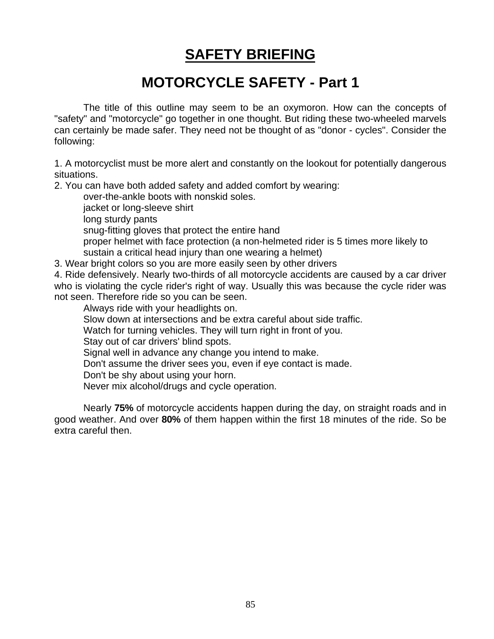## **MOTORCYCLE SAFETY - Part 1**

The title of this outline may seem to be an oxymoron. How can the concepts of "safety" and "motorcycle" go together in one thought. But riding these two-wheeled marvels can certainly be made safer. They need not be thought of as "donor - cycles". Consider the following:

1. A motorcyclist must be more alert and constantly on the lookout for potentially dangerous situations.

2. You can have both added safety and added comfort by wearing:

over-the-ankle boots with nonskid soles.

jacket or long-sleeve shirt

long sturdy pants

snug-fitting gloves that protect the entire hand

proper helmet with face protection (a non-helmeted rider is 5 times more likely to sustain a critical head injury than one wearing a helmet)

3. Wear bright colors so you are more easily seen by other drivers

4. Ride defensively. Nearly two-thirds of all motorcycle accidents are caused by a car driver who is violating the cycle rider's right of way. Usually this was because the cycle rider was not seen. Therefore ride so you can be seen.

Always ride with your headlights on.

Slow down at intersections and be extra careful about side traffic.

Watch for turning vehicles. They will turn right in front of you.

Stay out of car drivers' blind spots.

Signal well in advance any change you intend to make.

Don't assume the driver sees you, even if eye contact is made.

Don't be shy about using your horn.

Never mix alcohol/drugs and cycle operation.

Nearly **75%** of motorcycle accidents happen during the day, on straight roads and in good weather. And over **80%** of them happen within the first 18 minutes of the ride. So be extra careful then.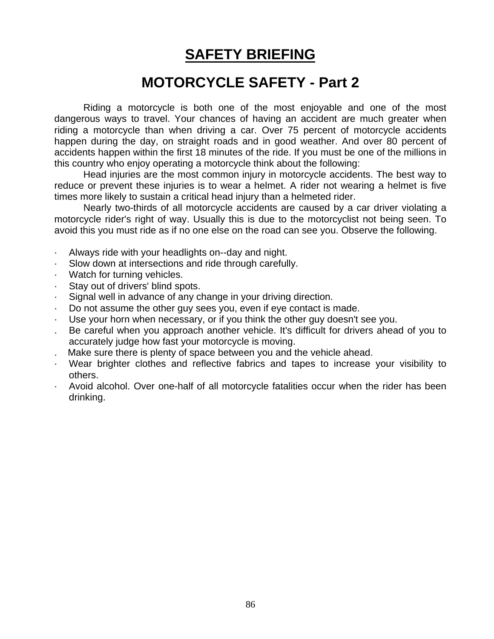### **MOTORCYCLE SAFETY - Part 2**

Riding a motorcycle is both one of the most enjoyable and one of the most dangerous ways to travel. Your chances of having an accident are much greater when riding a motorcycle than when driving a car. Over 75 percent of motorcycle accidents happen during the day, on straight roads and in good weather. And over 80 percent of accidents happen within the first 18 minutes of the ride. If you must be one of the millions in this country who enjoy operating a motorcycle think about the following:

Head injuries are the most common injury in motorcycle accidents. The best way to reduce or prevent these injuries is to wear a helmet. A rider not wearing a helmet is five times more likely to sustain a critical head injury than a helmeted rider.

Nearly two-thirds of all motorcycle accidents are caused by a car driver violating a motorcycle rider's right of way. Usually this is due to the motorcyclist not being seen. To avoid this you must ride as if no one else on the road can see you. Observe the following.

- · Always ride with your headlights on--day and night.
- Slow down at intersections and ride through carefully.
- Watch for turning vehicles.
- · Stay out of drivers' blind spots.
- Signal well in advance of any change in your driving direction.
- · Do not assume the other guy sees you, even if eye contact is made.
- Use your horn when necessary, or if you think the other guy doesn't see you.
- . Be careful when you approach another vehicle. It's difficult for drivers ahead of you to accurately judge how fast your motorcycle is moving.
- . Make sure there is plenty of space between you and the vehicle ahead.
- · Wear brighter clothes and reflective fabrics and tapes to increase your visibility to others.
- · Avoid alcohol. Over one-half of all motorcycle fatalities occur when the rider has been drinking.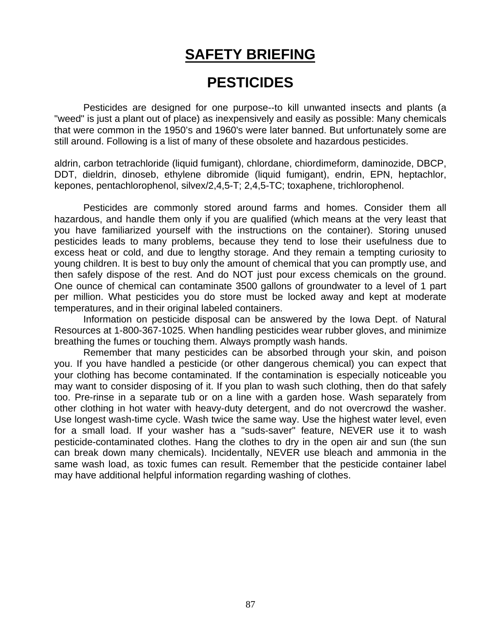## **PESTICIDES**

Pesticides are designed for one purpose--to kill unwanted insects and plants (a "weed" is just a plant out of place) as inexpensively and easily as possible: Many chemicals that were common in the 1950's and 1960's were later banned. But unfortunately some are still around. Following is a list of many of these obsolete and hazardous pesticides.

aldrin, carbon tetrachloride (liquid fumigant), chlordane, chiordimeform, daminozide, DBCP, DDT, dieldrin, dinoseb, ethylene dibromide (liquid fumigant), endrin, EPN, heptachlor, kepones, pentachlorophenol, silvex/2,4,5-T; 2,4,5-TC; toxaphene, trichlorophenol.

Pesticides are commonly stored around farms and homes. Consider them all hazardous, and handle them only if you are qualified (which means at the very least that you have familiarized yourself with the instructions on the container). Storing unused pesticides leads to many problems, because they tend to lose their usefulness due to excess heat or cold, and due to lengthy storage. And they remain a tempting curiosity to young children. It is best to buy only the amount of chemical that you can promptly use, and then safely dispose of the rest. And do NOT just pour excess chemicals on the ground. One ounce of chemical can contaminate 3500 gallons of groundwater to a level of 1 part per million. What pesticides you do store must be locked away and kept at moderate temperatures, and in their original labeled containers.

Information on pesticide disposal can be answered by the Iowa Dept. of Natural Resources at 1-800-367-1025. When handling pesticides wear rubber gloves, and minimize breathing the fumes or touching them. Always promptly wash hands.

Remember that many pesticides can be absorbed through your skin, and poison you. If you have handled a pesticide (or other dangerous chemical) you can expect that your clothing has become contaminated. If the contamination is especially noticeable you may want to consider disposing of it. If you plan to wash such clothing, then do that safely too. Pre-rinse in a separate tub or on a line with a garden hose. Wash separately from other clothing in hot water with heavy-duty detergent, and do not overcrowd the washer. Use longest wash-time cycle. Wash twice the same way. Use the highest water level, even for a small load. If your washer has a "suds-saver" feature, NEVER use it to wash pesticide-contaminated clothes. Hang the clothes to dry in the open air and sun (the sun can break down many chemicals). Incidentally, NEVER use bleach and ammonia in the same wash load, as toxic fumes can result. Remember that the pesticide container label may have additional helpful information regarding washing of clothes.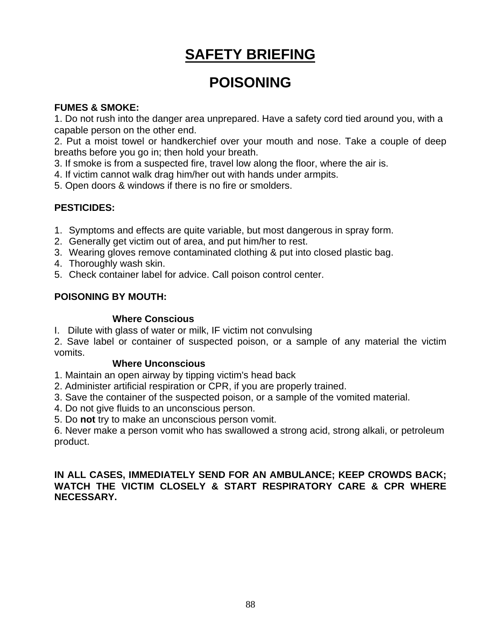## **POISONING**

### **FUMES & SMOKE:**

1. Do not rush into the danger area unprepared. Have a safety cord tied around you, with a capable person on the other end.

2. Put a moist towel or handkerchief over your mouth and nose. Take a couple of deep breaths before you go in; then hold your breath.

3. If smoke is from a suspected fire, travel low along the floor, where the air is.

4. If victim cannot walk drag him/her out with hands under armpits.

5. Open doors & windows if there is no fire or smolders.

### **PESTICIDES:**

- 1. Symptoms and effects are quite variable, but most dangerous in spray form.
- 2. Generally get victim out of area, and put him/her to rest.
- 3. Wearing gloves remove contaminated clothing & put into closed plastic bag.
- 4. Thoroughly wash skin.
- 5. Check container label for advice. Call poison control center.

### **POISONING BY MOUTH:**

### **Where Conscious**

I. Dilute with glass of water or milk, IF victim not convulsing

2. Save label or container of suspected poison, or a sample of any material the victim vomits.

#### **Where Unconscious**

- 1. Maintain an open airway by tipping victim's head back
- 2. Administer artificial respiration or CPR, if you are properly trained.
- 3. Save the container of the suspected poison, or a sample of the vomited material.
- 4. Do not give fluids to an unconscious person.
- 5. Do **not** try to make an unconscious person vomit.

6. Never make a person vomit who has swallowed a strong acid, strong alkali, or petroleum product.

#### **IN ALL CASES, IMMEDIATELY SEND FOR AN AMBULANCE; KEEP CROWDS BACK; WATCH THE VICTIM CLOSELY & START RESPIRATORY CARE & CPR WHERE NECESSARY.**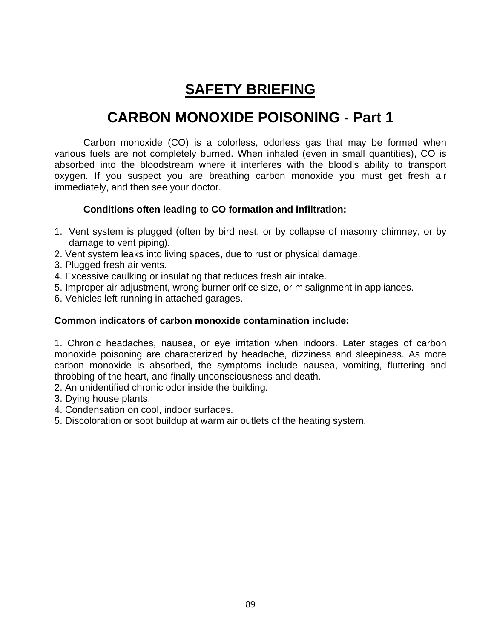# **CARBON MONOXIDE POISONING - Part 1**

Carbon monoxide (CO) is a colorless, odorless gas that may be formed when various fuels are not completely burned. When inhaled (even in small quantities), CO is absorbed into the bloodstream where it interferes with the blood's ability to transport oxygen. If you suspect you are breathing carbon monoxide you must get fresh air immediately, and then see your doctor.

#### **Conditions often leading to CO formation and infiltration:**

- 1. Vent system is plugged (often by bird nest, or by collapse of masonry chimney, or by damage to vent piping).
- 2. Vent system leaks into living spaces, due to rust or physical damage.
- 3. Plugged fresh air vents.
- 4. Excessive caulking or insulating that reduces fresh air intake.
- 5. Improper air adjustment, wrong burner orifice size, or misalignment in appliances.
- 6. Vehicles left running in attached garages.

#### **Common indicators of carbon monoxide contamination include:**

1. Chronic headaches, nausea, or eye irritation when indoors. Later stages of carbon monoxide poisoning are characterized by headache, dizziness and sleepiness. As more carbon monoxide is absorbed, the symptoms include nausea, vomiting, fluttering and throbbing of the heart, and finally unconsciousness and death.

- 2. An unidentified chronic odor inside the building.
- 3. Dying house plants.
- 4. Condensation on cool, indoor surfaces.
- 5. Discoloration or soot buildup at warm air outlets of the heating system.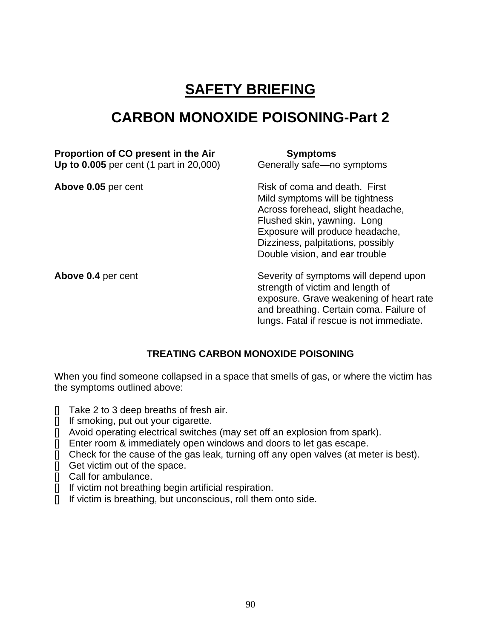## **CARBON MONOXIDE POISONING-Part 2**

| Proportion of CO present in the Air<br><b>Up to 0.005</b> per cent (1 part in 20,000) | <b>Symptoms</b><br>Generally safe-no symptoms                                                                                                                                                                                                  |
|---------------------------------------------------------------------------------------|------------------------------------------------------------------------------------------------------------------------------------------------------------------------------------------------------------------------------------------------|
| Above 0.05 per cent                                                                   | Risk of coma and death. First<br>Mild symptoms will be tightness<br>Across forehead, slight headache,<br>Flushed skin, yawning. Long<br>Exposure will produce headache,<br>Dizziness, palpitations, possibly<br>Double vision, and ear trouble |
| Above 0.4 per cent                                                                    | Severity of symptoms will depend upon<br>strength of victim and length of<br>exposure. Grave weakening of heart rate<br>and breathing. Certain coma. Failure of<br>lungs. Fatal if rescue is not immediate.                                    |

#### **TREATING CARBON MONOXIDE POISONING**

When you find someone collapsed in a space that smells of gas, or where the victim has the symptoms outlined above:

- [] Take 2 to 3 deep breaths of fresh air.
- [] If smoking, put out your cigarette.
- [] Avoid operating electrical switches (may set off an explosion from spark).
- [] Enter room & immediately open windows and doors to let gas escape.
- [] Check for the cause of the gas leak, turning off any open valves (at meter is best).
- [] Get victim out of the space.
- [] Call for ambulance.
- [] If victim not breathing begin artificial respiration.
- [] If victim is breathing, but unconscious, roll them onto side.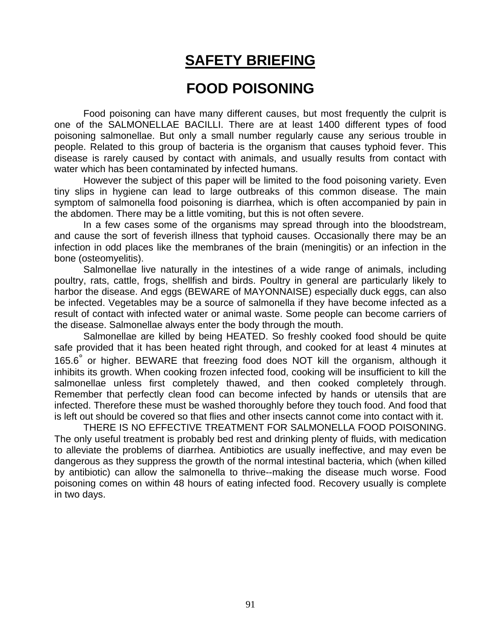### **FOOD POISONING**

Food poisoning can have many different causes, but most frequently the culprit is one of the SALMONELLAE BACILLI. There are at least 1400 different types of food poisoning salmonellae. But only a small number regularly cause any serious trouble in people. Related to this group of bacteria is the organism that causes typhoid fever. This disease is rarely caused by contact with animals, and usually results from contact with water which has been contaminated by infected humans.

However the subject of this paper will be limited to the food poisoning variety. Even tiny slips in hygiene can lead to large outbreaks of this common disease. The main symptom of salmonella food poisoning is diarrhea, which is often accompanied by pain in the abdomen. There may be a little vomiting, but this is not often severe.

In a few cases some of the organisms may spread through into the bloodstream, and cause the sort of feverish illness that typhoid causes. Occasionally there may be an infection in odd places like the membranes of the brain (meningitis) or an infection in the bone (osteomyelitis).

Salmonellae live naturally in the intestines of a wide range of animals, including poultry, rats, cattle, frogs, shellfish and birds. Poultry in general are particularly likely to harbor the disease. And eggs (BEWARE of MAYONNAISE) especially duck eggs, can also be infected. Vegetables may be a source of salmonella if they have become infected as a result of contact with infected water or animal waste. Some people can become carriers of the disease. Salmonellae always enter the body through the mouth.

Salmonellae are killed by being HEATED. So freshly cooked food should be quite safe provided that it has been heated right through, and cooked for at least 4 minutes at 165.6° or higher. BEWARE that freezing food does NOT kill the organism, although it inhibits its growth. When cooking frozen infected food, cooking will be insufficient to kill the salmonellae unless first completely thawed, and then cooked completely through. Remember that perfectly clean food can become infected by hands or utensils that are infected. Therefore these must be washed thoroughly before they touch food. And food that is left out should be covered so that flies and other insects cannot come into contact with it.

THERE IS NO EFFECTIVE TREATMENT FOR SALMONELLA FOOD POISONING. The only useful treatment is probably bed rest and drinking plenty of fluids, with medication to alleviate the problems of diarrhea. Antibiotics are usually ineffective, and may even be dangerous as they suppress the growth of the normal intestinal bacteria, which (when killed by antibiotic) can allow the salmonella to thrive--making the disease much worse. Food poisoning comes on within 48 hours of eating infected food. Recovery usually is complete in two days.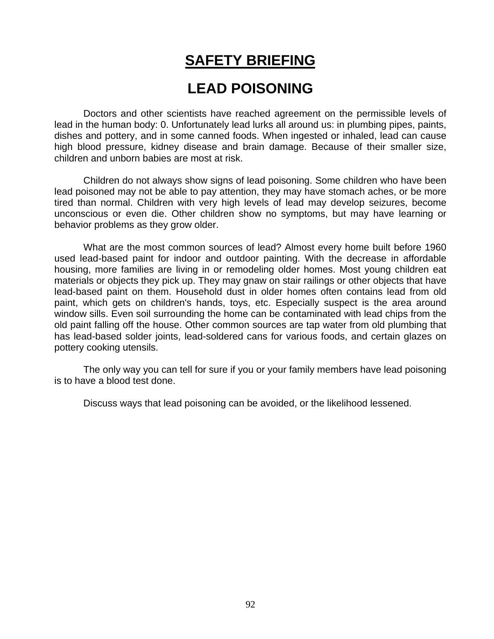## **LEAD POISONING**

Doctors and other scientists have reached agreement on the permissible levels of lead in the human body: 0. Unfortunately lead lurks all around us: in plumbing pipes, paints, dishes and pottery, and in some canned foods. When ingested or inhaled, lead can cause high blood pressure, kidney disease and brain damage. Because of their smaller size, children and unborn babies are most at risk.

Children do not always show signs of lead poisoning. Some children who have been lead poisoned may not be able to pay attention, they may have stomach aches, or be more tired than normal. Children with very high levels of lead may develop seizures, become unconscious or even die. Other children show no symptoms, but may have learning or behavior problems as they grow older.

What are the most common sources of lead? Almost every home built before 1960 used lead-based paint for indoor and outdoor painting. With the decrease in affordable housing, more families are living in or remodeling older homes. Most young children eat materials or objects they pick up. They may gnaw on stair railings or other objects that have lead-based paint on them. Household dust in older homes often contains lead from old paint, which gets on children's hands, toys, etc. Especially suspect is the area around window sills. Even soil surrounding the home can be contaminated with lead chips from the old paint falling off the house. Other common sources are tap water from old plumbing that has lead-based solder joints, lead-soldered cans for various foods, and certain glazes on pottery cooking utensils.

The only way you can tell for sure if you or your family members have lead poisoning is to have a blood test done.

Discuss ways that lead poisoning can be avoided, or the likelihood lessened.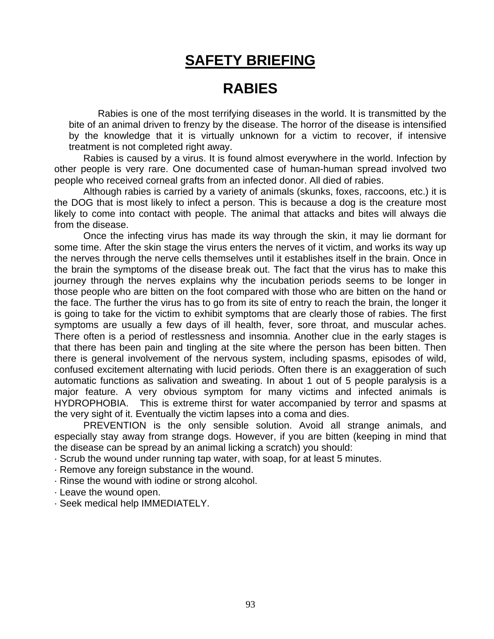### **RABIES**

Rabies is one of the most terrifying diseases in the world. It is transmitted by the bite of an animal driven to frenzy by the disease. The horror of the disease is intensified by the knowledge that it is virtually unknown for a victim to recover, if intensive treatment is not completed right away.

Rabies is caused by a virus. It is found almost everywhere in the world. Infection by other people is very rare. One documented case of human-human spread involved two people who received corneal grafts from an infected donor. All died of rabies.

Although rabies is carried by a variety of animals (skunks, foxes, raccoons, etc.) it is the DOG that is most likely to infect a person. This is because a dog is the creature most likely to come into contact with people. The animal that attacks and bites will always die from the disease.

Once the infecting virus has made its way through the skin, it may lie dormant for some time. After the skin stage the virus enters the nerves of it victim, and works its way up the nerves through the nerve cells themselves until it establishes itself in the brain. Once in the brain the symptoms of the disease break out. The fact that the virus has to make this journey through the nerves explains why the incubation periods seems to be longer in those people who are bitten on the foot compared with those who are bitten on the hand or the face. The further the virus has to go from its site of entry to reach the brain, the longer it is going to take for the victim to exhibit symptoms that are clearly those of rabies. The first symptoms are usually a few days of ill health, fever, sore throat, and muscular aches. There often is a period of restlessness and insomnia. Another clue in the early stages is that there has been pain and tingling at the site where the person has been bitten. Then there is general involvement of the nervous system, including spasms, episodes of wild, confused excitement alternating with lucid periods. Often there is an exaggeration of such automatic functions as salivation and sweating. In about 1 out of 5 people paralysis is a major feature. A very obvious symptom for many victims and infected animals is HYDROPHOBIA. This is extreme thirst for water accompanied by terror and spasms at the very sight of it. Eventually the victim lapses into a coma and dies.

PREVENTION is the only sensible solution. Avoid all strange animals, and especially stay away from strange dogs. However, if you are bitten (keeping in mind that the disease can be spread by an animal licking a scratch) you should:

· Scrub the wound under running tap water, with soap, for at least 5 minutes.

- · Remove any foreign substance in the wound.
- · Rinse the wound with iodine or strong alcohol.
- · Leave the wound open.
- · Seek medical help IMMEDIATELY.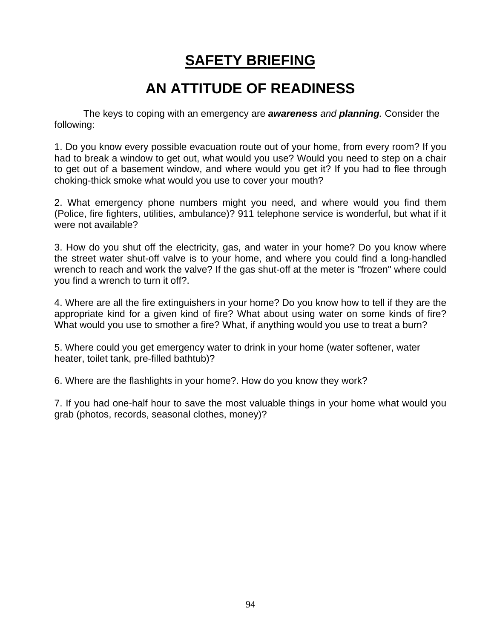## **AN ATTITUDE OF READINESS**

The keys to coping with an emergency are *awareness and planning.* Consider the following:

1. Do you know every possible evacuation route out of your home, from every room? If you had to break a window to get out, what would you use? Would you need to step on a chair to get out of a basement window, and where would you get it? If you had to flee through choking-thick smoke what would you use to cover your mouth?

2. What emergency phone numbers might you need, and where would you find them (Police, fire fighters, utilities, ambulance)? 911 telephone service is wonderful, but what if it were not available?

3. How do you shut off the electricity, gas, and water in your home? Do you know where the street water shut-off valve is to your home, and where you could find a long-handled wrench to reach and work the valve? If the gas shut-off at the meter is "frozen" where could you find a wrench to turn it off?.

4. Where are all the fire extinguishers in your home? Do you know how to tell if they are the appropriate kind for a given kind of fire? What about using water on some kinds of fire? What would you use to smother a fire? What, if anything would you use to treat a burn?

5. Where could you get emergency water to drink in your home (water softener, water heater, toilet tank, pre-filled bathtub)?

6. Where are the flashlights in your home?. How do you know they work?

7. If you had one-half hour to save the most valuable things in your home what would you grab (photos, records, seasonal clothes, money)?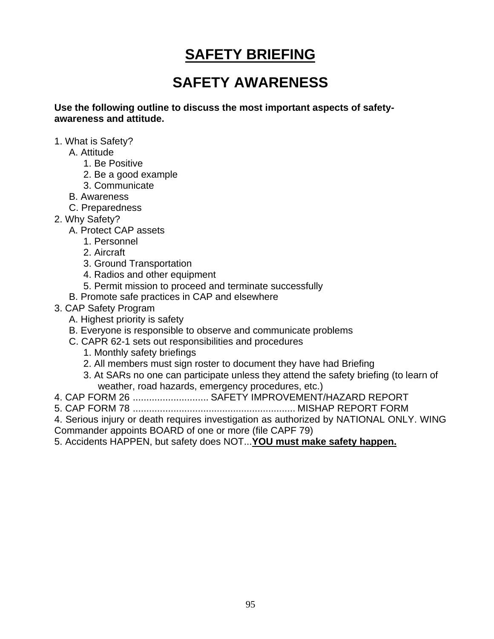## **SAFETY AWARENESS**

**Use the following outline to discuss the most important aspects of safetyawareness and attitude.**

- 1. What is Safety?
	- A. Attitude
		- 1. Be Positive
		- 2. Be a good example
		- 3. Communicate
	- B. Awareness
	- C. Preparedness
- 2. Why Safety?
	- A. Protect CAP assets
		- 1. Personnel
		- 2. Aircraft
		- 3. Ground Transportation
		- 4. Radios and other equipment
		- 5. Permit mission to proceed and terminate successfully
	- B. Promote safe practices in CAP and elsewhere
- 3. CAP Safety Program
	- A. Highest priority is safety
	- B. Everyone is responsible to observe and communicate problems
	- C. CAPR 62-1 sets out responsibilities and procedures
		- 1. Monthly safety briefings
		- 2. All members must sign roster to document they have had Briefing
		- 3. At SARs no one can participate unless they attend the safety briefing (to learn of weather, road hazards, emergency procedures, etc.)
- 4. CAP FORM 26 ............................ SAFETY IMPROVEMENT/HAZARD REPORT
- 5. CAP FORM 78 ............................................................ MISHAP REPORT FORM
- 4. Serious injury or death requires investigation as authorized by NATIONAL ONLY. WING Commander appoints BOARD of one or more (file CAPF 79)
- 5. Accidents HAPPEN, but safety does NOT...**YOU must make safety happen.**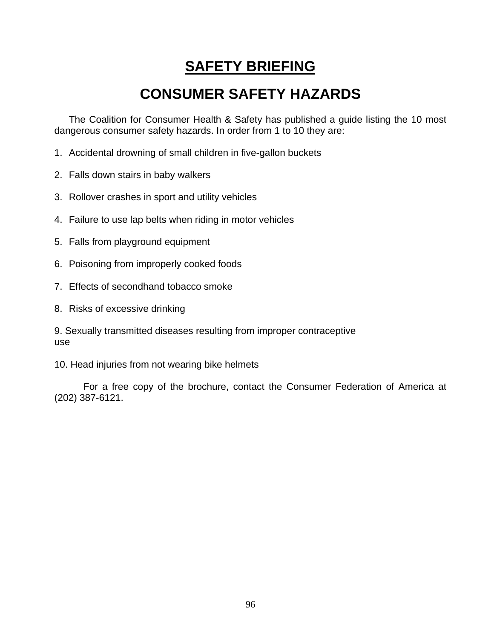# **CONSUMER SAFETY HAZARDS**

The Coalition for Consumer Health & Safety has published a guide listing the 10 most dangerous consumer safety hazards. In order from 1 to 10 they are:

- 1. Accidental drowning of small children in five-gallon buckets
- 2. Falls down stairs in baby walkers
- 3. Rollover crashes in sport and utility vehicles
- 4. Failure to use lap belts when riding in motor vehicles
- 5. Falls from playground equipment
- 6. Poisoning from improperly cooked foods
- 7. Effects of secondhand tobacco smoke
- 8. Risks of excessive drinking

9. Sexually transmitted diseases resulting from improper contraceptive use

10. Head injuries from not wearing bike helmets

For a free copy of the brochure, contact the Consumer Federation of America at (202) 387-6121.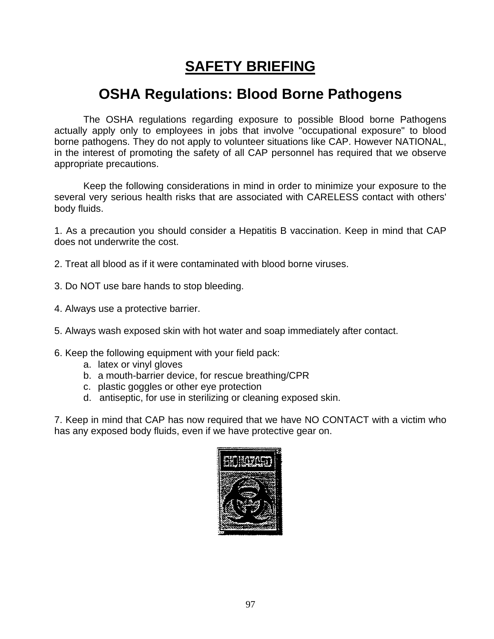## **OSHA Regulations: Blood Borne Pathogens**

The OSHA regulations regarding exposure to possible Blood borne Pathogens actually apply only to employees in jobs that involve "occupational exposure" to blood borne pathogens. They do not apply to volunteer situations like CAP. However NATIONAL, in the interest of promoting the safety of all CAP personnel has required that we observe appropriate precautions.

Keep the following considerations in mind in order to minimize your exposure to the several very serious health risks that are associated with CARELESS contact with others' body fluids.

1. As a precaution you should consider a Hepatitis B vaccination. Keep in mind that CAP does not underwrite the cost.

- 2. Treat all blood as if it were contaminated with blood borne viruses.
- 3. Do NOT use bare hands to stop bleeding.
- 4. Always use a protective barrier.
- 5. Always wash exposed skin with hot water and soap immediately after contact.
- 6. Keep the following equipment with your field pack:
	- a. latex or vinyl gloves
	- b. a mouth-barrier device, for rescue breathing/CPR
	- c. plastic goggles or other eye protection
	- d. antiseptic, for use in sterilizing or cleaning exposed skin.

7. Keep in mind that CAP has now required that we have NO CONTACT with a victim who has any exposed body fluids, even if we have protective gear on.

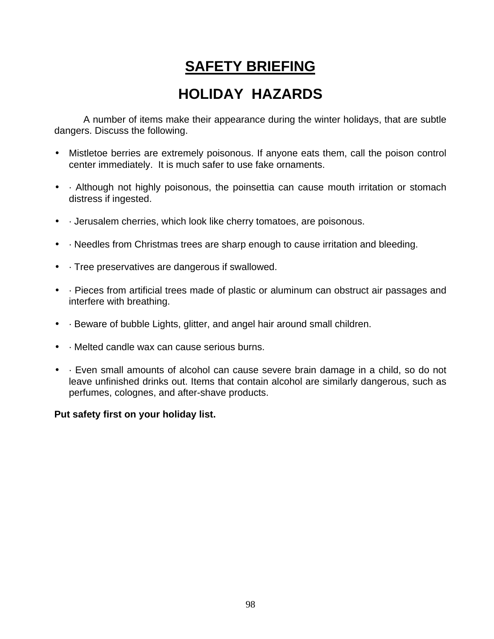# **HOLIDAY HAZARDS**

A number of items make their appearance during the winter holidays, that are subtle dangers. Discuss the following.

- Mistletoe berries are extremely poisonous. If anyone eats them, call the poison control center immediately. It is much safer to use fake ornaments.
- Although not highly poisonous, the poinsettia can cause mouth irritation or stomach distress if ingested.
- · Jerusalem cherries, which look like cherry tomatoes, are poisonous.
- · Needles from Christmas trees are sharp enough to cause irritation and bleeding.
- · Tree preservatives are dangerous if swallowed.
- · Pieces from artificial trees made of plastic or aluminum can obstruct air passages and interfere with breathing.
- · Beware of bubble Lights, glitter, and angel hair around small children.
- · Melted candle wax can cause serious burns.
- · Even small amounts of alcohol can cause severe brain damage in a child, so do not leave unfinished drinks out. Items that contain alcohol are similarly dangerous, such as perfumes, colognes, and after-shave products.

### **Put safety first on your holiday list.**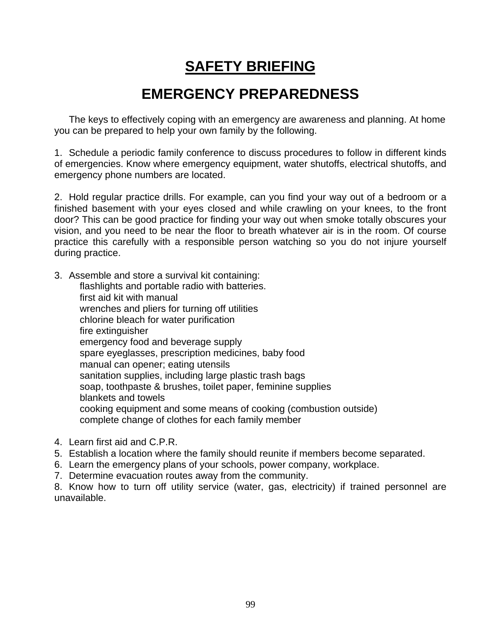### **EMERGENCY PREPAREDNESS**

The keys to effectively coping with an emergency are awareness and planning. At home you can be prepared to help your own family by the following.

1. Schedule a periodic family conference to discuss procedures to follow in different kinds of emergencies. Know where emergency equipment, water shutoffs, electrical shutoffs, and emergency phone numbers are located.

2. Hold regular practice drills. For example, can you find your way out of a bedroom or a finished basement with your eyes closed and while crawling on your knees, to the front door? This can be good practice for finding your way out when smoke totally obscures your vision, and you need to be near the floor to breath whatever air is in the room. Of course practice this carefully with a responsible person watching so you do not injure yourself during practice.

3. Assemble and store a survival kit containing:

flashlights and portable radio with batteries. first aid kit with manual wrenches and pliers for turning off utilities chlorine bleach for water purification fire extinguisher emergency food and beverage supply spare eyeglasses, prescription medicines, baby food manual can opener; eating utensils sanitation supplies, including large plastic trash bags soap, toothpaste & brushes, toilet paper, feminine supplies blankets and towels cooking equipment and some means of cooking (combustion outside) complete change of clothes for each family member

- 4. Learn first aid and C.P.R.
- 5. Establish a location where the family should reunite if members become separated.
- 6. Learn the emergency plans of your schools, power company, workplace.
- 7. Determine evacuation routes away from the community.

8. Know how to turn off utility service (water, gas, electricity) if trained personnel are unavailable.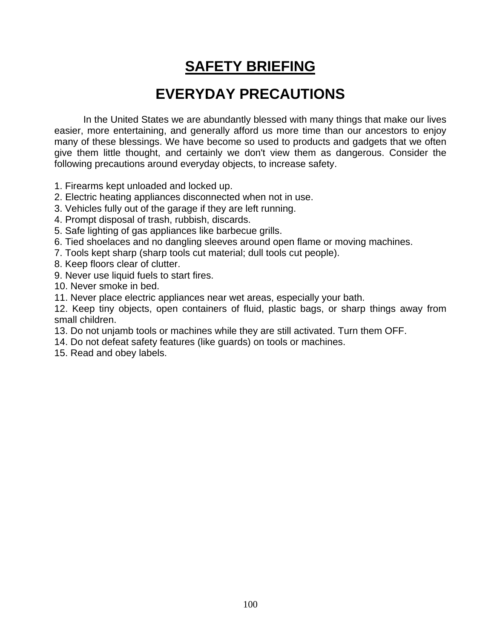## **EVERYDAY PRECAUTIONS**

In the United States we are abundantly blessed with many things that make our lives easier, more entertaining, and generally afford us more time than our ancestors to enjoy many of these blessings. We have become so used to products and gadgets that we often give them little thought, and certainly we don't view them as dangerous. Consider the following precautions around everyday objects, to increase safety.

- 1. Firearms kept unloaded and locked up.
- 2. Electric heating appliances disconnected when not in use.
- 3. Vehicles fully out of the garage if they are left running.
- 4. Prompt disposal of trash, rubbish, discards.
- 5. Safe lighting of gas appliances like barbecue grills.
- 6. Tied shoelaces and no dangling sleeves around open flame or moving machines.
- 7. Tools kept sharp (sharp tools cut material; dull tools cut people).
- 8. Keep floors clear of clutter.
- 9. Never use liquid fuels to start fires.
- 10. Never smoke in bed.
- 11. Never place electric appliances near wet areas, especially your bath.

12. Keep tiny objects, open containers of fluid, plastic bags, or sharp things away from small children.

- 13. Do not unjamb tools or machines while they are still activated. Turn them OFF.
- 14. Do not defeat safety features (like guards) on tools or machines.
- 15. Read and obey labels.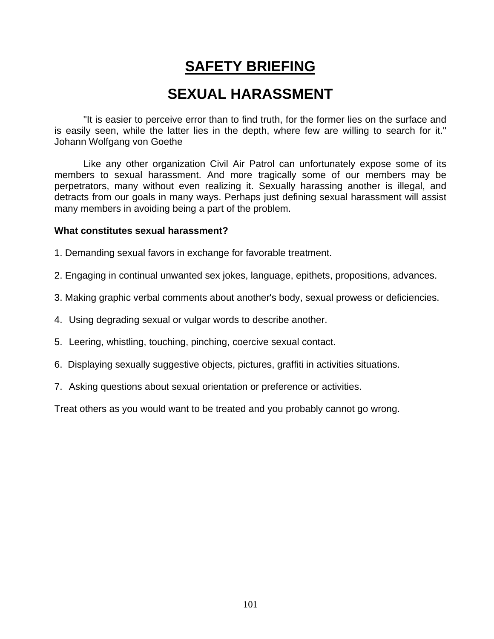## **SEXUAL HARASSMENT**

"It is easier to perceive error than to find truth, for the former lies on the surface and is easily seen, while the latter lies in the depth, where few are willing to search for it." Johann Wolfgang von Goethe

Like any other organization Civil Air Patrol can unfortunately expose some of its members to sexual harassment. And more tragically some of our members may be perpetrators, many without even realizing it. Sexually harassing another is illegal, and detracts from our goals in many ways. Perhaps just defining sexual harassment will assist many members in avoiding being a part of the problem.

#### **What constitutes sexual harassment?**

- 1. Demanding sexual favors in exchange for favorable treatment.
- 2. Engaging in continual unwanted sex jokes, language, epithets, propositions, advances.
- 3. Making graphic verbal comments about another's body, sexual prowess or deficiencies.
- 4. Using degrading sexual or vulgar words to describe another.
- 5. Leering, whistling, touching, pinching, coercive sexual contact.
- 6. Displaying sexually suggestive objects, pictures, graffiti in activities situations.
- 7. Asking questions about sexual orientation or preference or activities.

Treat others as you would want to be treated and you probably cannot go wrong.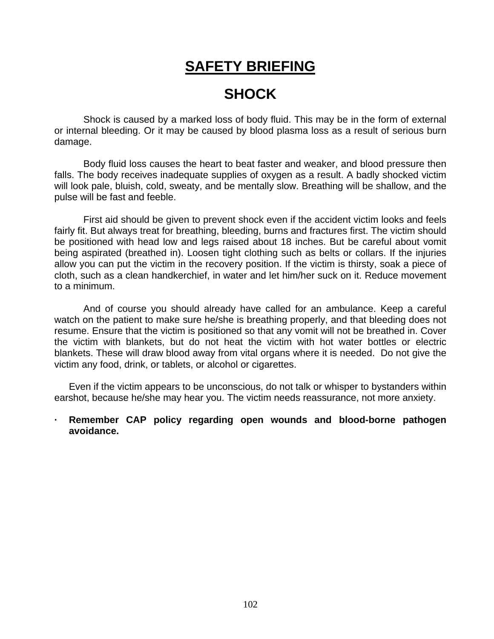### **SHOCK**

Shock is caused by a marked loss of body fluid. This may be in the form of external or internal bleeding. Or it may be caused by blood plasma loss as a result of serious burn damage.

Body fluid loss causes the heart to beat faster and weaker, and blood pressure then falls. The body receives inadequate supplies of oxygen as a result. A badly shocked victim will look pale, bluish, cold, sweaty, and be mentally slow. Breathing will be shallow, and the pulse will be fast and feeble.

First aid should be given to prevent shock even if the accident victim looks and feels fairly fit. But always treat for breathing, bleeding, burns and fractures first. The victim should be positioned with head low and legs raised about 18 inches. But be careful about vomit being aspirated (breathed in). Loosen tight clothing such as belts or collars. If the injuries allow you can put the victim in the recovery position. If the victim is thirsty, soak a piece of cloth, such as a clean handkerchief, in water and let him/her suck on it. Reduce movement to a minimum.

And of course you should already have called for an ambulance. Keep a careful watch on the patient to make sure he/she is breathing properly, and that bleeding does not resume. Ensure that the victim is positioned so that any vomit will not be breathed in. Cover the victim with blankets, but do not heat the victim with hot water bottles or electric blankets. These will draw blood away from vital organs where it is needed. Do not give the victim any food, drink, or tablets, or alcohol or cigarettes.

Even if the victim appears to be unconscious, do not talk or whisper to bystanders within earshot, because he/she may hear you. The victim needs reassurance, not more anxiety.

**· Remember CAP policy regarding open wounds and blood-borne pathogen avoidance.**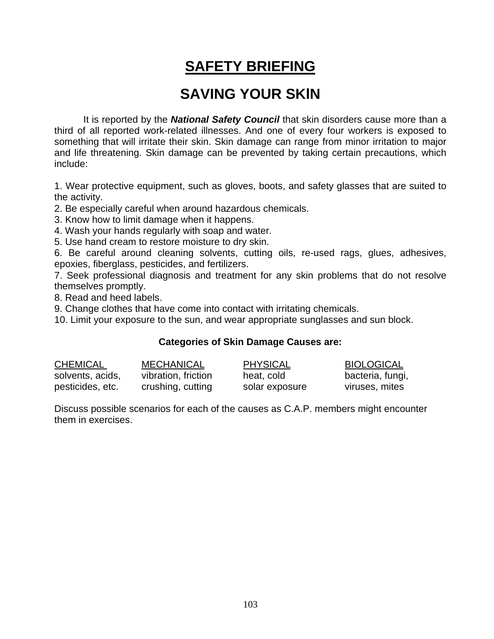## **SAVING YOUR SKlN**

It is reported by the *National Safety Council* that skin disorders cause more than a third of all reported work-related illnesses. And one of every four workers is exposed to something that will irritate their skin. Skin damage can range from minor irritation to major and life threatening. Skin damage can be prevented by taking certain precautions, which include:

1. Wear protective equipment, such as gloves, boots, and safety glasses that are suited to the activity.

2. Be especially careful when around hazardous chemicals.

- 3. Know how to limit damage when it happens.
- 4. Wash your hands regularly with soap and water.

5. Use hand cream to restore moisture to dry skin.

6. Be careful around cleaning solvents, cutting oils, re-used rags, glues, adhesives, epoxies, fiberglass, pesticides, and fertilizers.

7. Seek professional diagnosis and treatment for any skin problems that do not resolve themselves promptly.

8. Read and heed labels.

9. Change clothes that have come into contact with irritating chemicals.

10. Limit your exposure to the sun, and wear appropriate sunglasses and sun block.

#### **Categories of Skin Damage Causes are:**

| <b>CHEMICAL</b>  | <b>MECHANICAL</b>   | <b>PHYSICAL</b> | <b>BIOLOGICAL</b> |
|------------------|---------------------|-----------------|-------------------|
| solvents, acids, | vibration, friction | heat, cold      | bacteria, fungi,  |
| pesticides, etc. | crushing, cutting   | solar exposure  | viruses, mites    |

Discuss possible scenarios for each of the causes as C.A.P. members might encounter them in exercises.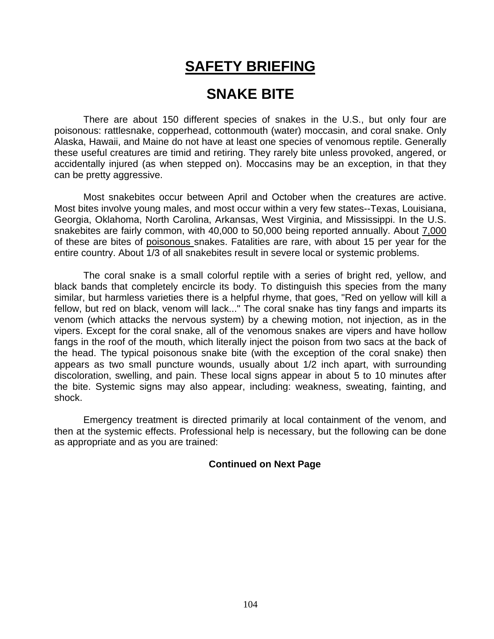#### **SNAKE BITE**

There are about 150 different species of snakes in the U.S., but only four are poisonous: rattlesnake, copperhead, cottonmouth (water) moccasin, and coral snake. Only Alaska, Hawaii, and Maine do not have at least one species of venomous reptile. Generally these useful creatures are timid and retiring. They rarely bite unless provoked, angered, or accidentally injured (as when stepped on). Moccasins may be an exception, in that they can be pretty aggressive.

Most snakebites occur between April and October when the creatures are active. Most bites involve young males, and most occur within a very few states--Texas, Louisiana, Georgia, Oklahoma, North Carolina, Arkansas, West Virginia, and Mississippi. In the U.S. snakebites are fairly common, with 40,000 to 50,000 being reported annually. About 7,000 of these are bites of poisonous snakes. Fatalities are rare, with about 15 per year for the entire country. About 1/3 of all snakebites result in severe local or systemic problems.

The coral snake is a small colorful reptile with a series of bright red, yellow, and black bands that completely encircle its body. To distinguish this species from the many similar, but harmless varieties there is a helpful rhyme, that goes, "Red on yellow will kill a fellow, but red on black, venom will lack..." The coral snake has tiny fangs and imparts its venom (which attacks the nervous system) by a chewing motion, not injection, as in the vipers. Except for the coral snake, all of the venomous snakes are vipers and have hollow fangs in the roof of the mouth, which literally inject the poison from two sacs at the back of the head. The typical poisonous snake bite (with the exception of the coral snake) then appears as two small puncture wounds, usually about 1/2 inch apart, with surrounding discoloration, swelling, and pain. These local signs appear in about 5 to 10 minutes after the bite. Systemic signs may also appear, including: weakness, sweating, fainting, and shock.

Emergency treatment is directed primarily at local containment of the venom, and then at the systemic effects. Professional help is necessary, but the following can be done as appropriate and as you are trained:

#### **Continued on Next Page**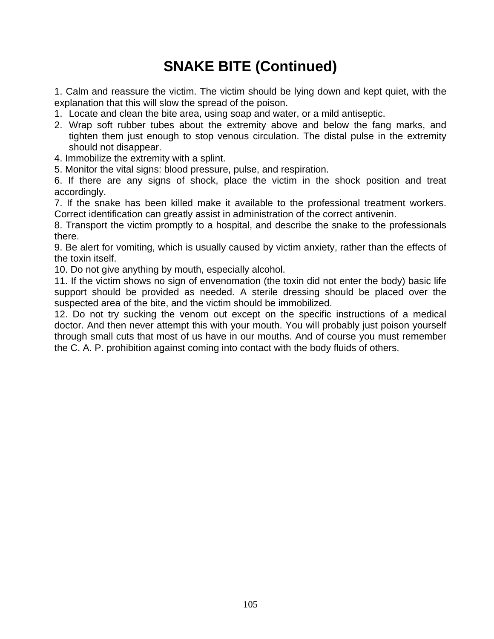# **SNAKE BITE (Continued)**

1. Calm and reassure the victim. The victim should be lying down and kept quiet, with the explanation that this will slow the spread of the poison.

- 1. Locate and clean the bite area, using soap and water, or a mild antiseptic.
- 2. Wrap soft rubber tubes about the extremity above and below the fang marks, and tighten them just enough to stop venous circulation. The distal pulse in the extremity should not disappear.
- 4. Immobilize the extremity with a splint.
- 5. Monitor the vital signs: blood pressure, pulse, and respiration.

6. If there are any signs of shock, place the victim in the shock position and treat accordingly.

7. If the snake has been killed make it available to the professional treatment workers. Correct identification can greatly assist in administration of the correct antivenin.

8. Transport the victim promptly to a hospital, and describe the snake to the professionals there.

9. Be alert for vomiting, which is usually caused by victim anxiety, rather than the effects of the toxin itself.

10. Do not give anything by mouth, especially alcohol.

11. If the victim shows no sign of envenomation (the toxin did not enter the body) basic life support should be provided as needed. A sterile dressing should be placed over the suspected area of the bite, and the victim should be immobilized.

12. Do not try sucking the venom out except on the specific instructions of a medical doctor. And then never attempt this with your mouth. You will probably just poison yourself through small cuts that most of us have in our mouths. And of course you must remember the C. A. P. prohibition against coming into contact with the body fluids of others.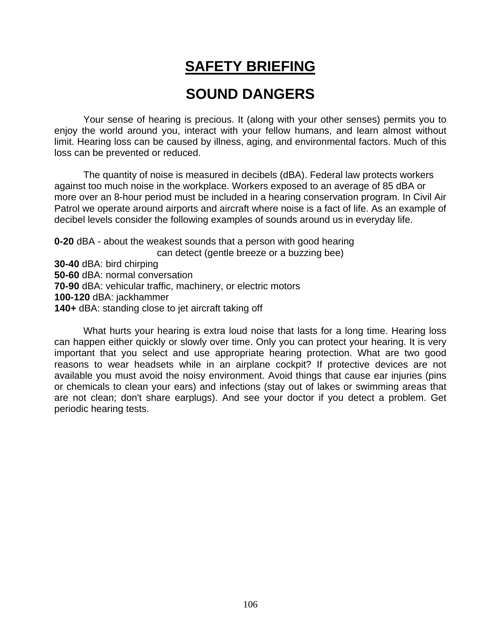### **SOUND DANGERS**

Your sense of hearing is precious. It (along with your other senses) permits you to enjoy the world around you, interact with your fellow humans, and learn almost without limit. Hearing loss can be caused by illness, aging, and environmental factors. Much of this loss can be prevented or reduced.

The quantity of noise is measured in decibels (dBA). Federal law protects workers against too much noise in the workplace. Workers exposed to an average of 85 dBA or more over an 8-hour period must be included in a hearing conservation program. In Civil Air Patrol we operate around airports and aircraft where noise is a fact of life. As an example of decibel levels consider the following examples of sounds around us in everyday life.

**0-20** dBA - about the weakest sounds that a person with good hearing can detect (gentle breeze or a buzzing bee) **30-40** dBA: bird chirping **50-60** dBA: normal conversation **70-90** dBA: vehicular traffic, machinery, or electric motors **100-120** dBA: jackhammer **140+** dBA: standing close to jet aircraft taking off

What hurts your hearing is extra loud noise that lasts for a long time. Hearing loss can happen either quickly or slowly over time. Only you can protect your hearing. It is very important that you select and use appropriate hearing protection. What are two good reasons to wear headsets while in an airplane cockpit? If protective devices are not available you must avoid the noisy environment. Avoid things that cause ear injuries (pins or chemicals to clean your ears) and infections (stay out of lakes or swimming areas that are not clean; don't share earplugs). And see your doctor if you detect a problem. Get periodic hearing tests.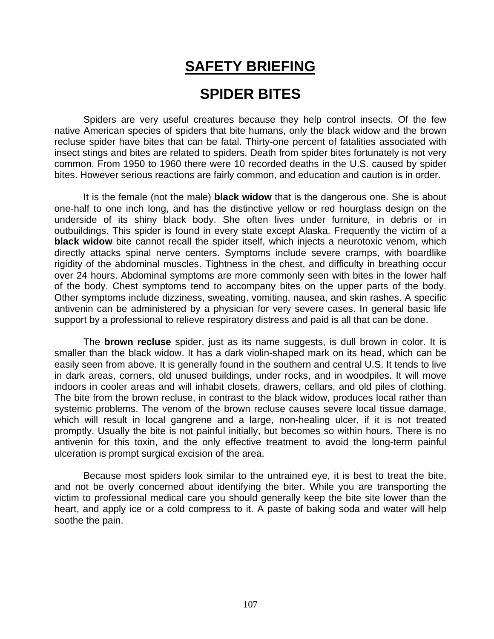#### **SPIDER BITES**

Spiders are very useful creatures because they help control insects. Of the few native American species of spiders that bite humans, only the black widow and the brown recluse spider have bites that can be fatal. Thirty-one percent of fatalities associated with insect stings and bites are related to spiders. Death from spider bites fortunately is not very common. From 1950 to 1960 there were 10 recorded deaths in the U.S. caused by spider bites. However serious reactions are fairly common, and education and caution is in order.

It is the female (not the male) **black widow** that is the dangerous one. She is about one-half to one inch long, and has the distinctive yellow or red hourglass design on the underside of its shiny black body. She often lives under furniture, in debris or in outbuildings. This spider is found in every state except Alaska. Frequently the victim of a **black widow** bite cannot recall the spider itself, which injects a neurotoxic venom, which directly attacks spinal nerve centers. Symptoms include severe cramps, with boardlike rigidity of the abdominal muscles. Tightness in the chest, and difficulty in breathing occur over 24 hours. Abdominal symptoms are more commonly seen with bites in the lower half of the body. Chest symptoms tend to accompany bites on the upper parts of the body. Other symptoms include dizziness, sweating, vomiting, nausea, and skin rashes. A specific antivenin can be administered by a physician for very severe cases. In general basic life support by a professional to relieve respiratory distress and paid is all that can be done.

The **brown recluse** spider, just as its name suggests, is dull brown in color. It is smaller than the black widow. It has a dark violin-shaped mark on its head, which can be easily seen from above. It is generally found in the southern and central U.S. It tends to live in dark areas, corners, old unused buildings, under rocks, and in woodpiles. It will move indoors in cooler areas and will inhabit closets, drawers, cellars, and old piles of clothing. The bite from the brown recluse, in contrast to the black widow, produces local rather than systemic problems. The venom of the brown recluse causes severe local tissue damage, which will result in local gangrene and a large, non-healing ulcer, if it is not treated promptly. Usually the bite is not painful initially, but becomes so within hours. There is no antivenin for this toxin, and the only effective treatment to avoid the long-term painful ulceration is prompt surgical excision of the area.

Because most spiders look similar to the untrained eye, it is best to treat the bite, and not be overly concerned about identifying the biter. While you are transporting the victim to professional medical care you should generally keep the bite site lower than the heart, and apply ice or a cold compress to it. A paste of baking soda and water will help soothe the pain.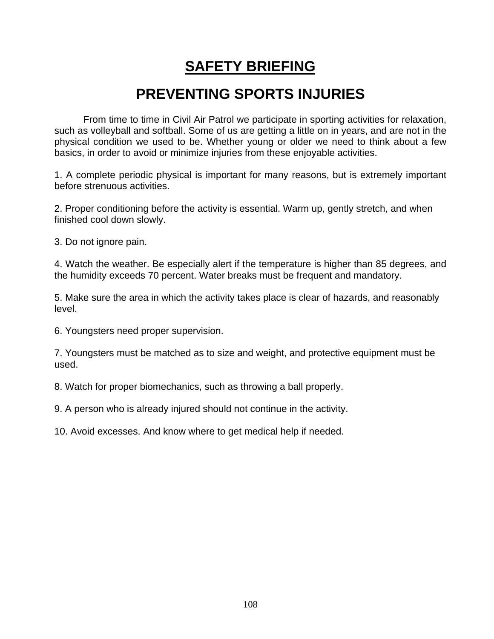### **PREVENTING SPORTS INJURIES**

From time to time in Civil Air Patrol we participate in sporting activities for relaxation, such as volleyball and softball. Some of us are getting a little on in years, and are not in the physical condition we used to be. Whether young or older we need to think about a few basics, in order to avoid or minimize injuries from these enjoyable activities.

1. A complete periodic physical is important for many reasons, but is extremely important before strenuous activities.

2. Proper conditioning before the activity is essential. Warm up, gently stretch, and when finished cool down slowly.

3. Do not ignore pain.

4. Watch the weather. Be especially alert if the temperature is higher than 85 degrees, and the humidity exceeds 70 percent. Water breaks must be frequent and mandatory.

5. Make sure the area in which the activity takes place is clear of hazards, and reasonably level.

6. Youngsters need proper supervision.

7. Youngsters must be matched as to size and weight, and protective equipment must be used.

8. Watch for proper biomechanics, such as throwing a ball properly.

9. A person who is already injured should not continue in the activity.

10. Avoid excesses. And know where to get medical help if needed.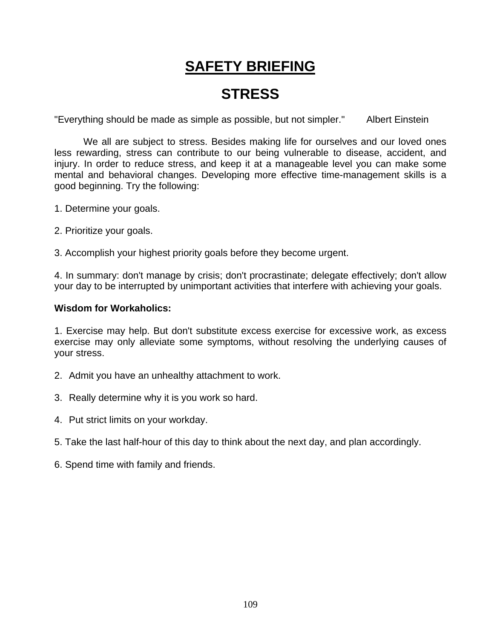## **STRESS**

"Everything should be made as simple as possible, but not simpler." Albert Einstein

We all are subject to stress. Besides making life for ourselves and our loved ones less rewarding, stress can contribute to our being vulnerable to disease, accident, and injury. In order to reduce stress, and keep it at a manageable level you can make some mental and behavioral changes. Developing more effective time-management skills is a good beginning. Try the following:

- 1. Determine your goals.
- 2. Prioritize your goals.
- 3. Accomplish your highest priority goals before they become urgent.

4. In summary: don't manage by crisis; don't procrastinate; delegate effectively; don't allow your day to be interrupted by unimportant activities that interfere with achieving your goals.

#### **Wisdom for Workaholics:**

1. Exercise may help. But don't substitute excess exercise for excessive work, as excess exercise may only alleviate some symptoms, without resolving the underlying causes of your stress.

- 2. Admit you have an unhealthy attachment to work.
- 3. Really determine why it is you work so hard.
- 4. Put strict limits on your workday.
- 5. Take the last half-hour of this day to think about the next day, and plan accordingly.
- 6. Spend time with family and friends.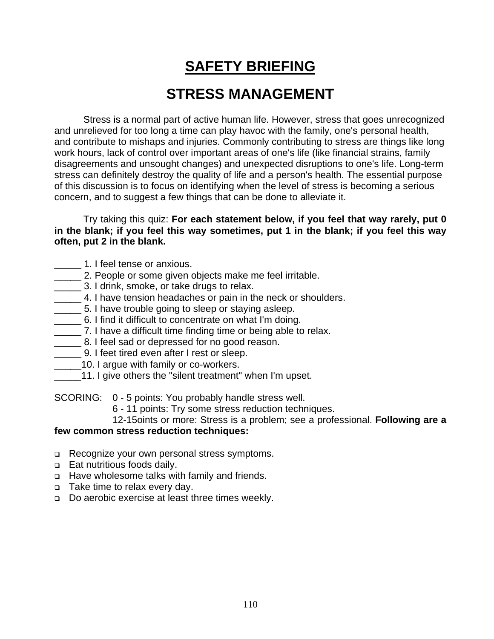## **STRESS MANAGEMENT**

Stress is a normal part of active human life. However, stress that goes unrecognized and unrelieved for too long a time can play havoc with the family, one's personal health, and contribute to mishaps and injuries. Commonly contributing to stress are things like long work hours, lack of control over important areas of one's life (like financial strains, family disagreements and unsought changes) and unexpected disruptions to one's life. Long-term stress can definitely destroy the quality of life and a person's health. The essential purpose of this discussion is to focus on identifying when the level of stress is becoming a serious concern, and to suggest a few things that can be done to alleviate it.

Try taking this quiz: **For each statement below, if you feel that way rarely, put 0 in the blank; if you feel this way sometimes, put 1 in the blank; if you feel this way often, put 2 in the blank.**

- \_\_\_\_\_ 1. I feel tense or anxious.
- **2. People or some given objects make me feel irritable.**
- **2008** 3. I drink, smoke, or take drugs to relax.
- 4. I have tension headaches or pain in the neck or shoulders.
- **\_\_\_\_\_\_ 5.** I have trouble going to sleep or staying asleep.
- \_\_\_\_\_ 6. I find it difficult to concentrate on what I'm doing.
- \_\_\_\_\_ 7. I have a difficult time finding time or being able to relax.
- **\_\_\_\_\_ 8.** I feel sad or depressed for no good reason.
- **\_\_\_\_\_\_** 9. I feet tired even after I rest or sleep.
- 10. I argue with family or co-workers.
- \_\_\_\_\_11. I give others the "silent treatment" when I'm upset.

SCORING: 0 - 5 points: You probably handle stress well.

6 - 11 points: Try some stress reduction techniques.

12-15oints or more: Stress is a problem; see a professional. **Following are a**

#### **few common stress reduction techniques:**

- <sup>q</sup> Recognize your own personal stress symptoms.
- □ Eat nutritious foods daily.
- <sup>q</sup> Have wholesome talks with family and friends.
- □ Take time to relax every day.
- □ Do aerobic exercise at least three times weekly.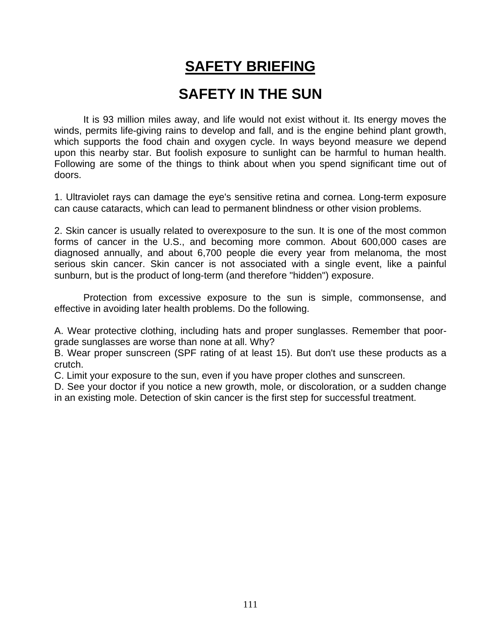## **SAFETY IN THE SUN**

It is 93 million miles away, and life would not exist without it. Its energy moves the winds, permits life-giving rains to develop and fall, and is the engine behind plant growth, which supports the food chain and oxygen cycle. In ways beyond measure we depend upon this nearby star. But foolish exposure to sunlight can be harmful to human health. Following are some of the things to think about when you spend significant time out of doors.

1. Ultraviolet rays can damage the eye's sensitive retina and cornea. Long-term exposure can cause cataracts, which can lead to permanent blindness or other vision problems.

2. Skin cancer is usually related to overexposure to the sun. It is one of the most common forms of cancer in the U.S., and becoming more common. About 600,000 cases are diagnosed annually, and about 6,700 people die every year from melanoma, the most serious skin cancer. Skin cancer is not associated with a single event, like a painful sunburn, but is the product of long-term (and therefore "hidden") exposure.

Protection from excessive exposure to the sun is simple, commonsense, and effective in avoiding later health problems. Do the following.

A. Wear protective clothing, including hats and proper sunglasses. Remember that poorgrade sunglasses are worse than none at all. Why?

B. Wear proper sunscreen (SPF rating of at least 15). But don't use these products as a crutch.

C. Limit your exposure to the sun, even if you have proper clothes and sunscreen.

D. See your doctor if you notice a new growth, mole, or discoloration, or a sudden change in an existing mole. Detection of skin cancer is the first step for successful treatment.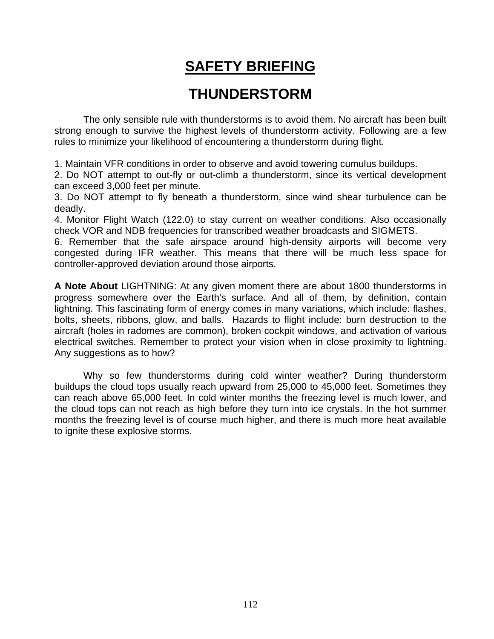#### **THUNDERSTORM**

The only sensible rule with thunderstorms is to avoid them. No aircraft has been built strong enough to survive the highest levels of thunderstorm activity. Following are a few rules to minimize your likelihood of encountering a thunderstorm during flight.

1. Maintain VFR conditions in order to observe and avoid towering cumulus buildups.

2. Do NOT attempt to out-fly or out-climb a thunderstorm, since its vertical development can exceed 3,000 feet per minute.

3. Do NOT attempt to fly beneath a thunderstorm, since wind shear turbulence can be deadly.

4. Monitor Flight Watch (122.0) to stay current on weather conditions. Also occasionally check VOR and NDB frequencies for transcribed weather broadcasts and SIGMETS.

6. Remember that the safe airspace around high-density airports will become very congested during IFR weather. This means that there will be much less space for controller-approved deviation around those airports.

**A Note About** LIGHTNING: At any given moment there are about 1800 thunderstorms in progress somewhere over the Earth's surface. And all of them, by definition, contain lightning. This fascinating form of energy comes in many variations, which include: flashes, bolts, sheets, ribbons, glow, and balls. Hazards to flight include: burn destruction to the aircraft (holes in radomes are common), broken cockpit windows, and activation of various electrical switches. Remember to protect your vision when in close proximity to lightning. Any suggestions as to how?

Why so few thunderstorms during cold winter weather? During thunderstorm buildups the cloud tops usually reach upward from 25,000 to 45,000 feet. Sometimes they can reach above 65,000 feet. In cold winter months the freezing level is much lower, and the cloud tops can not reach as high before they turn into ice crystals. In the hot summer months the freezing level is of course much higher, and there is much more heat available to ignite these explosive storms.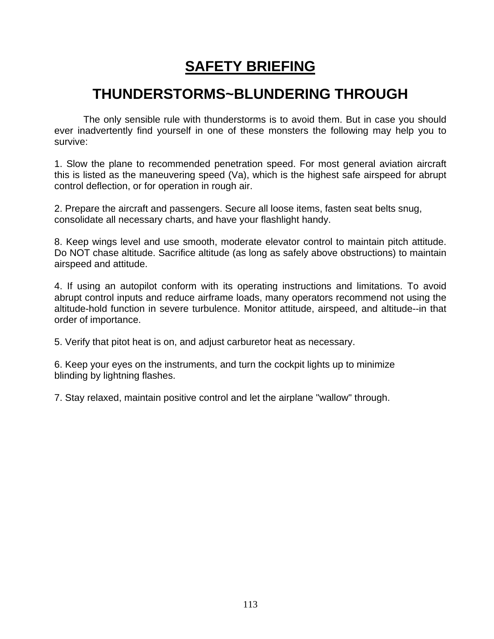## **THUNDERSTORMS~BLUNDERING THROUGH**

The only sensible rule with thunderstorms is to avoid them. But in case you should ever inadvertently find yourself in one of these monsters the following may help you to survive:

1. Slow the plane to recommended penetration speed. For most general aviation aircraft this is listed as the maneuvering speed (Va), which is the highest safe airspeed for abrupt control deflection, or for operation in rough air.

2. Prepare the aircraft and passengers. Secure all loose items, fasten seat belts snug, consolidate all necessary charts, and have your flashlight handy.

8. Keep wings level and use smooth, moderate elevator control to maintain pitch attitude. Do NOT chase altitude. Sacrifice altitude (as long as safely above obstructions) to maintain airspeed and attitude.

4. If using an autopilot conform with its operating instructions and limitations. To avoid abrupt control inputs and reduce airframe loads, many operators recommend not using the altitude-hold function in severe turbulence. Monitor attitude, airspeed, and altitude--in that order of importance.

5. Verify that pitot heat is on, and adjust carburetor heat as necessary.

6. Keep your eyes on the instruments, and turn the cockpit lights up to minimize blinding by lightning flashes.

7. Stay relaxed, maintain positive control and let the airplane "wallow" through.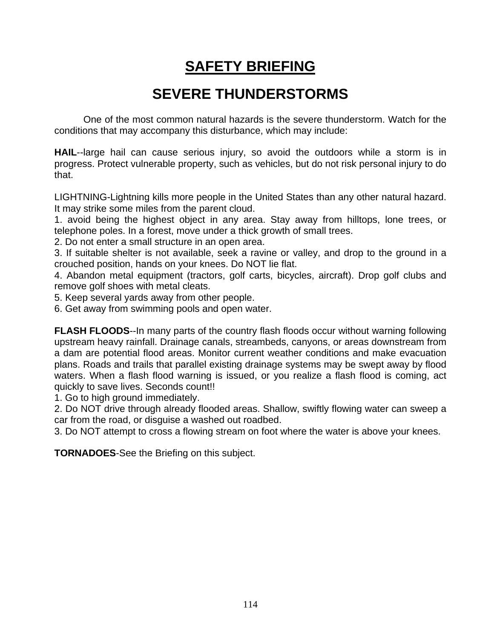## **SEVERE THUNDERSTORMS**

One of the most common natural hazards is the severe thunderstorm. Watch for the conditions that may accompany this disturbance, which may include:

**HAIL**--large hail can cause serious injury, so avoid the outdoors while a storm is in progress. Protect vulnerable property, such as vehicles, but do not risk personal injury to do that.

LIGHTNING-Lightning kills more people in the United States than any other natural hazard. It may strike some miles from the parent cloud.

1. avoid being the highest object in any area. Stay away from hilltops, lone trees, or telephone poles. In a forest, move under a thick growth of small trees.

2. Do not enter a small structure in an open area.

3. If suitable shelter is not available, seek a ravine or valley, and drop to the ground in a crouched position, hands on your knees. Do NOT lie flat.

4. Abandon metal equipment (tractors, golf carts, bicycles, aircraft). Drop golf clubs and remove golf shoes with metal cleats.

5. Keep several yards away from other people.

6. Get away from swimming pools and open water.

**FLASH FLOODS**--In many parts of the country flash floods occur without warning following upstream heavy rainfall. Drainage canals, streambeds, canyons, or areas downstream from a dam are potential flood areas. Monitor current weather conditions and make evacuation plans. Roads and trails that parallel existing drainage systems may be swept away by flood waters. When a flash flood warning is issued, or you realize a flash flood is coming, act quickly to save lives. Seconds count!!

1. Go to high ground immediately.

2. Do NOT drive through already flooded areas. Shallow, swiftly flowing water can sweep a car from the road, or disguise a washed out roadbed.

3. Do NOT attempt to cross a flowing stream on foot where the water is above your knees.

**TORNADOES**-See the Briefing on this subject.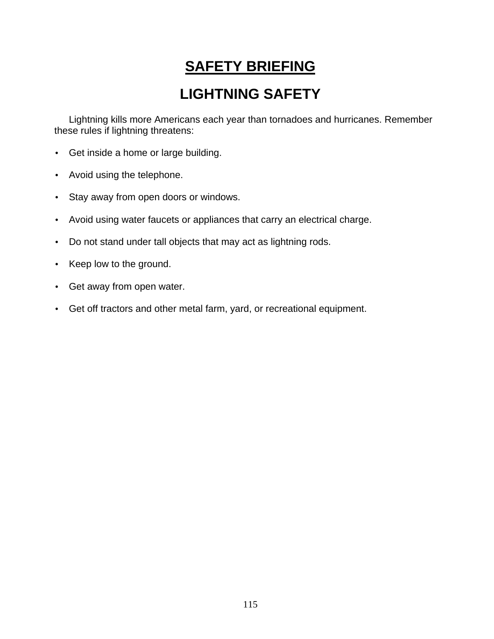# **LIGHTNING SAFETY**

Lightning kills more Americans each year than tornadoes and hurricanes. Remember these rules if lightning threatens:

- Get inside a home or large building.
- Avoid using the telephone.
- Stay away from open doors or windows.
- Avoid using water faucets or appliances that carry an electrical charge.
- Do not stand under tall objects that may act as lightning rods.
- Keep low to the ground.
- Get away from open water.
- Get off tractors and other metal farm, yard, or recreational equipment.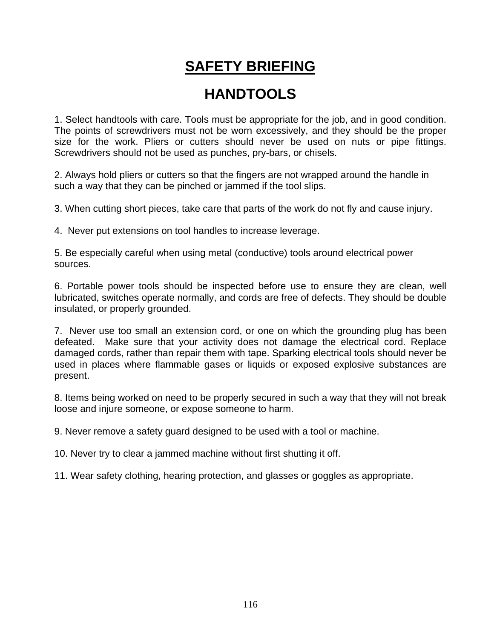## **HANDTOOLS**

1. Select handtools with care. Tools must be appropriate for the job, and in good condition. The points of screwdrivers must not be worn excessively, and they should be the proper size for the work. Pliers or cutters should never be used on nuts or pipe fittings. Screwdrivers should not be used as punches, pry-bars, or chisels.

2. Always hold pliers or cutters so that the fingers are not wrapped around the handle in such a way that they can be pinched or jammed if the tool slips.

3. When cutting short pieces, take care that parts of the work do not fly and cause injury.

4. Never put extensions on tool handles to increase leverage.

5. Be especially careful when using metal (conductive) tools around electrical power sources.

6. Portable power tools should be inspected before use to ensure they are clean, well lubricated, switches operate normally, and cords are free of defects. They should be double insulated, or properly grounded.

7. Never use too small an extension cord, or one on which the grounding plug has been defeated. Make sure that your activity does not damage the electrical cord. Replace damaged cords, rather than repair them with tape. Sparking electrical tools should never be used in places where flammable gases or liquids or exposed explosive substances are present.

8. Items being worked on need to be properly secured in such a way that they will not break loose and injure someone, or expose someone to harm.

9. Never remove a safety guard designed to be used with a tool or machine.

10. Never try to clear a jammed machine without first shutting it off.

11. Wear safety clothing, hearing protection, and glasses or goggles as appropriate.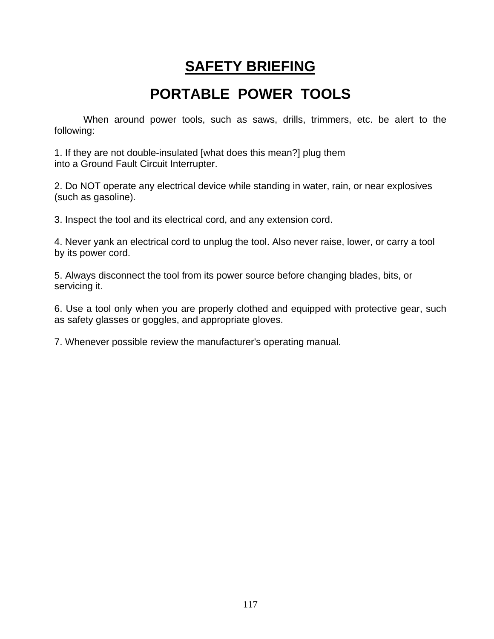## **PORTABLE POWER TOOLS**

When around power tools, such as saws, drills, trimmers, etc. be alert to the following:

1. If they are not double-insulated [what does this mean?] plug them into a Ground Fault Circuit Interrupter.

2. Do NOT operate any electrical device while standing in water, rain, or near explosives (such as gasoline).

3. Inspect the tool and its electrical cord, and any extension cord.

4. Never yank an electrical cord to unplug the tool. Also never raise, lower, or carry a tool by its power cord.

5. Always disconnect the tool from its power source before changing blades, bits, or servicing it.

6. Use a tool only when you are properly clothed and equipped with protective gear, such as safety glasses or goggles, and appropriate gloves.

7. Whenever possible review the manufacturer's operating manual.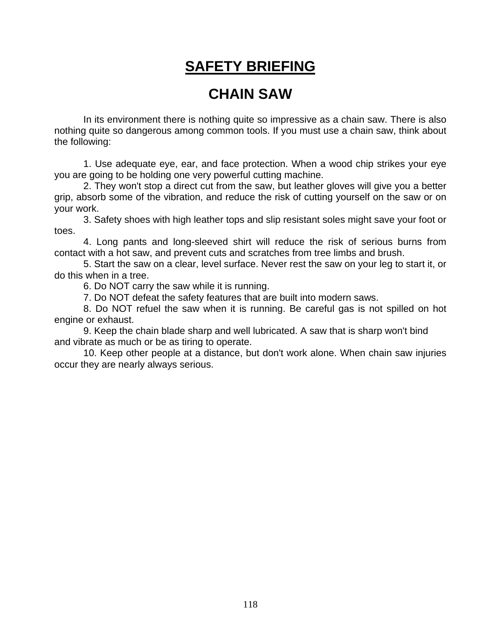## **CHAIN SAW**

In its environment there is nothing quite so impressive as a chain saw. There is also nothing quite so dangerous among common tools. If you must use a chain saw, think about the following:

1. Use adequate eye, ear, and face protection. When a wood chip strikes your eye you are going to be holding one very powerful cutting machine.

2. They won't stop a direct cut from the saw, but leather gloves will give you a better grip, absorb some of the vibration, and reduce the risk of cutting yourself on the saw or on your work.

3. Safety shoes with high leather tops and slip resistant soles might save your foot or toes.

4. Long pants and long-sleeved shirt will reduce the risk of serious burns from contact with a hot saw, and prevent cuts and scratches from tree limbs and brush.

5. Start the saw on a clear, level surface. Never rest the saw on your leg to start it, or do this when in a tree.

6. Do NOT carry the saw while it is running.

7. Do NOT defeat the safety features that are built into modern saws.

8. Do NOT refuel the saw when it is running. Be careful gas is not spilled on hot engine or exhaust.

9. Keep the chain blade sharp and well lubricated. A saw that is sharp won't bind and vibrate as much or be as tiring to operate.

10. Keep other people at a distance, but don't work alone. When chain saw injuries occur they are nearly always serious.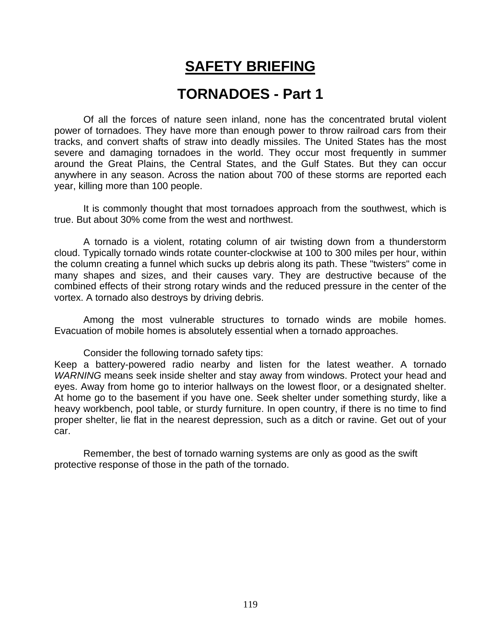#### **TORNADOES - Part 1**

Of all the forces of nature seen inland, none has the concentrated brutal violent power of tornadoes. They have more than enough power to throw railroad cars from their tracks, and convert shafts of straw into deadly missiles. The United States has the most severe and damaging tornadoes in the world. They occur most frequently in summer around the Great Plains, the Central States, and the Gulf States. But they can occur anywhere in any season. Across the nation about 700 of these storms are reported each year, killing more than 100 people.

It is commonly thought that most tornadoes approach from the southwest, which is true. But about 30% come from the west and northwest.

A tornado is a violent, rotating column of air twisting down from a thunderstorm cloud. Typically tornado winds rotate counter-clockwise at 100 to 300 miles per hour, within the column creating a funnel which sucks up debris along its path. These "twisters" come in many shapes and sizes, and their causes vary. They are destructive because of the combined effects of their strong rotary winds and the reduced pressure in the center of the vortex. A tornado also destroys by driving debris.

Among the most vulnerable structures to tornado winds are mobile homes. Evacuation of mobile homes is absolutely essential when a tornado approaches.

#### Consider the following tornado safety tips:

Keep a battery-powered radio nearby and listen for the latest weather. A tornado *WARNING* means seek inside shelter and stay away from windows. Protect your head and eyes. Away from home go to interior hallways on the lowest floor, or a designated shelter. At home go to the basement if you have one. Seek shelter under something sturdy, like a heavy workbench, pool table, or sturdy furniture. In open country, if there is no time to find proper shelter, lie flat in the nearest depression, such as a ditch or ravine. Get out of your car.

Remember, the best of tornado warning systems are only as good as the swift protective response of those in the path of the tornado.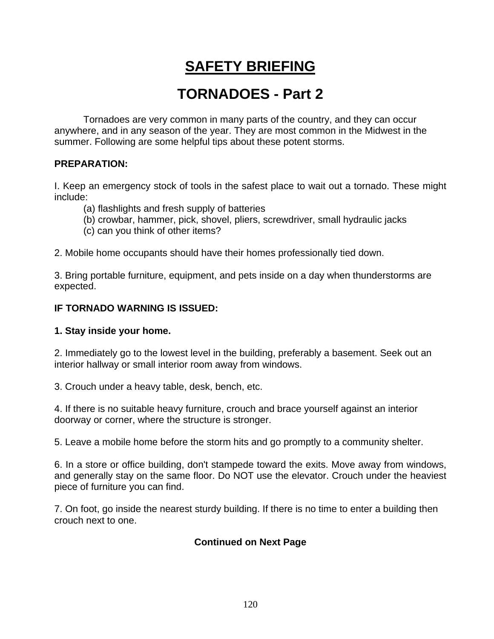## **TORNADOES - Part 2**

Tornadoes are very common in many parts of the country, and they can occur anywhere, and in any season of the year. They are most common in the Midwest in the summer. Following are some helpful tips about these potent storms.

#### **PREPARATION:**

I. Keep an emergency stock of tools in the safest place to wait out a tornado. These might include:

- (a) flashlights and fresh supply of batteries
- (b) crowbar, hammer, pick, shovel, pliers, screwdriver, small hydraulic jacks
- (c) can you think of other items?

2. Mobile home occupants should have their homes professionally tied down.

3. Bring portable furniture, equipment, and pets inside on a day when thunderstorms are expected.

#### **IF TORNADO WARNING IS ISSUED:**

#### **1. Stay inside your home.**

2. Immediately go to the lowest level in the building, preferably a basement. Seek out an interior hallway or small interior room away from windows.

3. Crouch under a heavy table, desk, bench, etc.

4. If there is no suitable heavy furniture, crouch and brace yourself against an interior doorway or corner, where the structure is stronger.

5. Leave a mobile home before the storm hits and go promptly to a community shelter.

6. In a store or office building, don't stampede toward the exits. Move away from windows, and generally stay on the same floor. Do NOT use the elevator. Crouch under the heaviest piece of furniture you can find.

7. On foot, go inside the nearest sturdy building. If there is no time to enter a building then crouch next to one.

#### **Continued on Next Page**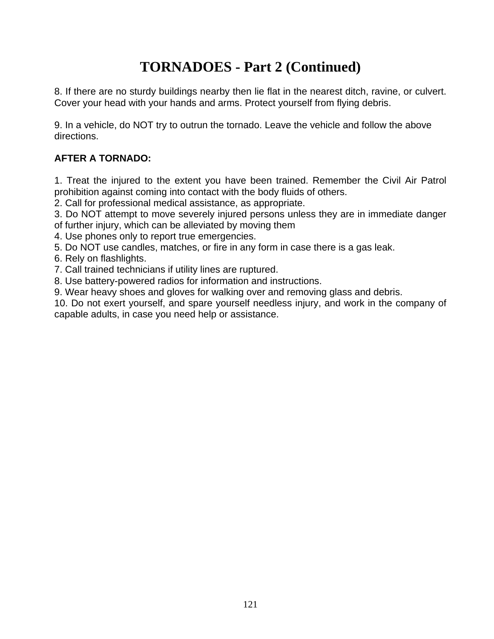## **TORNADOES - Part 2 (Continued)**

8. If there are no sturdy buildings nearby then lie flat in the nearest ditch, ravine, or culvert. Cover your head with your hands and arms. Protect yourself from flying debris.

9. In a vehicle, do NOT try to outrun the tornado. Leave the vehicle and follow the above directions.

#### **AFTER A TORNADO:**

1. Treat the injured to the extent you have been trained. Remember the Civil Air Patrol prohibition against coming into contact with the body fluids of others.

2. Call for professional medical assistance, as appropriate.

3. Do NOT attempt to move severely injured persons unless they are in immediate danger

of further injury, which can be alleviated by moving them

4. Use phones only to report true emergencies.

5. Do NOT use candles, matches, or fire in any form in case there is a gas leak.

6. Rely on flashlights.

7. Call trained technicians if utility lines are ruptured.

8. Use battery-powered radios for information and instructions.

9. Wear heavy shoes and gloves for walking over and removing glass and debris.

10. Do not exert yourself, and spare yourself needless injury, and work in the company of capable adults, in case you need help or assistance.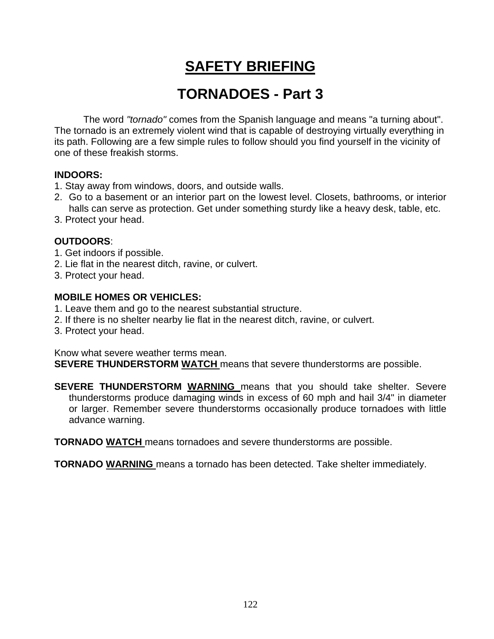## **TORNADOES - Part 3**

The word *"tornado"* comes from the Spanish language and means "a turning about". The tornado is an extremely violent wind that is capable of destroying virtually everything in its path. Following are a few simple rules to follow should you find yourself in the vicinity of one of these freakish storms.

#### **INDOORS:**

- 1. Stay away from windows, doors, and outside walls.
- 2. Go to a basement or an interior part on the lowest level. Closets, bathrooms, or interior halls can serve as protection. Get under something sturdy like a heavy desk, table, etc.
- 3. Protect your head.

#### **OUTDOORS**:

- 1. Get indoors if possible.
- 2. Lie flat in the nearest ditch, ravine, or culvert.
- 3. Protect your head.

#### **MOBILE HOMES OR VEHICLES:**

- 1. Leave them and go to the nearest substantial structure.
- 2. If there is no shelter nearby lie flat in the nearest ditch, ravine, or culvert.
- 3. Protect your head.

Know what severe weather terms mean. **SEVERE THUNDERSTORM WATCH** means that severe thunderstorms are possible.

**SEVERE THUNDERSTORM WARNING** means that you should take shelter. Severe thunderstorms produce damaging winds in excess of 60 mph and hail 3/4" in diameter or larger. Remember severe thunderstorms occasionally produce tornadoes with little advance warning.

**TORNADO WATCH** means tornadoes and severe thunderstorms are possible.

**TORNADO WARNING** means a tornado has been detected. Take shelter immediately.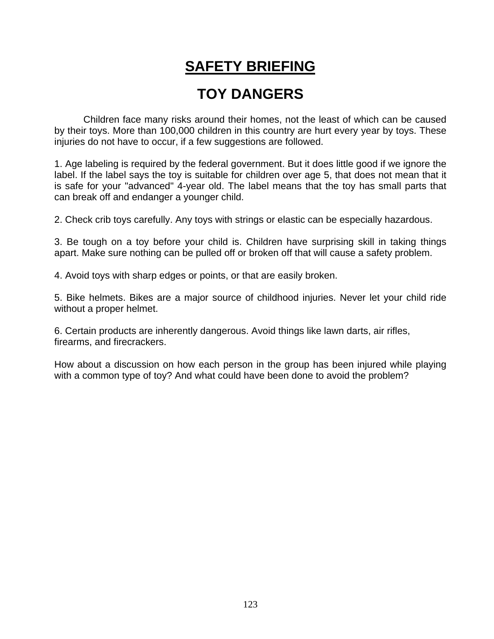## **TOY DANGERS**

Children face many risks around their homes, not the least of which can be caused by their toys. More than 100,000 children in this country are hurt every year by toys. These injuries do not have to occur, if a few suggestions are followed.

1. Age labeling is required by the federal government. But it does little good if we ignore the label. If the label says the toy is suitable for children over age 5, that does not mean that it is safe for your "advanced" 4-year old. The label means that the toy has small parts that can break off and endanger a younger child.

2. Check crib toys carefully. Any toys with strings or elastic can be especially hazardous.

3. Be tough on a toy before your child is. Children have surprising skill in taking things apart. Make sure nothing can be pulled off or broken off that will cause a safety problem.

4. Avoid toys with sharp edges or points, or that are easily broken.

5. Bike helmets. Bikes are a major source of childhood injuries. Never let your child ride without a proper helmet.

6. Certain products are inherently dangerous. Avoid things like lawn darts, air rifles, firearms, and firecrackers.

How about a discussion on how each person in the group has been injured while playing with a common type of toy? And what could have been done to avoid the problem?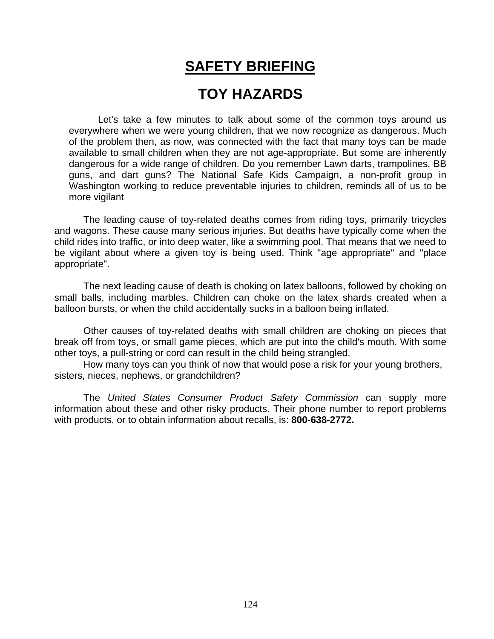#### **TOY HAZARDS**

Let's take a few minutes to talk about some of the common toys around us everywhere when we were young children, that we now recognize as dangerous. Much of the problem then, as now, was connected with the fact that many toys can be made available to small children when they are not age-appropriate. But some are inherently dangerous for a wide range of children. Do you remember Lawn darts, trampolines, BB guns, and dart guns? The National Safe Kids Campaign, a non-profit group in Washington working to reduce preventable injuries to children, reminds all of us to be more vigilant

The leading cause of toy-related deaths comes from riding toys, primarily tricycles and wagons. These cause many serious injuries. But deaths have typically come when the child rides into traffic, or into deep water, like a swimming pool. That means that we need to be vigilant about where a given toy is being used. Think "age appropriate" and "place appropriate".

The next leading cause of death is choking on latex balloons, followed by choking on small balls, including marbles. Children can choke on the latex shards created when a balloon bursts, or when the child accidentally sucks in a balloon being inflated.

Other causes of toy-related deaths with small children are choking on pieces that break off from toys, or small game pieces, which are put into the child's mouth. With some other toys, a pull-string or cord can result in the child being strangled.

How many toys can you think of now that would pose a risk for your young brothers, sisters, nieces, nephews, or grandchildren?

The *United States Consumer Product Safety Commission* can supply more information about these and other risky products. Their phone number to report problems with products, or to obtain information about recalls, is: **800-638-2772.**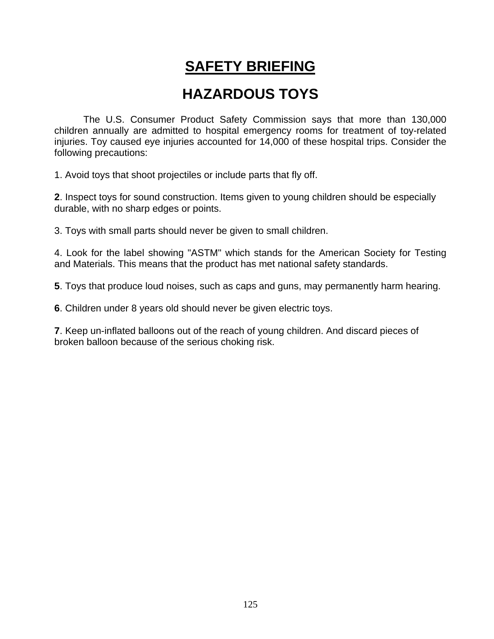## **HAZARDOUS TOYS**

The U.S. Consumer Product Safety Commission says that more than 130,000 children annually are admitted to hospital emergency rooms for treatment of toy-related injuries. Toy caused eye injuries accounted for 14,000 of these hospital trips. Consider the following precautions:

1. Avoid toys that shoot projectiles or include parts that fly off.

**2**. Inspect toys for sound construction. Items given to young children should be especially durable, with no sharp edges or points.

3. Toys with small parts should never be given to small children.

4. Look for the label showing "ASTM" which stands for the American Society for Testing and Materials. This means that the product has met national safety standards.

**5**. Toys that produce loud noises, such as caps and guns, may permanently harm hearing.

**6**. Children under 8 years old should never be given electric toys.

**7**. Keep un-inflated balloons out of the reach of young children. And discard pieces of broken balloon because of the serious choking risk.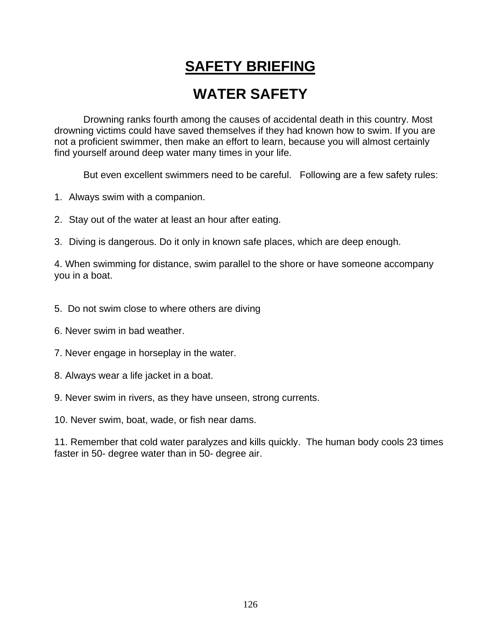## **WATER SAFETY**

Drowning ranks fourth among the causes of accidental death in this country. Most drowning victims could have saved themselves if they had known how to swim. If you are not a proficient swimmer, then make an effort to learn, because you will almost certainly find yourself around deep water many times in your life.

But even excellent swimmers need to be careful. Following are a few safety rules:

- 1. Always swim with a companion.
- 2. Stay out of the water at least an hour after eating.
- 3. Diving is dangerous. Do it only in known safe places, which are deep enough.

4. When swimming for distance, swim parallel to the shore or have someone accompany you in a boat.

- 5. Do not swim close to where others are diving
- 6. Never swim in bad weather.
- 7. Never engage in horseplay in the water.
- 8. Always wear a life jacket in a boat.
- 9. Never swim in rivers, as they have unseen, strong currents.
- 10. Never swim, boat, wade, or fish near dams.

11. Remember that cold water paralyzes and kills quickly. The human body cools 23 times faster in 50- degree water than in 50- degree air.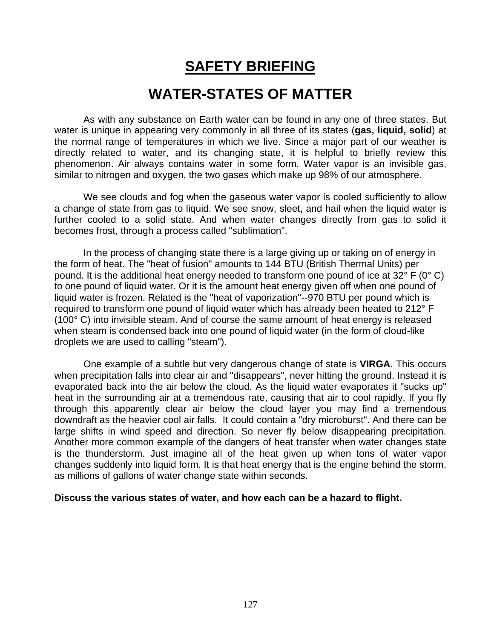#### **WATER-STATES OF MATTER**

As with any substance on Earth water can be found in any one of three states. But water is unique in appearing very commonly in all three of its states (**gas, liquid, solid**) at the normal range of temperatures in which we live. Since a major part of our weather is directly related to water, and its changing state, it is helpful to briefly review this phenomenon. Air always contains water in some form. Water vapor is an invisible gas, similar to nitrogen and oxygen, the two gases which make up 98% of our atmosphere.

We see clouds and fog when the gaseous water vapor is cooled sufficiently to allow a change of state from gas to liquid. We see snow, sleet, and hail when the liquid water is further cooled to a solid state. And when water changes directly from gas to solid it becomes frost, through a process called "sublimation".

In the process of changing state there is a large giving up or taking on of energy in the form of heat. The "heat of fusion" amounts to 144 BTU (British Thermal Units) per pound. It is the additional heat energy needed to transform one pound of ice at 32 $\degree$  F (0 $\degree$  C) to one pound of liquid water. Or it is the amount heat energy given off when one pound of liquid water is frozen. Related is the "heat of vaporization"--970 BTU per pound which is required to transform one pound of liquid water which has already been heated to 212° F (100° C) into invisible steam. And of course the same amount of heat energy is released when steam is condensed back into one pound of liquid water (in the form of cloud-like droplets we are used to calling "steam").

One example of a subtle but very dangerous change of state is **VIRGA**. This occurs when precipitation falls into clear air and "disappears", never hitting the ground. Instead it is evaporated back into the air below the cloud. As the liquid water evaporates it "sucks up" heat in the surrounding air at a tremendous rate, causing that air to cool rapidly. If you fly through this apparently clear air below the cloud layer you may find a tremendous downdraft as the heavier cool air falls. It could contain a "dry microburst". And there can be large shifts in wind speed and direction. So never fly below disappearing precipitation. Another more common example of the dangers of heat transfer when water changes state is the thunderstorm. Just imagine all of the heat given up when tons of water vapor changes suddenly into liquid form. It is that heat energy that is the engine behind the storm, as millions of gallons of water change state within seconds.

#### **Discuss the various states of water, and how each can be a hazard to flight.**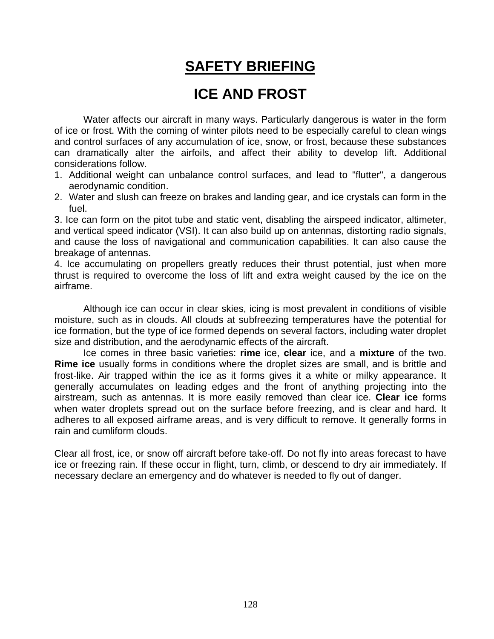### **ICE AND FROST**

Water affects our aircraft in many ways. Particularly dangerous is water in the form of ice or frost. With the coming of winter pilots need to be especially careful to clean wings and control surfaces of any accumulation of ice, snow, or frost, because these substances can dramatically alter the airfoils, and affect their ability to develop lift. Additional considerations follow.

- 1. Additional weight can unbalance control surfaces, and lead to "flutter", a dangerous aerodynamic condition.
- 2. Water and slush can freeze on brakes and landing gear, and ice crystals can form in the fuel.

3. Ice can form on the pitot tube and static vent, disabling the airspeed indicator, altimeter, and vertical speed indicator (VSI). It can also build up on antennas, distorting radio signals, and cause the loss of navigational and communication capabilities. It can also cause the breakage of antennas.

4. Ice accumulating on propellers greatly reduces their thrust potential, just when more thrust is required to overcome the loss of lift and extra weight caused by the ice on the airframe.

Although ice can occur in clear skies, icing is most prevalent in conditions of visible moisture, such as in clouds. All clouds at subfreezing temperatures have the potential for ice formation, but the type of ice formed depends on several factors, including water droplet size and distribution, and the aerodynamic effects of the aircraft.

Ice comes in three basic varieties: **rime** ice, **clear** ice, and a **mixture** of the two. **Rime ice** usually forms in conditions where the droplet sizes are small, and is brittle and frost-like. Air trapped within the ice as it forms gives it a white or milky appearance. It generally accumulates on leading edges and the front of anything projecting into the airstream, such as antennas. It is more easily removed than clear ice. **Clear ice** forms when water droplets spread out on the surface before freezing, and is clear and hard. It adheres to all exposed airframe areas, and is very difficult to remove. It generally forms in rain and cumliform clouds.

Clear all frost, ice, or snow off aircraft before take-off. Do not fly into areas forecast to have ice or freezing rain. If these occur in flight, turn, climb, or descend to dry air immediately. If necessary declare an emergency and do whatever is needed to fly out of danger.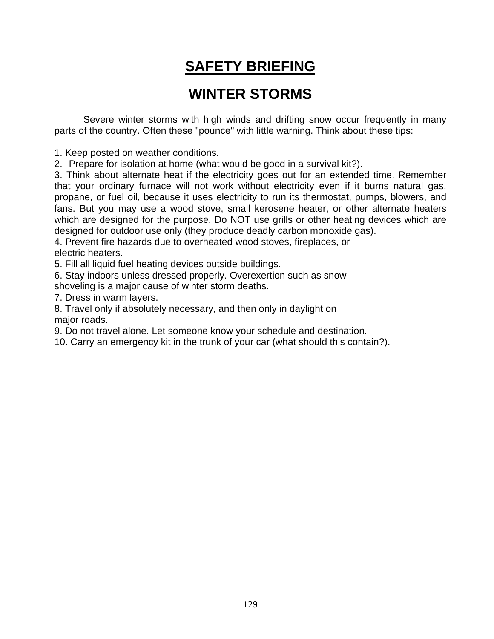## **WINTER STORMS**

Severe winter storms with high winds and drifting snow occur frequently in many parts of the country. Often these "pounce" with little warning. Think about these tips:

1. Keep posted on weather conditions.

2. Prepare for isolation at home (what would be good in a survival kit?).

3. Think about alternate heat if the electricity goes out for an extended time. Remember that your ordinary furnace will not work without electricity even if it burns natural gas, propane, or fuel oil, because it uses electricity to run its thermostat, pumps, blowers, and fans. But you may use a wood stove, small kerosene heater, or other alternate heaters which are designed for the purpose. Do NOT use grills or other heating devices which are designed for outdoor use only (they produce deadly carbon monoxide gas).

4. Prevent fire hazards due to overheated wood stoves, fireplaces, or electric heaters.

5. Fill all liquid fuel heating devices outside buildings.

6. Stay indoors unless dressed properly. Overexertion such as snow shoveling is a major cause of winter storm deaths.

7. Dress in warm layers.

8. Travel only if absolutely necessary, and then only in daylight on major roads.

9. Do not travel alone. Let someone know your schedule and destination.

10. Carry an emergency kit in the trunk of your car (what should this contain?).